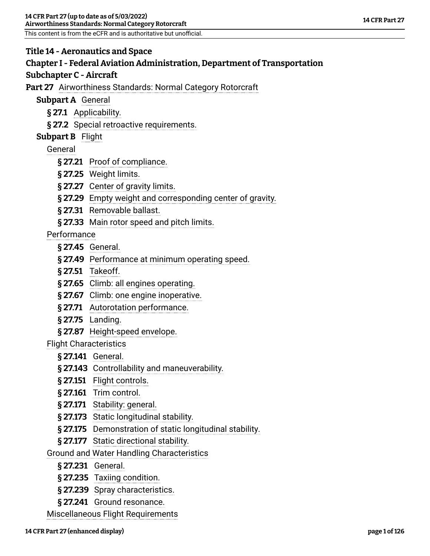This content is from the eCFR and is authoritative but unofficial.

### **Title 14 - Aeronautics and Space**

# **Chapter I - Federal Aviation Administration, Department of Transportation**

# **Subchapter C - Aircraft**

**Part 27** [Airworthiness Standards: Normal Category Rotorcraft](#page-7-0)

### **Subpart A** [General](#page-8-0)

- **§ 27.1** [Applicability.](#page-8-1)
- **§ 27.2** [Special retroactive requirements.](#page-8-2)

### **Subpart B** [Flight](#page-9-0)

### **[General](#page-9-1)**

- **§ 27.21** [Proof of compliance.](#page-9-2)
- **§ 27.25** [Weight limits.](#page-9-3)
- **§ 27.27** [Center of gravity limits.](#page-10-0)
- **§ 27.29** [Empty weight and corresponding center of gravity.](#page-10-1)
- **§ 27.31** [Removable ballast.](#page-11-0)
- **§ 27.33** [Main rotor speed and pitch limits.](#page-11-1)

### [Performance](#page-12-0)

- **§ 27.45** [General.](#page-12-1)
- **§ 27.49** [Performance at minimum operating speed.](#page-13-0)
- **§ 27.51** [Takeoff.](#page-13-1)
- **§ 27.65** [Climb: all engines operating.](#page-13-2)
- **§ 27.67** [Climb: one engine inoperative.](#page-14-0)
- **§ 27.71** [Autorotation performance.](#page-14-1)
- **§ 27.75** [Landing.](#page-15-0)
- **§ 27.87** [Height-speed envelope.](#page-15-1)

### [Flight Characteristics](#page-16-0)

- **§ 27.141** [General.](#page-16-1)
- **§ 27.143** [Controllability and maneuverability.](#page-16-2)
- **§ 27.151** [Flight controls.](#page-18-0)
- **§ 27.161** [Trim control.](#page-18-1)
- **§ 27.171** [Stability: general.](#page-18-2)
- **§ 27.173** [Static longitudinal stability.](#page-18-3)
- **§ 27.175** [Demonstration of static longitudinal stability.](#page-18-4)
- **§ 27.177** [Static directional stability.](#page-20-0)
- [Ground and Water Handling Characteristics](#page-20-1)
	- **§ 27.231** [General.](#page-20-2)
	- **§ 27.235** [Taxiing condition.](#page-20-3)
	- **§ 27.239** [Spray characteristics.](#page-20-4)
	- **§ 27.241** [Ground resonance.](#page-20-5)
- [Miscellaneous Flight Requirements](#page-20-6)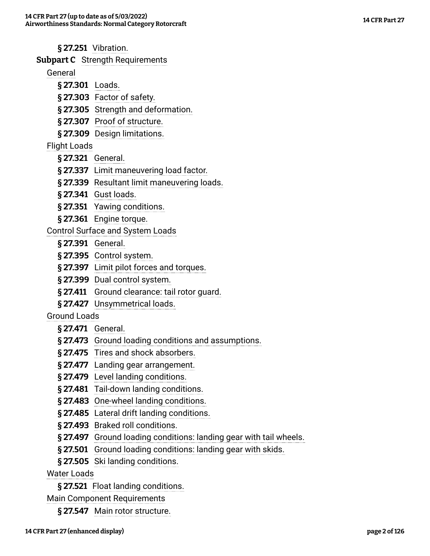**§ 27.251** [Vibration.](#page-20-7)

### **Subpart C** [Strength Requirements](#page-21-0)

[General](#page-21-1)

- **§ 27.301** [Loads.](#page-21-2)
- **§ 27.303** [Factor of safety.](#page-21-3)
- **§ 27.305** [Strength and deformation.](#page-21-4)
- **§ 27.307** [Proof of structure.](#page-21-5)
- **§ 27.309** [Design limitations.](#page-22-0)

# [Flight Loads](#page-22-1)

- **§ 27.321** [General.](#page-22-2)
- **§ 27.337** [Limit maneuvering load factor.](#page-22-3)
- **§ 27.339** [Resultant limit maneuvering loads.](#page-22-4)
- **§ 27.341** [Gust loads.](#page-23-0)
- **§ 27.351** [Yawing conditions.](#page-23-1)
- **§ 27.361** [Engine torque.](#page-24-0)

[Control Surface and System Loads](#page-24-1)

- **§ 27.391** [General.](#page-24-2)
- **§ 27.395** [Control system.](#page-24-3)
- **§ 27.397** [Limit pilot forces and torques.](#page-25-0)
- **§ 27.399** [Dual control system.](#page-25-1)
- **§ 27.411** [Ground clearance: tail rotor guard.](#page-25-2)
- **§ 27.427** [Unsymmetrical loads.](#page-25-3)

### [Ground Loads](#page-26-0)

# **§ 27.471** [General.](#page-26-1)

- **§ 27.473** [Ground loading conditions and assumptions.](#page-26-2)
- **§ 27.475** [Tires and shock absorbers.](#page-26-3)
- **§ 27.477** [Landing gear arrangement.](#page-26-4)
- **§ 27.479** [Level landing conditions.](#page-26-5)
- **§ 27.481** [Tail-down landing conditions.](#page-27-0)
- **§ 27.483** [One-wheel landing conditions.](#page-27-1)
- **§ 27.485** [Lateral drift landing conditions.](#page-27-2)
- **§ 27.493** [Braked roll conditions.](#page-27-3)
- **§ 27.497** [Ground loading conditions: landing gear with tail wheels.](#page-28-0)
- **§ 27.501** [Ground loading conditions: landing gear with skids.](#page-29-0)
- **§ 27.505** [Ski landing conditions.](#page-31-0)

### [Water Loads](#page-31-1)

- **§ 27.521** [Float landing conditions.](#page-31-2)
- [Main Component Requirements](#page-32-0)
	- **§ 27.547** [Main rotor structure.](#page-32-1)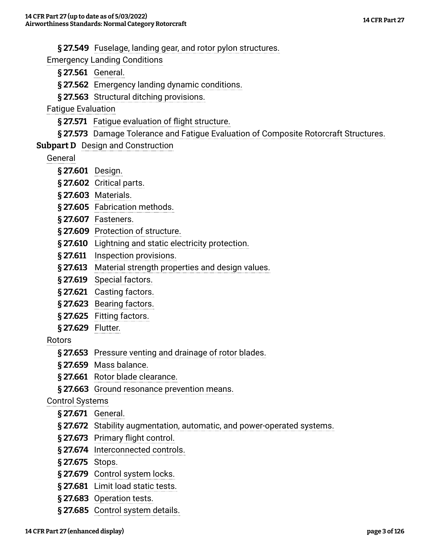**§ 27.549** [Fuselage, landing gear, and rotor pylon structures.](#page-32-2)

[Emergency Landing Conditions](#page-33-0)

- **§ 27.561** [General.](#page-33-1)
- **§ 27.562** [Emergency landing dynamic conditions.](#page-34-0)
- **§ 27.563** [Structural ditching provisions.](#page-35-0)

### [Fatigue Evaluation](#page-36-0)

- **§ 27.571** [Fatigue evaluation of flight structure.](#page-36-1)
- **§ 27.573** [Damage Tolerance and Fatigue Evaluation of Composite Rotorcraft Structures.](#page-37-0)
- **Subpart D** [Design and Construction](#page-39-0)

# [General](#page-39-1)

- **§ 27.601** [Design.](#page-39-2)
- **§ 27.602** [Critical parts.](#page-39-3)
- **§ 27.603** [Materials.](#page-39-4)
- **§ 27.605** [Fabrication methods.](#page-39-5)
- **§ 27.607** [Fasteners.](#page-40-0)
- **§ 27.609** [Protection of structure.](#page-40-1)
- **§ 27.610** [Lightning and static electricity protection.](#page-40-2)
- **§ 27.611** [Inspection provisions.](#page-40-3)
- **§ 27.613** [Material strength properties and design values.](#page-41-0)
- **§ 27.619** [Special factors.](#page-41-1)
- **§ 27.621** [Casting factors.](#page-42-0)
- **§ 27.623** [Bearing factors.](#page-43-0)
- **§ 27.625** [Fitting factors.](#page-43-1)
- **§ 27.629** [Flutter.](#page-43-2)

### [Rotors](#page-44-0)

- **§ 27.653** [Pressure venting and drainage of rotor blades.](#page-44-1)
- **§ 27.659** [Mass balance.](#page-44-2)
- **§ 27.661** [Rotor blade clearance.](#page-44-3)
- **§ 27.663** [Ground resonance prevention means.](#page-44-4)

### [Control Systems](#page-44-5)

- **§ 27.671** [General.](#page-44-6)
- **§ 27.672** [Stability augmentation, automatic, and power-operated systems.](#page-44-7)
- **§ 27.673** [Primary flight control.](#page-45-0)
- **§ 27.674** [Interconnected controls.](#page-45-1)
- **§ 27.675** [Stops.](#page-45-2)
- **§ 27.679** [Control system locks.](#page-46-0)
- **§ 27.681** [Limit load static tests.](#page-46-1)
- **§ 27.683** [Operation tests.](#page-46-2)
- **§ 27.685** [Control system details.](#page-46-3)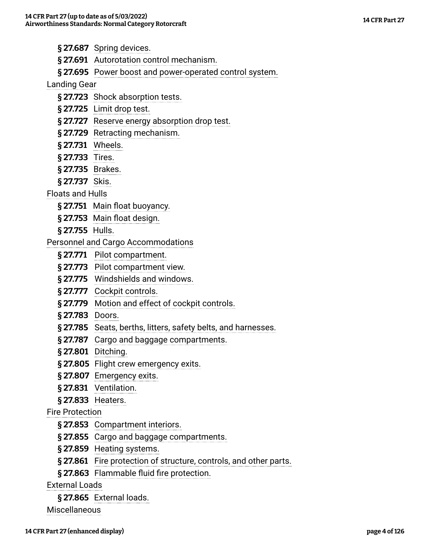- **§ 27.687** [Spring devices.](#page-47-0)
- **§ 27.691** [Autorotation control mechanism.](#page-47-1)
- **§ 27.695** [Power boost and power-operated control system.](#page-47-2)

#### [Landing Gear](#page-48-0)

- **§ 27.723** [Shock absorption tests.](#page-48-1)
- **§ 27.725** [Limit drop test.](#page-48-2)
- **§ 27.727** [Reserve energy absorption drop test.](#page-49-0)
- **§ 27.729** [Retracting mechanism.](#page-49-1)
- **§ 27.731** [Wheels.](#page-50-0)
- **§ 27.733** [Tires.](#page-50-1)
- **§ 27.735** [Brakes.](#page-50-2)
- **§ 27.737** [Skis.](#page-51-0)
- [Floats and Hulls](#page-51-1)
	- **§ 27.751** [Main float buoyancy.](#page-51-2)
	- **§ 27.753** [Main float design.](#page-51-3)
	- **§ 27.755** [Hulls.](#page-51-4)

[Personnel and Cargo Accommodations](#page-51-5)

- **§ 27.771** [Pilot compartment.](#page-51-6)
- **§ 27.773** [Pilot compartment view.](#page-52-0)
- **§ 27.775** [Windshields and windows.](#page-52-1)
- **§ 27.777** [Cockpit controls.](#page-52-2)
- **§ 27.779** [Motion and effect of cockpit controls.](#page-52-3)
- **§ 27.783** [Doors.](#page-53-0)
- **§ 27.785** [Seats, berths, litters, safety belts, and harnesses.](#page-53-1)
- **§ 27.787** [Cargo and baggage compartments.](#page-54-0)
- **§ 27.801** [Ditching.](#page-55-0)
- **§ 27.805** [Flight crew emergency exits.](#page-55-1)
- **§ 27.807** [Emergency exits.](#page-55-2)
- **§ 27.831** [Ventilation.](#page-56-0)
- **§ 27.833** [Heaters.](#page-56-1)

### [Fire Protection](#page-56-2)

- **§ 27.853** [Compartment interiors.](#page-56-3)
- **§ 27.855** [Cargo and baggage compartments.](#page-57-0)
- **§ 27.859** [Heating systems.](#page-57-1)
- **§ 27.861** [Fire protection of structure, controls, and other parts.](#page-59-0)
- **§ 27.863** [Flammable fluid fire protection.](#page-59-1)

[External Loads](#page-59-2)

**§ 27.865** [External loads.](#page-59-3)

**[Miscellaneous](#page-61-0)**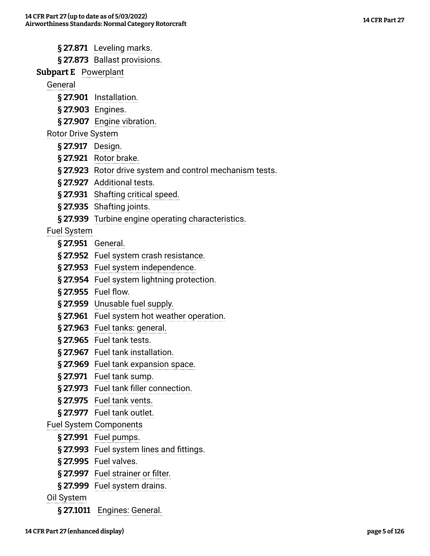- **§ 27.871** [Leveling marks.](#page-61-1)
- **§ 27.873** [Ballast provisions.](#page-61-2)
- **Subpart E** [Powerplant](#page-61-3)

[General](#page-61-4)

- **§ 27.901** [Installation.](#page-61-5)
- **§ 27.903** [Engines.](#page-62-0)
- **§ 27.907** [Engine vibration.](#page-63-0)
- [Rotor Drive System](#page-63-1)
	- **§ 27.917** [Design.](#page-63-2)
	- **§ 27.921** [Rotor brake.](#page-63-3)
	- **§ 27.923** [Rotor drive system and control mechanism tests.](#page-63-4)
	- **§ 27.927** [Additional tests.](#page-65-0)
	- **§ 27.931** [Shafting critical speed.](#page-66-0)
	- **§ 27.935** [Shafting joints.](#page-66-1)
	- **§ 27.939** [Turbine engine operating characteristics.](#page-66-2)

[Fuel System](#page-66-3)

- **§ 27.951** [General.](#page-66-4)
- **§ 27.952** [Fuel system crash resistance.](#page-67-0)
- **§ 27.953** [Fuel system independence.](#page-69-0)
- **§ 27.954** [Fuel system lightning protection.](#page-69-1)
- **§ 27.955** [Fuel flow.](#page-69-2)
- **§ 27.959** [Unusable fuel supply.](#page-70-0)
- **§ 27.961** [Fuel system hot weather operation.](#page-70-1)
- **§ 27.963** [Fuel tanks: general.](#page-70-2)
- **§ 27.965** [Fuel tank tests.](#page-71-0)
- **§ 27.967** [Fuel tank installation.](#page-72-0)
- **§ 27.969** [Fuel tank expansion space.](#page-73-0)
- **§ 27.971** [Fuel tank sump.](#page-73-1)
- **§ 27.973** [Fuel tank filler connection.](#page-73-2)
- **§ 27.975** [Fuel tank vents.](#page-73-3)
- **§ 27.977** [Fuel tank outlet.](#page-74-0)
- [Fuel System Components](#page-74-1)
	- **§ 27.991** [Fuel pumps.](#page-74-2)
	- **§ 27.993** [Fuel system lines and fittings.](#page-74-3)
	- **§ 27.995** [Fuel valves.](#page-74-4)
	- **§ 27.997** [Fuel strainer or filter.](#page-75-0)
	- **§ 27.999** [Fuel system drains.](#page-75-1)
- [Oil System](#page-75-2)
	- **§ 27.1011** [Engines: General.](#page-75-3)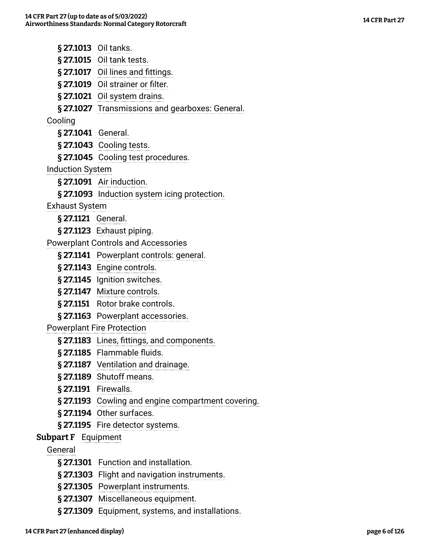- **§ 27.1013** [Oil tanks.](#page-76-0) **§ 27.1015** [Oil tank tests.](#page-76-1)
- **§ 27.1017** [Oil lines and fittings.](#page-76-2)
- **§ 27.1019** [Oil strainer or filter.](#page-76-3)
- **§ 27.1021** [Oil system drains.](#page-77-0)
- **§ 27.1027** [Transmissions and gearboxes: General.](#page-77-1)

[Cooling](#page-77-2)

- **§ 27.1041** [General.](#page-77-3)
- **§ 27.1043** [Cooling tests.](#page-78-0)
- **§ 27.1045** [Cooling test procedures.](#page-78-1)

# [Induction System](#page-79-0)

- **§ 27.1091** [Air induction.](#page-79-1)
- **§ 27.1093** [Induction system icing protection.](#page-79-2)

# [Exhaust System](#page-80-0)

- **§ 27.1121** [General.](#page-80-1)
- **§ 27.1123** [Exhaust piping.](#page-81-0)

[Powerplant Controls and Accessories](#page-81-1)

- **§ 27.1141** [Powerplant controls: general.](#page-81-2)
- **§ 27.1143** [Engine controls.](#page-81-3)
- **§ 27.1145** [Ignition switches.](#page-82-0)
- **§ 27.1147** [Mixture controls.](#page-82-1)
- **§ 27.1151** [Rotor brake controls.](#page-82-2)
- **§ 27.1163** [Powerplant accessories.](#page-82-3)

# [Powerplant Fire Protection](#page-83-0)

- **§ 27.1183** [Lines, fittings, and components.](#page-83-1)
- **§ 27.1185** [Flammable fluids.](#page-83-2)
- **§ 27.1187** [Ventilation and drainage.](#page-83-3)
- **§ 27.1189** [Shutoff means.](#page-83-4)
- **§ 27.1191** [Firewalls.](#page-84-0)
- **§ 27.1193** [Cowling and engine compartment covering.](#page-84-1)
- **§ 27.1194** [Other surfaces.](#page-85-0)
- **§ 27.1195** [Fire detector systems.](#page-85-1)

# **Subpart F** [Equipment](#page-85-2)

### [General](#page-85-3)

- **§ 27.1301** [Function and installation.](#page-85-4)
- **§ 27.1303** [Flight and navigation instruments.](#page-85-5)
- **§ 27.1305** [Powerplant instruments.](#page-85-6)
- **§ 27.1307** [Miscellaneous equipment.](#page-87-0)
- **§ 27.1309** [Equipment, systems, and installations.](#page-87-1)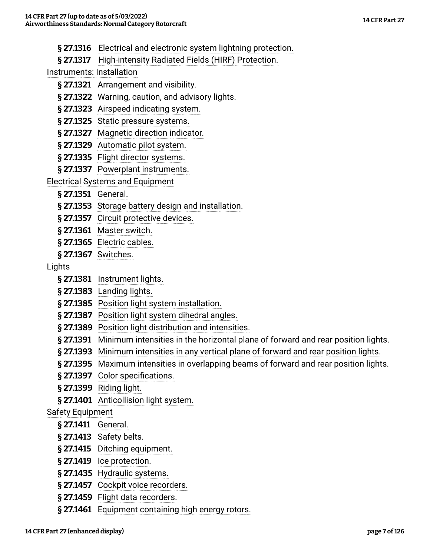- **§ 27.1316** [Electrical and electronic system lightning protection.](#page-87-2)
- **§ 27.1317** [High-intensity Radiated Fields \(HIRF\) Protection.](#page-88-0)

[Instruments: Installation](#page-88-1)

- **§ 27.1321** [Arrangement and visibility.](#page-88-2)
- **§ 27.1322** [Warning, caution, and advisory lights.](#page-89-0)
- **§ 27.1323** [Airspeed indicating system.](#page-89-1)
- **§ 27.1325** [Static pressure systems.](#page-89-2)
- **§ 27.1327** [Magnetic direction indicator.](#page-90-0)
- **§ 27.1329** [Automatic pilot system.](#page-90-1)
- **§ 27.1335** [Flight director systems.](#page-91-0)
- **§ 27.1337** [Powerplant instruments.](#page-91-1)

[Electrical Systems and Equipment](#page-92-0)

- **§ 27.1351** [General.](#page-92-1)
- **§ 27.1353** [Storage battery design and installation.](#page-93-0)
- **§ 27.1357** [Circuit protective devices.](#page-94-0)
- **§ 27.1361** [Master switch.](#page-94-1)
- **§ 27.1365** [Electric cables.](#page-94-2)
- **§ 27.1367** [Switches.](#page-95-0)
- [Lights](#page-95-1)
	- **§ 27.1381** [Instrument lights.](#page-95-2)
	- **§ 27.1383** [Landing lights.](#page-95-3)
	- **§ 27.1385** [Position light system installation.](#page-95-4)
	- **§ 27.1387** [Position light system dihedral angles.](#page-96-0)
	- **§ 27.1389** [Position light distribution and intensities.](#page-96-1)
	- **§ 27.1391** [Minimum intensities in the horizontal plane of forward and rear position lights.](#page-97-0)
	- **§ 27.1393** [Minimum intensities in any vertical plane of forward and rear position lights.](#page-97-1)
	- **§ 27.1395** [Maximum intensities in overlapping beams of forward and rear position lights.](#page-97-2)
	- **§ 27.1397** [Color specifications.](#page-98-0)
	- **§ 27.1399** [Riding light.](#page-98-1)
	- **§ 27.1401** [Anticollision light system.](#page-98-2)

# [Safety Equipment](#page-99-0)

- **§ 27.1411** [General.](#page-99-1)
- **§ 27.1413** [Safety belts.](#page-100-0)
- **§ 27.1415** [Ditching equipment.](#page-100-1)
- **§ 27.1419** [Ice protection.](#page-100-2)
- **§ 27.1435** [Hydraulic systems.](#page-101-0)
- **§ 27.1457** [Cockpit voice recorders.](#page-101-1)
- **§ 27.1459** [Flight data recorders.](#page-103-0)
- **§ 27.1461** [Equipment containing high energy rotors.](#page-104-0)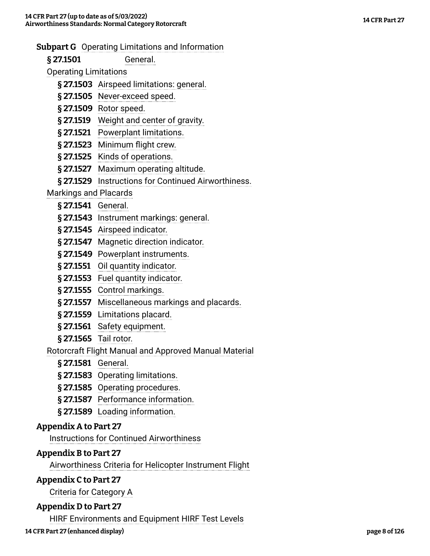### **Subpart G** [Operating Limitations and Information](#page-104-1)

**§ 27.1501** [General.](#page-104-2)

[Operating Limitations](#page-104-3)

- **§ 27.1503** [Airspeed limitations: general.](#page-104-4)
- **§ 27.1505** [Never-exceed speed.](#page-104-5)
- **§ 27.1509** [Rotor speed.](#page-105-0)
- **§ 27.1519** [Weight and center of gravity.](#page-105-1)
- **§ 27.1521** [Powerplant limitations.](#page-106-0)
- **§ 27.1523** [Minimum flight crew.](#page-108-0)
- **§ 27.1525** [Kinds of operations.](#page-108-1)
- **§ 27.1527** [Maximum operating altitude.](#page-108-2)
- **§ 27.1529** [Instructions for Continued Airworthiness.](#page-108-3)

# [Markings and Placards](#page-109-0)

- **§ 27.1541** [General.](#page-109-1)
- **§ 27.1543** [Instrument markings: general.](#page-109-2)
- **§ 27.1545** [Airspeed indicator.](#page-109-3)
- **§ 27.1547** [Magnetic direction indicator.](#page-109-4)
- **§ 27.1549** [Powerplant instruments.](#page-110-0)
- **§ 27.1551** [Oil quantity indicator.](#page-110-1)
- **§ 27.1553** [Fuel quantity indicator.](#page-110-2)
- **§ 27.1555** [Control markings.](#page-110-3)
- **§ 27.1557** [Miscellaneous markings and placards.](#page-111-0)
- **§ 27.1559** [Limitations placard.](#page-111-1)
- **§ 27.1561** [Safety equipment.](#page-112-0)
- **§ 27.1565** [Tail rotor.](#page-112-1)

# [Rotorcraft Flight Manual and Approved Manual Material](#page-112-2)

- **§ 27.1581** [General.](#page-112-3)
- **§ 27.1583** [Operating limitations.](#page-112-4)
- **§ 27.1585** [Operating procedures.](#page-113-0)
- **§ 27.1587** [Performance information.](#page-113-1)
- **§ 27.1589** [Loading information.](#page-114-0)

# **Appendix A to Part 27**

[Instructions for Continued Airworthiness](#page-114-1)

# **Appendix B to Part 27**

[Airworthiness Criteria for Helicopter Instrument Flight](#page-116-0)

# **Appendix C to Part 27**

[Criteria for Category A](#page-120-0)

# <span id="page-7-0"></span>**Appendix D to Part 27**

[HIRF Environments and Equipment HIRF Test Levels](#page-122-0)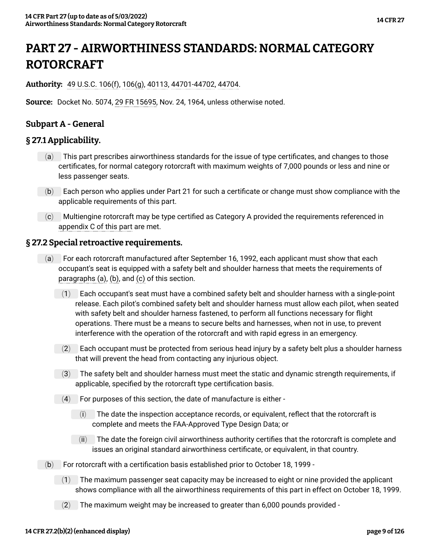# **PART 27 - AIRWORTHINESS STANDARDS: NORMAL CATEGORY ROTORCRAFT**

**Authority:** [49 U.S.C. 106\(f\),](https://www.govinfo.gov/link/uscode/49/106) [106\(g\)](https://www.govinfo.gov/link/uscode/49/106), [40113](https://www.govinfo.gov/link/uscode/49/40113), [44701-44702,](https://www.govinfo.gov/link/uscode/49/44701) [44704.](https://www.govinfo.gov/link/uscode/49/44704)

<span id="page-8-0"></span>**Source:** Docket No. 5074, [29 FR 15695,](https://www.federalregister.gov/citation/29-FR-15695) Nov. 24, 1964, unless otherwise noted.

### **Subpart A - General**

# <span id="page-8-1"></span>**§ 27.1 Applicability.**

- (a) This part prescribes airworthiness standards for the issue of type certificates, and changes to those certificates, for normal category rotorcraft with maximum weights of 7,000 pounds or less and nine or less passenger seats.
- (b) Each person who applies under Part 21 for such a certificate or change must show compliance with the applicable requirements of this part.
- (c) Multiengine rotorcraft may be type certified as Category A provided the requirements referenced in [appendix C of this part](#page-120-0) are met.

### <span id="page-8-3"></span><span id="page-8-2"></span>**§ 27.2 Special retroactive requirements.**

- (a) For each rotorcraft manufactured after September 16, 1992, each applicant must show that each occupant's seat is equipped with a safety belt and shoulder harness that meets the requirements of [paragraphs \(a\),](#page-8-3) [\(b\)](#page-8-4), and [\(c\)](https://www.ecfr.gov/current/title-14/section-27.2/?#p-27.2(c)) of this section.
	- $(1)$  Each occupant's seat must have a combined safety belt and shoulder harness with a single-point release. Each pilot's combined safety belt and shoulder harness must allow each pilot, when seated with safety belt and shoulder harness fastened, to perform all functions necessary for flight operations. There must be a means to secure belts and harnesses, when not in use, to prevent interference with the operation of the rotorcraft and with rapid egress in an emergency.
	- $(2)$  Each occupant must be protected from serious head injury by a safety belt plus a shoulder harness that will prevent the head from contacting any injurious object.
	- (3) The safety belt and shoulder harness must meet the static and dynamic strength requirements, if applicable, specified by the rotorcraft type certification basis.
	- $(4)$  For purposes of this section, the date of manufacture is either -
		- (i) The date the inspection acceptance records, or equivalent, reflect that the rotorcraft is complete and meets the FAA-Approved Type Design Data; or
		- (ii) The date the foreign civil airworthiness authority certifies that the rotorcraft is complete and issues an original standard airworthiness certificate, or equivalent, in that country.
- <span id="page-8-4"></span>(b) For rotorcraft with a certification basis established prior to October 18, 1999 -
	- $(1)$  The maximum passenger seat capacity may be increased to eight or nine provided the applicant shows compliance with all the airworthiness requirements of this part in effect on October 18, 1999.
	- $(2)$  The maximum weight may be increased to greater than 6,000 pounds provided -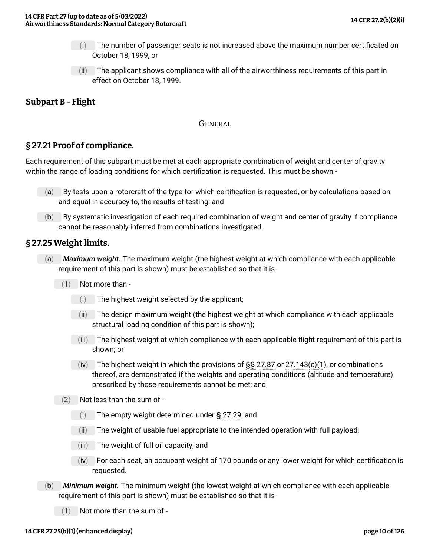- (i) The number of passenger seats is not increased above the maximum number certificated on October 18, 1999, or
- (ii) The applicant shows compliance with all of the airworthiness requirements of this part in effect on October 18, 1999.

# <span id="page-9-1"></span><span id="page-9-0"></span>**Subpart B - Flight**

### **GENERAL**

# <span id="page-9-2"></span>**§ 27.21 Proof of compliance.**

Each requirement of this subpart must be met at each appropriate combination of weight and center of gravity within the range of loading conditions for which certification is requested. This must be shown -

- (a) By tests upon a rotorcraft of the type for which certification is requested, or by calculations based on, and equal in accuracy to, the results of testing; and
- (b) By systematic investigation of each required combination of weight and center of gravity if compliance cannot be reasonably inferred from combinations investigated.

# <span id="page-9-4"></span><span id="page-9-3"></span>**§ 27.25 Weight limits.**

- (a) *Maximum weight.* The maximum weight (the highest weight at which compliance with each applicable requirement of this part is shown) must be established so that it is -
	- (1) Not more than
		- (i) The highest weight selected by the applicant;
		- (ii) The design maximum weight (the highest weight at which compliance with each applicable structural loading condition of this part is shown);
		- (iii) The highest weight at which compliance with each applicable flight requirement of this part is shown; or
		- $(iv)$  The highest weight in which the provisions of [§§ 27.87](#page-61-2) or [27.143\(c\)\(1\),](#page-17-0) or combinations thereof, are demonstrated if the weights and operating conditions (altitude and temperature) prescribed by those requirements cannot be met; and
	- (2) Not less than the sum of
		- (i) The empty weight determined under [§ 27.29;](#page-10-1) and
		- (ii) The weight of usable fuel appropriate to the intended operation with full payload;
		- (iii) The weight of full oil capacity; and
		- (iv) For each seat, an occupant weight of 170 pounds or any lower weight for which certification is requested.
- (b) *Minimum weight.* The minimum weight (the lowest weight at which compliance with each applicable requirement of this part is shown) must be established so that it is -
	- $(1)$  Not more than the sum of -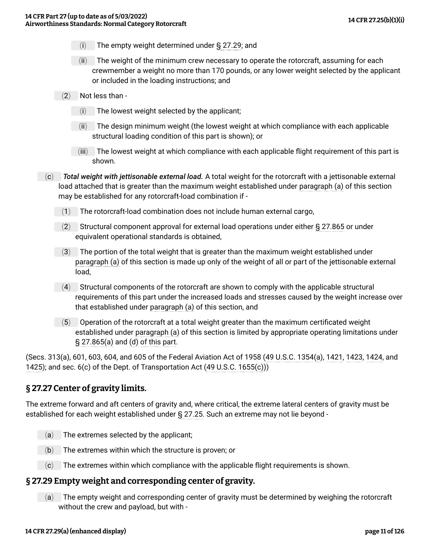- (i) The empty weight determined under [§ 27.29;](#page-10-1) and
- (ii) The weight of the minimum crew necessary to operate the rotorcraft, assuming for each crewmember a weight no more than 170 pounds, or any lower weight selected by the applicant or included in the loading instructions; and
- (2) Not less than
	- (i) The lowest weight selected by the applicant;
	- (ii) The design minimum weight (the lowest weight at which compliance with each applicable structural loading condition of this part is shown); or
	- (iii) The lowest weight at which compliance with each applicable flight requirement of this part is shown.
- (c) *Total weight with jettisonable external load.* A total weight for the rotorcraft with a jettisonable external load attached that is greater than the maximum weight established under [paragraph \(a\)](#page-9-4) of this section may be established for any rotorcraft-load combination if -
	- $(1)$  The rotorcraft-load combination does not include human external cargo,
	- (2) Structural component approval for external load operations under either [§ 27.865](#page-59-3) or under equivalent operational standards is obtained,
	- (3) The portion of the total weight that is greater than the maximum weight established under [paragraph \(a\)](#page-9-4) of this section is made up only of the weight of all or part of the jettisonable external load,
	- $(4)$  Structural components of the rotorcraft are shown to comply with the applicable structural requirements of this part under the increased loads and stresses caused by the weight increase over that established under [paragraph \(a\)](#page-9-4) of this section, and
	- $(5)$  Operation of the rotorcraft at a total weight greater than the maximum certificated weight established under [paragraph \(a\)](#page-9-4) of this section is limited by appropriate operating limitations under [§ 27.865\(a\)](#page-60-0) and [\(d\) of this part.](#page-61-6)

### <span id="page-10-0"></span>**§ 27.27 Center of gravity limits.**

The extreme forward and aft centers of gravity and, where critical, the extreme lateral centers of gravity must be established for each weight established under [§ 27.25.](#page-20-7) Such an extreme may not lie beyond -

- (a) The extremes selected by the applicant;
- $(b)$  The extremes within which the structure is proven; or
- (c) The extremes within which compliance with the applicable flight requirements is shown.

### <span id="page-10-1"></span>**§ 27.29 Empty weight and corresponding center of gravity.**

(a) The empty weight and corresponding center of gravity must be determined by weighing the rotorcraft without the crew and payload, but with -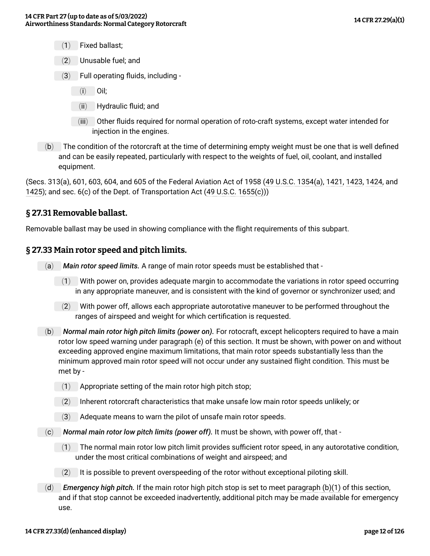- (1) Fixed ballast;
- (2) Unusable fuel; and
- (3) Full operating fluids, including
	- (i) Oil;
	- (ii) Hydraulic fluid; and
	- (iii) Other fluids required for normal operation of roto-craft systems, except water intended for injection in the engines.
- (b) The condition of the rotorcraft at the time of determining empty weight must be one that is well defined and can be easily repeated, particularly with respect to the weights of fuel, oil, coolant, and installed equipment.

### <span id="page-11-0"></span>**§ 27.31 Removable ballast.**

<span id="page-11-1"></span>Removable ballast may be used in showing compliance with the flight requirements of this subpart.

### **§ 27.33 Main rotor speed and pitch limits.**

- (a) *Main rotor speed limits.* A range of main rotor speeds must be established that
	- (1) With power on, provides adequate margin to accommodate the variations in rotor speed occurring in any appropriate maneuver, and is consistent with the kind of governor or synchronizer used; and
	- (2) With power off, allows each appropriate autorotative maneuver to be performed throughout the ranges of airspeed and weight for which certification is requested.
- (b) *Normal main rotor high pitch limits (power on).* For rotocraft, except helicopters required to have a main rotor low speed warning under [paragraph \(e\)](#page-12-2) of this section. It must be shown, with power on and without exceeding approved engine maximum limitations, that main rotor speeds substantially less than the minimum approved main rotor speed will not occur under any sustained flight condition. This must be met by -
	- $(1)$  Appropriate setting of the main rotor high pitch stop;
	- (2) Inherent rotorcraft characteristics that make unsafe low main rotor speeds unlikely; or
	- (3) Adequate means to warn the pilot of unsafe main rotor speeds.
- <span id="page-11-2"></span>(c) *Normal main rotor low pitch limits (power off).* It must be shown, with power off, that -
	- $(1)$  The normal main rotor low pitch limit provides sufficient rotor speed, in any autorotative condition, under the most critical combinations of weight and airspeed; and
	- $(2)$  It is possible to prevent overspeeding of the rotor without exceptional piloting skill.
- (d) *Emergency high pitch.* If the main rotor high pitch stop is set to meet [paragraph \(b\)\(1\)](#page-11-2) of this section, and if that stop cannot be exceeded inadvertently, additional pitch may be made available for emergency use.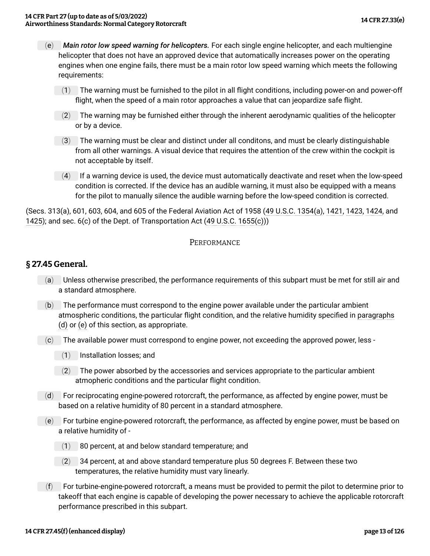- <span id="page-12-2"></span>(e) *Main rotor low speed warning for helicopters.* For each single engine helicopter, and each multiengine helicopter that does not have an approved device that automatically increases power on the operating engines when one engine fails, there must be a main rotor low speed warning which meets the following requirements:
	- $(1)$  The warning must be furnished to the pilot in all flight conditions, including power-on and power-off flight, when the speed of a main rotor approaches a value that can jeopardize safe flight.
	- $(2)$  The warning may be furnished either through the inherent aerodynamic qualities of the helicopter or by a device.
	- (3) The warning must be clear and distinct under all conditons, and must be clearly distinguishable from all other warnings. A visual device that requires the attention of the crew within the cockpit is not acceptable by itself.
	- $(4)$  If a warning device is used, the device must automatically deactivate and reset when the low-speed condition is corrected. If the device has an audible warning, it must also be equipped with a means for the pilot to manually silence the audible warning before the low-speed condition is corrected.

#### **PERFORMANCE**

### <span id="page-12-1"></span><span id="page-12-0"></span>**§ 27.45 General.**

- (a) Unless otherwise prescribed, the performance requirements of this subpart must be met for still air and a standard atmosphere.
- (b) The performance must correspond to the engine power available under the particular ambient atmospheric conditions, the particular flight condition, and the relative humidity specified in [paragraphs](#page-12-3) [\(d\)](#page-12-3) or [\(e\)](#page-12-4) of this section, as appropriate.
- $\epsilon$  (c) The available power must correspond to engine power, not exceeding the approved power, less -
	- (1) Installation losses; and
	- (2) The power absorbed by the accessories and services appropriate to the particular ambient atmopheric conditions and the particular flight condition.
- <span id="page-12-3"></span>(d) For reciprocating engine-powered rotorcraft, the performance, as affected by engine power, must be based on a relative humidity of 80 percent in a standard atmosphere.
- <span id="page-12-4"></span>(e) For turbine engine-powered rotorcraft, the performance, as affected by engine power, must be based on a relative humidity of -
	- $(1)$  80 percent, at and below standard temperature; and
	- $(2)$  34 percent, at and above standard temperature plus 50 degrees F. Between these two temperatures, the relative humidity must vary linearly.
- (f) For turbine-engine-powered rotorcraft, a means must be provided to permit the pilot to determine prior to takeoff that each engine is capable of developing the power necessary to achieve the applicable rotorcraft performance prescribed in this subpart.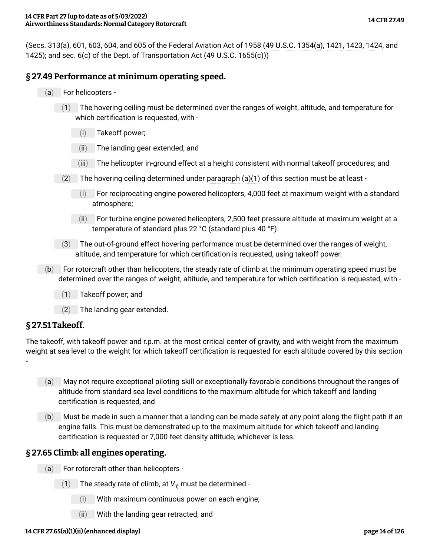# <span id="page-13-3"></span><span id="page-13-0"></span>**§ 27.49 Performance at minimum operating speed.**

- (a) For helicopters
	- $(1)$  The hovering ceiling must be determined over the ranges of weight, altitude, and temperature for which certification is requested, with -
		- (i) Takeoff power;
		- (ii) The landing gear extended; and
		- (iii) The helicopter in-ground effect at a height consistent with normal takeoff procedures; and
	- $(2)$  The hovering ceiling determined under [paragraph \(a\)\(1\)](#page-13-3) of this section must be at least -
		- (i) For reciprocating engine powered helicopters, 4,000 feet at maximum weight with a standard atmosphere;
		- (ii) For turbine engine powered helicopters, 2,500 feet pressure altitude at maximum weight at a temperature of standard plus 22 °C (standard plus 40 °F).
	- (3) The out-of-ground effect hovering performance must be determined over the ranges of weight, altitude, and temperature for which certification is requested, using takeoff power.
- (b) For rotorcraft other than helicopters, the steady rate of climb at the minimum operating speed must be determined over the ranges of weight, altitude, and temperature for which certification is requested, with -
	- (1) Takeoff power; and
	- (2) The landing gear extended.

# <span id="page-13-1"></span>**§ 27.51 Takeoff.**

-

The takeoff, with takeoff power and r.p.m. at the most critical center of gravity, and with weight from the maximum weight at sea level to the weight for which takeoff certification is requested for each altitude covered by this section

(a) May not require exceptional piloting skill or exceptionally favorable conditions throughout the ranges of altitude from standard sea level conditions to the maximum altitude for which takeoff and landing certification is requested, and

(b) Must be made in such a manner that a landing can be made safely at any point along the flight path if an engine fails. This must be demonstrated up to the maximum altitude for which takeoff and landing certification is requested or 7,000 feet density altitude, whichever is less.

### <span id="page-13-4"></span><span id="page-13-2"></span>**§ 27.65 Climb: all engines operating.**

- (a) For rotorcraft other than helicopters
	- (1) The steady rate of climb, at  $V_Y$  must be determined -
		- (i) With maximum continuous power on each engine;
		- (ii) With the landing gear retracted; and

#### **14 CFR 27.65(a)(1)(ii) (enhanced display) page 14 of 126**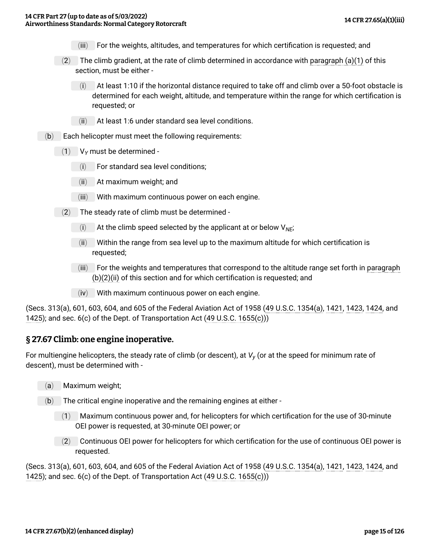- (iii) For the weights, altitudes, and temperatures for which certification is requested; and
- $(2)$  The climb gradient, at the rate of climb determined in accordance with [paragraph \(a\)\(1\)](#page-13-4) of this section, must be either -
	- (i) At least 1:10 if the horizontal distance required to take off and climb over a 50-foot obstacle is determined for each weight, altitude, and temperature within the range for which certification is requested; or
	- (ii) At least 1:6 under standard sea level conditions.
- (b) Each helicopter must meet the following requirements:
	- (1) V*<sup>Y</sup>* must be determined
		- (i) For standard sea level conditions;
		- (ii) At maximum weight; and
		- (iii) With maximum continuous power on each engine.
	- (2) The steady rate of climb must be determined -
		- (i) At the climb speed selected by the applicant at or below  $V_{NE}$ ;
		- (ii) Within the range from sea level up to the maximum altitude for which certification is requested;
		- (iii) For the weights and temperatures that correspond to the altitude range set forth in [paragraph](#page-14-2) [\(b\)\(2\)\(ii\)](#page-14-2) of this section and for which certification is requested; and
		- (iv) With maximum continuous power on each engine.

### <span id="page-14-2"></span><span id="page-14-0"></span>**§ 27.67 Climb: one engine inoperative.**

For multiengine helicopters, the steady rate of climb (or descent), at *V<sup>y</sup>* (or at the speed for minimum rate of descent), must be determined with -

- (a) Maximum weight;
- (b) The critical engine inoperative and the remaining engines at either
	- $(1)$  Maximum continuous power and, for helicopters for which certification for the use of 30-minute OEI power is requested, at 30-minute OEI power; or
	- (2) Continuous OEI power for helicopters for which certification for the use of continuous OEI power is requested.

<span id="page-14-1"></span>(Secs. 313(a), 601, 603, 604, and 605 of the Federal Aviation Act of 1958 [\(49 U.S.C. 1354\(a\),](https://www.govinfo.gov/link/uscode/49/1354) [1421](https://www.govinfo.gov/link/uscode/49/1421), [1423](https://www.govinfo.gov/link/uscode/49/1423), [1424,](https://www.govinfo.gov/link/uscode/49/1424) and [1425](https://www.govinfo.gov/link/uscode/49/1425)); and sec. 6(c) of the Dept. of Transportation Act [\(49 U.S.C. 1655\(c\)\)](https://www.govinfo.gov/link/uscode/49/1655))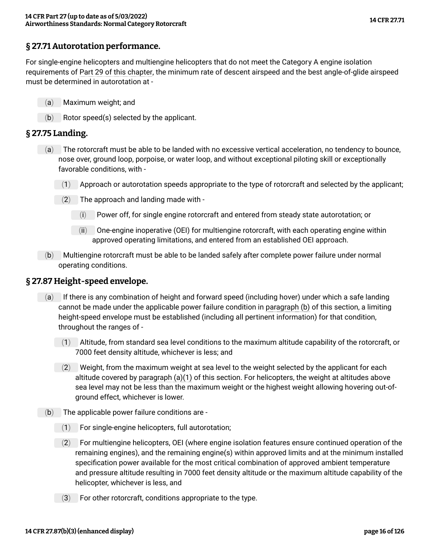### **§ 27.71 Autorotation performance.**

For single-engine helicopters and multiengine helicopters that do not meet the Category A engine isolation requirements of [Part 29 of this chapter](https://www.ecfr.gov/current/title-14/part-29/), the minimum rate of descent airspeed and the best angle-of-glide airspeed must be determined in autorotation at -

- (a) Maximum weight; and
- (b) Rotor speed(s) selected by the applicant.

### <span id="page-15-0"></span>**§ 27.75 Landing.**

- (a) The rotorcraft must be able to be landed with no excessive vertical acceleration, no tendency to bounce, nose over, ground loop, porpoise, or water loop, and without exceptional piloting skill or exceptionally favorable conditions, with -
	- $(1)$  Approach or autorotation speeds appropriate to the type of rotorcraft and selected by the applicant;
	- (2) The approach and landing made with
		- (i) Power off, for single engine rotorcraft and entered from steady state autorotation; or
		- (ii) One-engine inoperative (OEI) for multiengine rotorcraft, with each operating engine within approved operating limitations, and entered from an established OEI approach.
- (b) Multiengine rotorcraft must be able to be landed safely after complete power failure under normal operating conditions.

#### <span id="page-15-1"></span>**§ 27.87 Height-speed envelope.**

- <span id="page-15-3"></span>(a) If there is any combination of height and forward speed (including hover) under which a safe landing cannot be made under the applicable power failure condition in [paragraph \(b\)](#page-15-2) of this section, a limiting height-speed envelope must be established (including all pertinent information) for that condition, throughout the ranges of -
	- $(1)$  Altitude, from standard sea level conditions to the maximum altitude capability of the rotorcraft, or 7000 feet density altitude, whichever is less; and
	- (2) Weight, from the maximum weight at sea level to the weight selected by the applicant for each altitude covered by [paragraph \(a\)\(1\)](#page-15-3) of this section. For helicopters, the weight at altitudes above sea level may not be less than the maximum weight or the highest weight allowing hovering out-ofground effect, whichever is lower.
- <span id="page-15-2"></span> $(b)$  The applicable power failure conditions are -
	- (1) For single-engine helicopters, full autorotation;
	- (2) For multiengine helicopters, OEI (where engine isolation features ensure continued operation of the remaining engines), and the remaining engine(s) within approved limits and at the minimum installed specification power available for the most critical combination of approved ambient temperature and pressure altitude resulting in 7000 feet density altitude or the maximum altitude capability of the helicopter, whichever is less, and
	- $(3)$  For other rotorcraft, conditions appropriate to the type.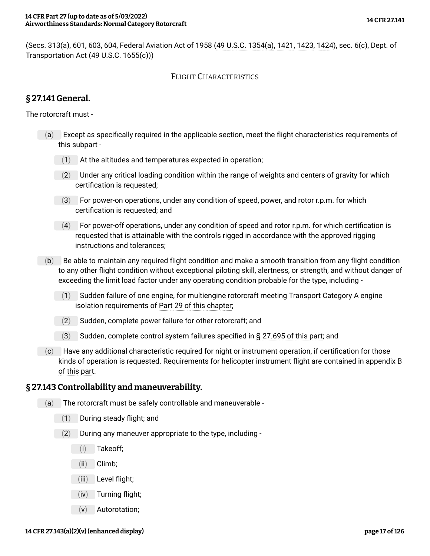<span id="page-16-0"></span>(Secs. 313(a), 601, 603, 604, Federal Aviation Act of 1958 [\(49 U.S.C. 1354\(a\)](https://www.govinfo.gov/link/uscode/49/1354), [1421](https://www.govinfo.gov/link/uscode/49/1421), [1423,](https://www.govinfo.gov/link/uscode/49/1423) [1424\)](https://www.govinfo.gov/link/uscode/49/1424), sec. 6(c), Dept. of Transportation Act ([49 U.S.C. 1655\(c\)\)](https://www.govinfo.gov/link/uscode/49/1655))

### FLIGHT CHARACTERISTICS

# <span id="page-16-1"></span>**§ 27.141 General.**

The rotorcraft must -

- (a) Except as specifically required in the applicable section, meet the flight characteristics requirements of this subpart -
	- $(1)$  At the altitudes and temperatures expected in operation;
	- (2) Under any critical loading condition within the range of weights and centers of gravity for which certification is requested;
	- $(3)$  For power-on operations, under any condition of speed, power, and rotor r.p.m. for which certification is requested; and
	- $(4)$  For power-off operations, under any condition of speed and rotor r.p.m. for which certification is requested that is attainable with the controls rigged in accordance with the approved rigging instructions and tolerances;
- (b) Be able to maintain any required flight condition and make a smooth transition from any flight condition to any other flight condition without exceptional piloting skill, alertness, or strength, and without danger of exceeding the limit load factor under any operating condition probable for the type, including -
	- (1) Sudden failure of one engine, for multiengine rotorcraft meeting Transport Category A engine isolation requirements of [Part 29 of this chapter](https://www.ecfr.gov/current/title-14/part-29/);
	- (2) Sudden, complete power failure for other rotorcraft; and
	- $(3)$  Sudden, complete control system failures specified in [§ 27.695 of this part;](https://www.ecfr.gov/current/title-14/part-27/section-27.695/) and
- (c) Have any additional characteristic required for night or instrument operation, if certification for those kinds of operation is requested. Requirements for helicopter instrument flight are contained in [appendix B](#page-116-0) [of this part](#page-116-0).

### <span id="page-16-2"></span>**§ 27.143 Controllability and maneuverability.**

- (a) The rotorcraft must be safely controllable and maneuverable
	- (1) During steady flight; and
	- $(2)$  During any maneuver appropriate to the type, including -
		- (i) Takeoff;
		- (ii) Climb;
		- (iii) Level flight;
		- (iv) Turning flight;
		- (v) Autorotation;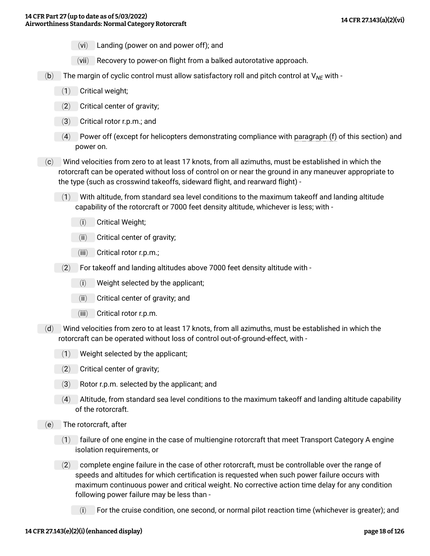- (vi) Landing (power on and power off); and
- (vii) Recovery to power-on flight from a balked autorotative approach.
- $(b)$  The margin of cyclic control must allow satisfactory roll and pitch control at  $V_{NE}$  with -
	- (1) Critical weight;
	- (2) Critical center of gravity;
	- (3) Critical rotor r.p.m.; and
	- $(4)$  Power off (except for helicopters demonstrating compliance with [paragraph \(f\)](#page-18-5) of this section) and power on.
- <span id="page-17-0"></span>(c) Wind velocities from zero to at least 17 knots, from all azimuths, must be established in which the rotorcraft can be operated without loss of control on or near the ground in any maneuver appropriate to the type (such as crosswind takeoffs, sideward flight, and rearward flight) -
	- (1) With altitude, from standard sea level conditions to the maximum takeoff and landing altitude capability of the rotorcraft or 7000 feet density altitude, whichever is less; with -
		- (i) Critical Weight;
		- (ii) Critical center of gravity;
		- (iii) Critical rotor r.p.m.;
	- (2) For takeoff and landing altitudes above 7000 feet density altitude with
		- (i) Weight selected by the applicant;
		- (ii) Critical center of gravity; and
		- (iii) Critical rotor r.p.m.
- (d) Wind velocities from zero to at least 17 knots, from all azimuths, must be established in which the rotorcraft can be operated without loss of control out-of-ground-effect, with -
	- (1) Weight selected by the applicant;
	- (2) Critical center of gravity;
	- (3) Rotor r.p.m. selected by the applicant; and
	- (4) Altitude, from standard sea level conditions to the maximum takeoff and landing altitude capability of the rotorcraft.
- (e) The rotorcraft, after
	- (1) failure of one engine in the case of multiengine rotorcraft that meet Transport Category A engine isolation requirements, or
	- (2) complete engine failure in the case of other rotorcraft, must be controllable over the range of speeds and altitudes for which certification is requested when such power failure occurs with maximum continuous power and critical weight. No corrective action time delay for any condition following power failure may be less than -
		- (i) For the cruise condition, one second, or normal pilot reaction time (whichever is greater); and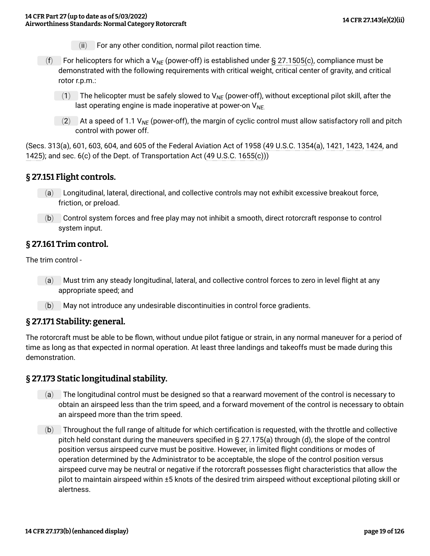- (ii) For any other condition, normal pilot reaction time.
- <span id="page-18-5"></span>(f) For helicopters for which a  $V_{NE}$  (power-off) is established under [§ 27.1505\(c\),](#page-105-2) compliance must be demonstrated with the following requirements with critical weight, critical center of gravity, and critical rotor r.p.m.:
	- (1) The helicopter must be safely slowed to  $V_{NE}$  (power-off), without exceptional pilot skill, after the last operating engine is made inoperative at power-on V<sub>NE</sub>.
	- $(2)$  At a speed of 1.1 V<sub>NE</sub> (power-off), the margin of cyclic control must allow satisfactory roll and pitch control with power off.

### <span id="page-18-0"></span>**§ 27.151 Flight controls.**

- (a) Longitudinal, lateral, directional, and collective controls may not exhibit excessive breakout force, friction, or preload.
- (b) Control system forces and free play may not inhibit a smooth, direct rotorcraft response to control system input.

### <span id="page-18-1"></span>**§ 27.161 Trim control.**

The trim control -

- (a) Must trim any steady longitudinal, lateral, and collective control forces to zero in level flight at any appropriate speed; and
- (b) May not introduce any undesirable discontinuities in control force gradients.

### <span id="page-18-2"></span>**§ 27.171 Stability: general.**

The rotorcraft must be able to be flown, without undue pilot fatigue or strain, in any normal maneuver for a period of time as long as that expected in normal operation. At least three landings and takeoffs must be made during this demonstration.

### <span id="page-18-3"></span>**§ 27.173 Static longitudinal stability.**

- (a) The longitudinal control must be designed so that a rearward movement of the control is necessary to obtain an airspeed less than the trim speed, and a forward movement of the control is necessary to obtain an airspeed more than the trim speed.
- <span id="page-18-4"></span>(b) Throughout the full range of altitude for which certification is requested, with the throttle and collective pitch held constant during the maneuvers specified in [§ 27.175\(a\)](#page-19-0) through [\(d\)](#page-19-1), the slope of the control position versus airspeed curve must be positive. However, in limited flight conditions or modes of operation determined by the Administrator to be acceptable, the slope of the control position versus airspeed curve may be neutral or negative if the rotorcraft possesses flight characteristics that allow the pilot to maintain airspeed within ±5 knots of the desired trim airspeed without exceptional piloting skill or alertness.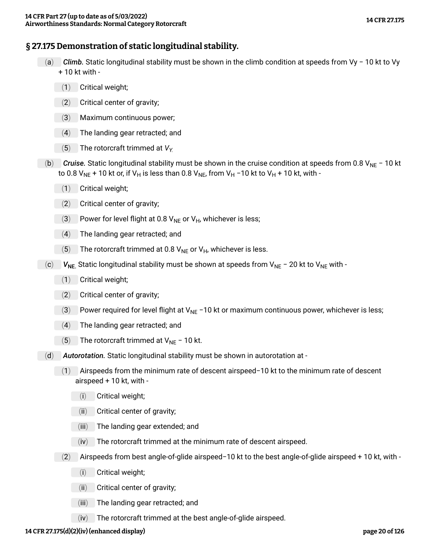# <span id="page-19-0"></span>**§ 27.175 Demonstration of static longitudinal stability.**

- (a) *Climb.* Static longitudinal stability must be shown in the climb condition at speeds from Vy − 10 kt to Vy + 10 kt with -
	- (1) Critical weight;
		- (2) Critical center of gravity;
	- (3) Maximum continuous power;
	- (4) The landing gear retracted; and
	- (5) The rotorcraft trimmed at *VY.*
- <span id="page-19-2"></span>*i* (b) *Cruise*. Static longitudinal stability must be shown in the cruise condition at speeds from 0.8 V<sub>NE</sub> − 10 kt to 0.8 V<sub>NE</sub> + 10 kt or, if V<sub>H</sub> is less than 0.8 V<sub>NE</sub>, from V<sub>H</sub> −10 kt to V<sub>H</sub> + 10 kt, with -
	- (1) Critical weight;
	- (2) Critical center of gravity;
	- (3) Power for level flight at 0.8  $V_{NE}$  or  $V_{H}$ , whichever is less;
	- (4) The landing gear retracted; and
	- (5) The rotorcraft trimmed at 0.8  $V_{NE}$  or  $V_{H}$ , whichever is less.
- <span id="page-19-3"></span>riangleright (c) *V*<sub>NE.</sub> Static longitudinal stability must be shown at speeds from V<sub>NE</sub> − 20 kt to V<sub>NE</sub> with -
	- (1) Critical weight;
	- (2) Critical center of gravity;
	- (3) Power required for level flight at V<sub>NE</sub> −10 kt or maximum continuous power, whichever is less;
	- (4) The landing gear retracted; and
	- $(5)$  The rotorcraft trimmed at V<sub>NE</sub> − 10 kt.
- <span id="page-19-1"></span>(d) *Autorotation.* Static longitudinal stability must be shown in autorotation at -
	- (1) Airspeeds from the minimum rate of descent airspeed−10 kt to the minimum rate of descent airspeed + 10 kt, with -
		- (i) Critical weight;
		- (ii) Critical center of gravity;
		- (iii) The landing gear extended; and
		- $(iv)$  The rotorcraft trimmed at the minimum rate of descent airspeed.
	- (2) Airspeeds from best angle-of-glide airspeed−10 kt to the best angle-of-glide airspeed + 10 kt, with
		- (i) Critical weight;
		- (ii) Critical center of gravity;
		- (iii) The landing gear retracted; and
		- (iv) The rotorcraft trimmed at the best angle-of-glide airspeed.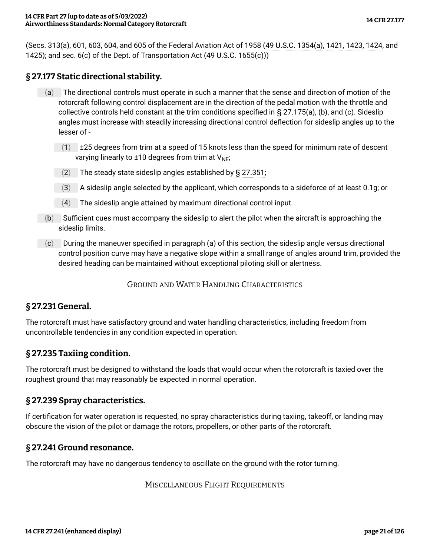### <span id="page-20-8"></span><span id="page-20-0"></span>**§ 27.177 Static directional stability.**

- (a) The directional controls must operate in such a manner that the sense and direction of motion of the rotorcraft following control displacement are in the direction of the pedal motion with the throttle and collective controls held constant at the trim conditions specified in [§ 27.175\(a\),](#page-19-0) [\(b\),](#page-19-2) and [\(c\).](#page-19-3) Sideslip angles must increase with steadily increasing directional control deflection for sideslip angles up to the lesser of -
	- $(1)$   $\pm$ 25 degrees from trim at a speed of 15 knots less than the speed for minimum rate of descent varying linearly to  $\pm 10$  degrees from trim at  $V_{NE}$ ;
	- $(2)$  The steady state sideslip angles established by [§ 27.351;](#page-23-1)
	- (3) A sideslip angle selected by the applicant, which corresponds to a sideforce of at least 0.1g; or
	- (4) The sideslip angle attained by maximum directional control input.
- (b) Sufficient cues must accompany the sideslip to alert the pilot when the aircraft is approaching the sideslip limits.
- (c) During the maneuver specified in [paragraph \(a\)](#page-20-8) of this section, the sideslip angle versus directional control position curve may have a negative slope within a small range of angles around trim, provided the desired heading can be maintained without exceptional piloting skill or alertness.

GROUND AND WATER HANDLING CHARACTERISTICS

### <span id="page-20-2"></span><span id="page-20-1"></span>**§ 27.231 General.**

The rotorcraft must have satisfactory ground and water handling characteristics, including freedom from uncontrollable tendencies in any condition expected in operation.

### <span id="page-20-3"></span>**§ 27.235 Taxiing condition.**

The rotorcraft must be designed to withstand the loads that would occur when the rotorcraft is taxied over the roughest ground that may reasonably be expected in normal operation.

### <span id="page-20-4"></span>**§ 27.239 Spray characteristics.**

If certification for water operation is requested, no spray characteristics during taxiing, takeoff, or landing may obscure the vision of the pilot or damage the rotors, propellers, or other parts of the rotorcraft.

### <span id="page-20-5"></span>**§ 27.241 Ground resonance.**

<span id="page-20-7"></span><span id="page-20-6"></span>The rotorcraft may have no dangerous tendency to oscillate on the ground with the rotor turning.

MISCELLANEOUS FLIGHT REQUIREMENTS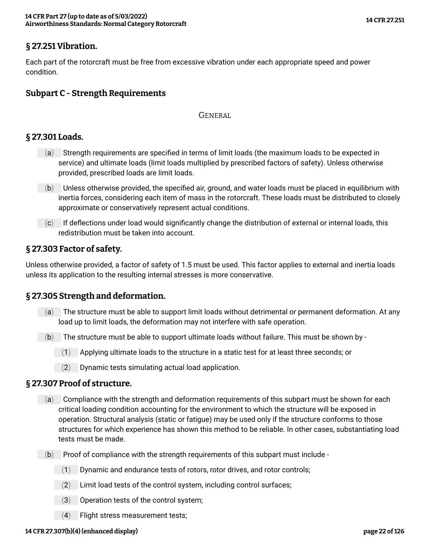# **§ 27.251 Vibration.**

Each part of the rotorcraft must be free from excessive vibration under each appropriate speed and power condition.

### <span id="page-21-1"></span><span id="page-21-0"></span>**Subpart C - Strength Requirements**

#### GENERAL

### <span id="page-21-2"></span>**§ 27.301 Loads.**

- (a) Strength requirements are specified in terms of limit loads (the maximum loads to be expected in service) and ultimate loads (limit loads multiplied by prescribed factors of safety). Unless otherwise provided, prescribed loads are limit loads.
- (b) Unless otherwise provided, the specified air, ground, and water loads must be placed in equilibrium with inertia forces, considering each item of mass in the rotorcraft. These loads must be distributed to closely approximate or conservatively represent actual conditions.
- (c) If deflections under load would significantly change the distribution of external or internal loads, this redistribution must be taken into account.

#### <span id="page-21-3"></span>**§ 27.303 Factor of safety.**

Unless otherwise provided, a factor of safety of 1.5 must be used. This factor applies to external and inertia loads unless its application to the resulting internal stresses is more conservative.

### <span id="page-21-4"></span>**§ 27.305 Strength and deformation.**

- (a) The structure must be able to support limit loads without detrimental or permanent deformation. At any load up to limit loads, the deformation may not interfere with safe operation.
- (b) The structure must be able to support ultimate loads without failure. This must be shown by
	- $(1)$  Applying ultimate loads to the structure in a static test for at least three seconds; or
	- (2) Dynamic tests simulating actual load application.

#### <span id="page-21-5"></span>**§ 27.307 Proof of structure.**

- (a) Compliance with the strength and deformation requirements of this subpart must be shown for each critical loading condition accounting for the environment to which the structure will be exposed in operation. Structural analysis (static or fatigue) may be used only if the structure conforms to those structures for which experience has shown this method to be reliable. In other cases, substantiating load tests must be made.
- (b) Proof of compliance with the strength requirements of this subpart must include
	- (1) Dynamic and endurance tests of rotors, rotor drives, and rotor controls;
	- (2) Limit load tests of the control system, including control surfaces;
	- (3) Operation tests of the control system;
	- (4) Flight stress measurement tests;

#### **14 CFR 27.307(b)(4) (enhanced display) page 22 of 126**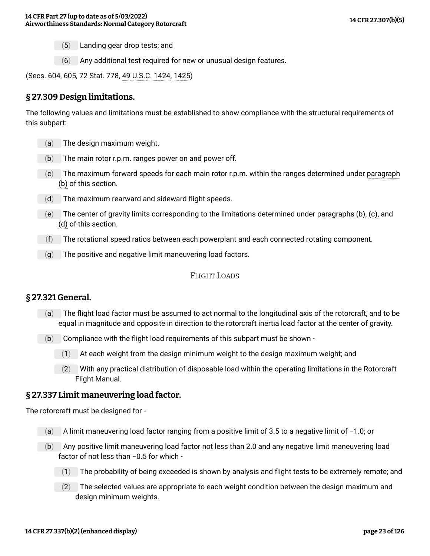- (5) Landing gear drop tests; and
- (6) Any additional test required for new or unusual design features.

<span id="page-22-0"></span>(Secs. 604, 605, 72 Stat. 778, [49 U.S.C. 1424,](https://www.govinfo.gov/link/uscode/49/1424) [1425\)](https://www.govinfo.gov/link/uscode/49/1425)

# **§ 27.309 Design limitations.**

The following values and limitations must be established to show compliance with the structural requirements of this subpart:

- (a) The design maximum weight.
- <span id="page-22-5"></span>(b) The main rotor r.p.m. ranges power on and power off.
- <span id="page-22-6"></span>(c) The maximum forward speeds for each main rotor r.p.m. within the ranges determined under [paragraph](#page-22-5) [\(b\)](#page-22-5) of this section.
- <span id="page-22-7"></span>(d) The maximum rearward and sideward flight speeds.
- (e) The center of gravity limits corresponding to the limitations determined under [paragraphs \(b\)](#page-22-5), [\(c\),](#page-22-6) and [\(d\)](#page-22-7) of this section.
- (f) The rotational speed ratios between each powerplant and each connected rotating component.
- <span id="page-22-1"></span> $(g)$  The positive and negative limit maneuvering load factors.

### FLIGHT LOADS

### <span id="page-22-2"></span>**§ 27.321 General.**

- (a) The flight load factor must be assumed to act normal to the longitudinal axis of the rotorcraft, and to be equal in magnitude and opposite in direction to the rotorcraft inertia load factor at the center of gravity.
- (b) Compliance with the flight load requirements of this subpart must be shown
	- (1) At each weight from the design minimum weight to the design maximum weight; and
	- (2) With any practical distribution of disposable load within the operating limitations in the Rotorcraft Flight Manual.

### <span id="page-22-3"></span>**§ 27.337 Limit maneuvering load factor.**

The rotorcraft must be designed for -

- (a) A limit maneuvering load factor ranging from a positive limit of 3.5 to a negative limit of −1.0; or
- <span id="page-22-4"></span>(b) Any positive limit maneuvering load factor not less than 2.0 and any negative limit maneuvering load factor of not less than −0.5 for which -
	- $(1)$  The probability of being exceeded is shown by analysis and flight tests to be extremely remote; and
	- (2) The selected values are appropriate to each weight condition between the design maximum and design minimum weights.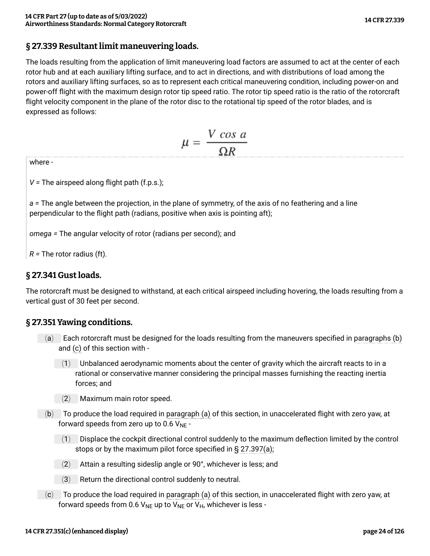# **§ 27.339 Resultant limit maneuvering loads.**

The loads resulting from the application of limit maneuvering load factors are assumed to act at the center of each rotor hub and at each auxiliary lifting surface, and to act in directions, and with distributions of load among the rotors and auxiliary lifting surfaces, so as to represent each critical maneuvering condition, including power-on and power-off flight with the maximum design rotor tip speed ratio. The rotor tip speed ratio is the ratio of the rotorcraft flight velocity component in the plane of the rotor disc to the rotational tip speed of the rotor blades, and is expressed as follows:

$$
u = \frac{V \cos a}{\Omega R}
$$

where -

*V =* The airspeed along flight path (f.p.s.);

*a =* The angle between the projection, in the plane of symmetry, of the axis of no feathering and a line perpendicular to the flight path (radians, positive when axis is pointing aft);

*omega =* The angular velocity of rotor (radians per second); and

*R =* The rotor radius (ft).

### <span id="page-23-0"></span>**§ 27.341 Gust loads.**

The rotorcraft must be designed to withstand, at each critical airspeed including hovering, the loads resulting from a vertical gust of 30 feet per second.

### <span id="page-23-4"></span><span id="page-23-1"></span>**§ 27.351 Yawing conditions.**

- (a) Each rotorcraft must be designed for the loads resulting from the maneuvers specified in [paragraphs \(b\)](#page-23-2) and [\(c\)](#page-23-3) of this section with -
	- $(1)$  Unbalanced aerodynamic moments about the center of gravity which the aircraft reacts to in a rational or conservative manner considering the principal masses furnishing the reacting inertia forces; and
	- (2) Maximum main rotor speed.
- <span id="page-23-2"></span>(b) To produce the load required in [paragraph \(a\)](#page-23-4) of this section, in unaccelerated flight with zero yaw, at forward speeds from zero up to 0.6  $V_{\text{NE}}$  -
	- (1) Displace the cockpit directional control suddenly to the maximum deflection limited by the control stops or by the maximum pilot force specified in [§ 27.397\(a\);](#page-25-4)
	- $(2)$  Attain a resulting sideslip angle or 90 $^{\circ}$ , whichever is less; and
	- $(3)$  Return the directional control suddenly to neutral.
- <span id="page-23-5"></span><span id="page-23-3"></span>(c) To produce the load required in [paragraph \(a\)](#page-23-4) of this section, in unaccelerated flight with zero yaw, at forward speeds from 0.6  $V_{NE}$  up to  $V_{NE}$  or  $V_{H}$ , whichever is less -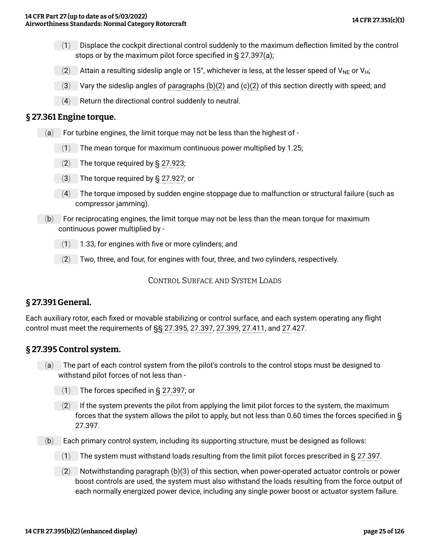- (1) Displace the cockpit directional control suddenly to the maximum deflection limited by the control stops or by the maximum pilot force specified in [§ 27.397\(a\);](#page-25-4)
- (2) Attain a resulting sideslip angle or 15°, whichever is less, at the lesser speed of  $V_{\text{NF}}$  or  $V_{\text{H}}$ ;
- $(3)$  Vary the sideslip angles of [paragraphs \(b\)\(2\)](#page-23-5) and [\(c\)\(2\)](#page-24-4) of this section directly with speed; and
- $(4)$  Return the directional control suddenly to neutral.

#### <span id="page-24-4"></span><span id="page-24-0"></span>**§ 27.361 Engine torque.**

- $(a)$  For turbine engines, the limit torque may not be less than the highest of -
	- $(1)$  The mean torque for maximum continuous power multiplied by 1.25;
	- $(2)$  The torque required by [§ 27.923](#page-63-4);
	- (3) The torque required by [§ 27.927](#page-65-0); or
	- $(4)$  The torque imposed by sudden engine stoppage due to malfunction or structural failure (such as compressor jamming).
- (b) For reciprocating engines, the limit torque may not be less than the mean torque for maximum continuous power multiplied by -
	- $(1)$  1.33, for engines with five or more cylinders; and
	- (2) Two, three, and four, for engines with four, three, and two cylinders, respectively.

CONTROL SURFACE AND SYSTEM LOADS

### <span id="page-24-2"></span><span id="page-24-1"></span>**§ 27.391 General.**

Each auxiliary rotor, each fixed or movable stabilizing or control surface, and each system operating any flight control must meet the requirements of [§§ 27.395,](#page-24-3) [27.397](#page-25-0), [27.399](#page-25-1), [27.411](#page-25-2), and [27.427](#page-25-3).

### <span id="page-24-3"></span>**§ 27.395 Control system.**

- (a) The part of each control system from the pilot's controls to the control stops must be designed to withstand pilot forces of not less than -
	- (1) The forces specified in [§ 27.397](#page-25-0); or
	- $(2)$  If the system prevents the pilot from applying the limit pilot forces to the system, the maximum forces that the system allows the pilot to apply, but not less than 0.60 times the forces specified in [§](#page-25-0) [27.397](#page-25-0).
- (b) Each primary control system, including its supporting structure, must be designed as follows:
	- $(1)$  The system must withstand loads resulting from the limit pilot forces prescribed in [§ 27.397](#page-25-0).
	- (2) Notwithstanding [paragraph \(b\)\(3\)](#page-25-5) of this section, when power-operated actuator controls or power boost controls are used, the system must also withstand the loads resulting from the force output of each normally energized power device, including any single power boost or actuator system failure.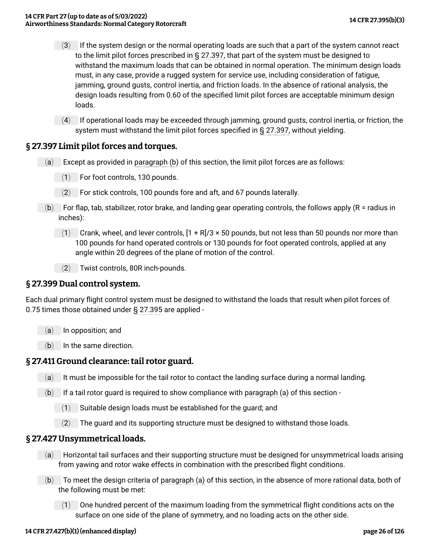- <span id="page-25-5"></span>(3) If the system design or the normal operating loads are such that a part of the system cannot react to the limit pilot forces prescribed in [§ 27.397,](#page-25-0) that part of the system must be designed to withstand the maximum loads that can be obtained in normal operation. The minimum design loads must, in any case, provide a rugged system for service use, including consideration of fatigue, jamming, ground gusts, control inertia, and friction loads. In the absence of rational analysis, the design loads resulting from 0.60 of the specified limit pilot forces are acceptable minimum design loads.
- $(4)$  If operational loads may be exceeded through jamming, ground gusts, control inertia, or friction, the system must withstand the limit pilot forces specified in [§ 27.397](#page-25-0), without yielding.

# <span id="page-25-4"></span><span id="page-25-0"></span>**§ 27.397 Limit pilot forces and torques.**

- (a) Except as provided in [paragraph \(b\)](#page-25-6) of this section, the limit pilot forces are as follows:
	- (1) For foot controls, 130 pounds.
	- (2) For stick controls, 100 pounds fore and aft, and 67 pounds laterally.
- <span id="page-25-6"></span>(b) For flap, tab, stabilizer, rotor brake, and landing gear operating controls, the follows apply (R = radius in inches):
	- $(1)$  Crank, wheel, and lever controls,  $[1 + R]/3 \times 50$  pounds, but not less than 50 pounds nor more than 100 pounds for hand operated controls or 130 pounds for foot operated controls, applied at any angle within 20 degrees of the plane of motion of the control.
	- (2) Twist controls, 80R inch-pounds.

### <span id="page-25-1"></span>**§ 27.399 Dual control system.**

Each dual primary flight control system must be designed to withstand the loads that result when pilot forces of 0.75 times those obtained under [§ 27.395](#page-24-3) are applied -

- (a) In opposition; and
- (b) In the same direction.

### <span id="page-25-7"></span><span id="page-25-2"></span>**§ 27.411 Ground clearance: tail rotor guard.**

- (a) It must be impossible for the tail rotor to contact the landing surface during a normal landing.
- (b) If a tail rotor guard is required to show compliance with [paragraph \(a\)](#page-25-7) of this section
	- $(1)$  Suitable design loads must be established for the guard; and
	- (2) The guard and its supporting structure must be designed to withstand those loads.

### <span id="page-25-8"></span><span id="page-25-3"></span>**§ 27.427 Unsymmetrical loads.**

- (a) Horizontal tail surfaces and their supporting structure must be designed for unsymmetrical loads arising from yawing and rotor wake effects in combination with the prescribed flight conditions.
- (b) To meet the design criteria of [paragraph \(a\)](#page-25-8) of this section, in the absence of more rational data, both of the following must be met:
	- $(1)$  One hundred percent of the maximum loading from the symmetrical flight conditions acts on the surface on one side of the plane of symmetry, and no loading acts on the other side.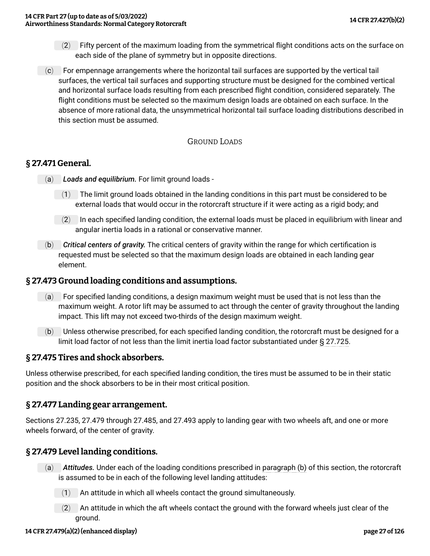- (2) Fifty percent of the maximum loading from the symmetrical flight conditions acts on the surface on each side of the plane of symmetry but in opposite directions.
- (c) For empennage arrangements where the horizontal tail surfaces are supported by the vertical tail surfaces, the vertical tail surfaces and supporting structure must be designed for the combined vertical and horizontal surface loads resulting from each prescribed flight condition, considered separately. The flight conditions must be selected so the maximum design loads are obtained on each surface. In the absence of more rational data, the unsymmetrical horizontal tail surface loading distributions described in this section must be assumed.

### GROUND LOADS

# <span id="page-26-1"></span><span id="page-26-0"></span>**§ 27.471 General.**

- (a) *Loads and equilibrium.* For limit ground loads
	- $(1)$  The limit ground loads obtained in the landing conditions in this part must be considered to be external loads that would occur in the rotorcraft structure if it were acting as a rigid body; and
	- (2) In each specified landing condition, the external loads must be placed in equilibrium with linear and angular inertia loads in a rational or conservative manner.
- (b) *Critical centers of gravity.* The critical centers of gravity within the range for which certification is requested must be selected so that the maximum design loads are obtained in each landing gear element.

### <span id="page-26-2"></span>**§ 27.473 Ground loading conditions and assumptions.**

- (a) For specified landing conditions, a design maximum weight must be used that is not less than the maximum weight. A rotor lift may be assumed to act through the center of gravity throughout the landing impact. This lift may not exceed two-thirds of the design maximum weight.
- (b) Unless otherwise prescribed, for each specified landing condition, the rotorcraft must be designed for a limit load factor of not less than the limit inertia load factor substantiated under [§ 27.725.](#page-48-2)

### <span id="page-26-8"></span><span id="page-26-3"></span>**§ 27.475 Tires and shock absorbers.**

Unless otherwise prescribed, for each specified landing condition, the tires must be assumed to be in their static position and the shock absorbers to be in their most critical position.

### <span id="page-26-4"></span>**§ 27.477 Landing gear arrangement.**

Sections 27.235, 27.479 through 27.485, and 27.493 apply to landing gear with two wheels aft, and one or more wheels forward, of the center of gravity.

# <span id="page-26-5"></span>**§ 27.479 Level landing conditions.**

- <span id="page-26-6"></span>(a) *Attitudes.* Under each of the loading conditions prescribed in [paragraph \(b\)](#page-27-4) of this section, the rotorcraft is assumed to be in each of the following level landing attitudes:
	- $(1)$  An attitude in which all wheels contact the ground simultaneously.
	- (2) An attitude in which the aft wheels contact the ground with the forward wheels just clear of the ground.

#### <span id="page-26-7"></span>**14 CFR 27.479(a)(2) (enhanced display) page 27 of 126**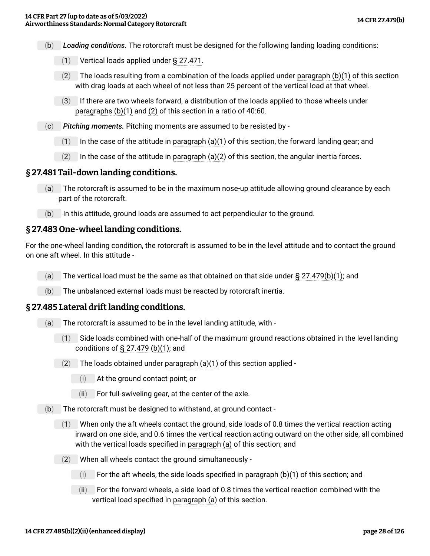- <span id="page-27-6"></span><span id="page-27-5"></span><span id="page-27-4"></span>(b) *Loading conditions.* The rotorcraft must be designed for the following landing loading conditions:
	- (1) Vertical loads applied under [§ 27.471](#page-26-1).
	- (2) The loads resulting from a combination of the loads applied under [paragraph \(b\)\(1\)](#page-27-5) of this section with drag loads at each wheel of not less than 25 percent of the vertical load at that wheel.
	- (3) If there are two wheels forward, a distribution of the loads applied to those wheels under [paragraphs \(b\)\(1\)](#page-27-5) and [\(2\)](#page-27-6) of this section in a ratio of 40:60.
- (c) *Pitching moments.* Pitching moments are assumed to be resisted by
	- $(1)$  In the case of the attitude in [paragraph \(a\)\(1\)](#page-26-6) of this section, the forward landing gear; and
	- $(2)$  In the case of the attitude in [paragraph \(a\)\(2\)](#page-26-7) of this section, the angular inertia forces.

### <span id="page-27-0"></span>**§ 27.481 Tail-down landing conditions.**

- (a) The rotorcraft is assumed to be in the maximum nose-up attitude allowing ground clearance by each part of the rotorcraft.
- (b) In this attitude, ground loads are assumed to act perpendicular to the ground.

### <span id="page-27-1"></span>**§ 27.483 One-wheel landing conditions.**

For the one-wheel landing condition, the rotorcraft is assumed to be in the level attitude and to contact the ground on one aft wheel. In this attitude -

- (a) The vertical load must be the same as that obtained on that side under  $\S 27.479(b)(1)$ ; and
- (b) The unbalanced external loads must be reacted by rotorcraft inertia.

### <span id="page-27-8"></span><span id="page-27-7"></span><span id="page-27-2"></span>**§ 27.485 Lateral drift landing conditions.**

- (a) The rotorcraft is assumed to be in the level landing attitude, with
	- (1) Side loads combined with one-half of the maximum ground reactions obtained in the level landing conditions of [§ 27.479 \(b\)\(1\)](#page-27-5); and
	- $(2)$  The loads obtained under paragraph  $(a)(1)$  of this section applied -
		- (i) At the ground contact point; or
		- (ii) For full-swiveling gear, at the center of the axle.
- <span id="page-27-9"></span><span id="page-27-3"></span>(b) The rotorcraft must be designed to withstand, at ground contact -
	- $(1)$  When only the aft wheels contact the ground, side loads of 0.8 times the vertical reaction acting inward on one side, and 0.6 times the vertical reaction acting outward on the other side, all combined with the vertical loads specified in [paragraph \(a\)](#page-27-8) of this section; and
	- (2) When all wheels contact the ground simultaneously
		- $(i)$  For the aft wheels, the side loads specified in paragraph  $(b)(1)$  of this section; and
		- (ii) For the forward wheels, a side load of 0.8 times the vertical reaction combined with the vertical load specified in [paragraph \(a\)](#page-27-8) of this section.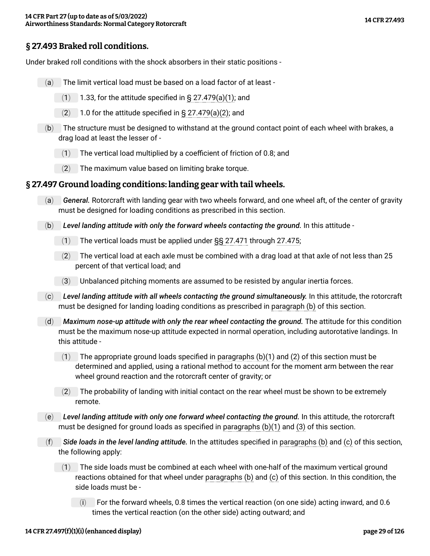# **§ 27.493 Braked roll conditions.**

Under braked roll conditions with the shock absorbers in their static positions -

- (a) The limit vertical load must be based on a load factor of at least -
	- $(1)$  1.33, for the attitude specified in [§ 27.479\(a\)\(1\);](#page-26-6) and
	- $(2)$  1.0 for the attitude specified in [§ 27.479\(a\)\(2\);](#page-26-7) and
- (b) The structure must be designed to withstand at the ground contact point of each wheel with brakes, a drag load at least the lesser of -
	- $(1)$  The vertical load multiplied by a coefficient of friction of 0.8; and
	- $(2)$  The maximum value based on limiting brake torque.

### <span id="page-28-0"></span>**§ 27.497 Ground loading conditions: landing gear with tail wheels.**

- (a) *General.* Rotorcraft with landing gear with two wheels forward, and one wheel aft, of the center of gravity must be designed for loading conditions as prescribed in this section.
- <span id="page-28-3"></span><span id="page-28-2"></span><span id="page-28-1"></span>(b) *Level landing attitude with only the forward wheels contacting the ground.* In this attitude -
	- $(1)$  The vertical loads must be applied under  $\S$ § 27.471 through [27.475;](#page-26-3)
	- $(2)$  The vertical load at each axle must be combined with a drag load at that axle of not less than 25 percent of that vertical load; and
	- (3) Unbalanced pitching moments are assumed to be resisted by angular inertia forces.
- <span id="page-28-5"></span><span id="page-28-4"></span>(c) *Level landing attitude with all wheels contacting the ground simultaneously.* In this attitude, the rotorcraft must be designed for landing loading conditions as prescribed in [paragraph \(b\)](#page-28-1) of this section.
- (d) *Maximum nose-up attitude with only the rear wheel contacting the ground.* The attitude for this condition must be the maximum nose-up attitude expected in normal operation, including autorotative landings. In this attitude -
	- (1) The appropriate ground loads specified in paragraphs  $(b)(1)$  and [\(2\)](#page-28-3) of this section must be determined and applied, using a rational method to account for the moment arm between the rear wheel ground reaction and the rotorcraft center of gravity; or
	- (2) The probability of landing with initial contact on the rear wheel must be shown to be extremely remote.
- (e) *Level landing attitude with only one forward wheel contacting the ground.* In this attitude, the rotorcraft must be designed for ground loads as specified in [paragraphs \(b\)\(1\)](#page-28-2) and [\(3\)](#page-28-4) of this section.
- <span id="page-28-6"></span>(f) *Side loads in the level landing attitude.* In the attitudes specified in [paragraphs \(b\)](#page-28-1) and [\(c\)](#page-28-5) of this section, the following apply:
	- $(1)$  The side loads must be combined at each wheel with one-half of the maximum vertical ground reactions obtained for that wheel under [paragraphs \(b\)](#page-28-1) and [\(c\)](#page-28-5) of this section. In this condition, the side loads must be -
		- (i) For the forward wheels, 0.8 times the vertical reaction (on one side) acting inward, and 0.6 times the vertical reaction (on the other side) acting outward; and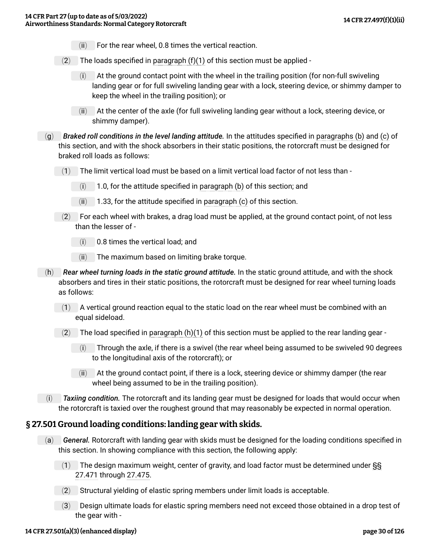- $(i)$  For the rear wheel, 0.8 times the vertical reaction.
- $(2)$  The loads specified in [paragraph \(f\)\(1\)](#page-28-6) of this section must be applied -
	- (i) At the ground contact point with the wheel in the trailing position (for non-full swiveling landing gear or for full swiveling landing gear with a lock, steering device, or shimmy damper to keep the wheel in the trailing position); or
	- (ii) At the center of the axle (for full swiveling landing gear without a lock, steering device, or shimmy damper).
- (g) *Braked roll conditions in the level landing attitude.* In the attitudes specified in [paragraphs \(b\)](#page-28-1) and [\(c\)](#page-28-5) of this section, and with the shock absorbers in their static positions, the rotorcraft must be designed for braked roll loads as follows:
	- $(1)$  The limit vertical load must be based on a limit vertical load factor of not less than -
		- $(i)$  1.0, for the attitude specified in [paragraph \(b\)](#page-28-1) of this section; and
		- $(iii)$  1.33, for the attitude specified in [paragraph \(c\)](#page-28-5) of this section.
	- $(2)$  For each wheel with brakes, a drag load must be applied, at the ground contact point, of not less than the lesser of -
		- (i) 0.8 times the vertical load; and
		- (ii) The maximum based on limiting brake torque.
- <span id="page-29-1"></span>(h) *Rear wheel turning loads in the static ground attitude.* In the static ground attitude, and with the shock absorbers and tires in their static positions, the rotorcraft must be designed for rear wheel turning loads as follows:
	- $(1)$  A vertical ground reaction equal to the static load on the rear wheel must be combined with an equal sideload.
	- $(2)$  The load specified in [paragraph \(h\)\(1\)](#page-29-1) of this section must be applied to the rear landing gear -
		- (i) Through the axle, if there is a swivel (the rear wheel being assumed to be swiveled 90 degrees to the longitudinal axis of the rotorcraft); or
		- (ii) At the ground contact point, if there is a lock, steering device or shimmy damper (the rear wheel being assumed to be in the trailing position).
- (i) *Taxiing condition.* The rotorcraft and its landing gear must be designed for loads that would occur when the rotorcraft is taxied over the roughest ground that may reasonably be expected in normal operation.

### <span id="page-29-2"></span><span id="page-29-0"></span>**§ 27.501 Ground loading conditions: landing gear with skids.**

- (a) *General.* Rotorcraft with landing gear with skids must be designed for the loading conditions specified in this section. In showing compliance with this section, the following apply:
	- $(1)$  The design maximum weight, center of gravity, and load factor must be determined under  $\S$ § [27.471](#page-26-1) through [27.475](#page-26-3).
	- (2) Structural yielding of elastic spring members under limit loads is acceptable.
	- (3) Design ultimate loads for elastic spring members need not exceed those obtained in a drop test of the gear with -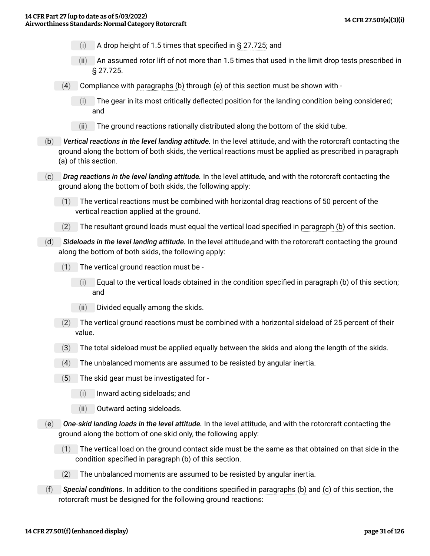- (i) A drop height of 1.5 times that specified in  $\S$  27.725; and
- (ii) An assumed rotor lift of not more than 1.5 times that used in the limit drop tests prescribed in [§ 27.725.](#page-48-2)
- $(4)$  Compliance with [paragraphs \(b\)](#page-30-0) through [\(e\)](#page-30-1) of this section must be shown with -
	- (i) The gear in its most critically deflected position for the landing condition being considered; and
	- (ii) The ground reactions rationally distributed along the bottom of the skid tube.
- <span id="page-30-0"></span>(b) *Vertical reactions in the level landing attitude.* In the level attitude, and with the rotorcraft contacting the ground along the bottom of both skids, the vertical reactions must be applied as prescribed in [paragraph](#page-29-2) [\(a\)](#page-29-2) of this section.
- <span id="page-30-2"></span>(c) *Drag reactions in the level landing attitude.* In the level attitude, and with the rotorcraft contacting the ground along the bottom of both skids, the following apply:
	- $(1)$  The vertical reactions must be combined with horizontal drag reactions of 50 percent of the vertical reaction applied at the ground.
	- (2) The resultant ground loads must equal the vertical load specified in [paragraph \(b\)](#page-30-0) of this section.
- (d) *Sideloads in the level landing attitude.* In the level attitude,and with the rotorcraft contacting the ground along the bottom of both skids, the following apply:
	- (1) The vertical ground reaction must be
		- (i) Equal to the vertical loads obtained in the condition specified in [paragraph \(b\)](#page-30-0) of this section; and
		- (ii) Divided equally among the skids.
	- (2) The vertical ground reactions must be combined with a horizontal sideload of 25 percent of their value.
	- (3) The total sideload must be applied equally between the skids and along the length of the skids.
	- $(4)$  The unbalanced moments are assumed to be resisted by angular inertia.
	- $(5)$  The skid gear must be investigated for -
		- (i) Inward acting sideloads; and
		- (ii) Outward acting sideloads.
- <span id="page-30-1"></span>(e) *One-skid landing loads in the level attitude.* In the level attitude, and with the rotorcraft contacting the ground along the bottom of one skid only, the following apply:
	- $(1)$  The vertical load on the ground contact side must be the same as that obtained on that side in the condition specified in [paragraph \(b\)](#page-30-0) of this section.
	- (2) The unbalanced moments are assumed to be resisted by angular inertia.
- (f) *Special conditions.* In addition to the conditions specified in [paragraphs \(b\)](#page-30-0) and [\(c\)](#page-30-2) of this section, the rotorcraft must be designed for the following ground reactions: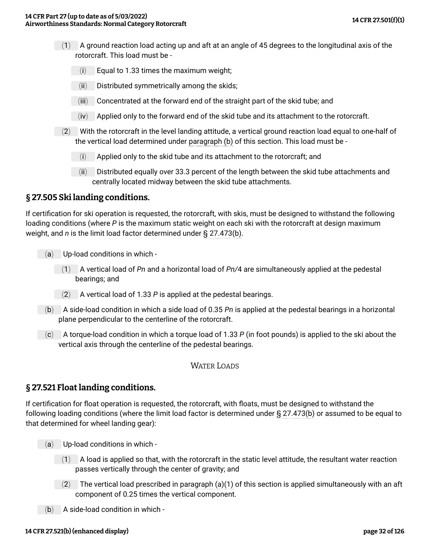- (1) A ground reaction load acting up and aft at an angle of 45 degrees to the longitudinal axis of the rotorcraft. This load must be -
	- (i) Equal to 1.33 times the maximum weight;
	- (ii) Distributed symmetrically among the skids;
	- (iii) Concentrated at the forward end of the straight part of the skid tube; and
	- (iv) Applied only to the forward end of the skid tube and its attachment to the rotorcraft.
- (2) With the rotorcraft in the level landing attitude, a vertical ground reaction load equal to one-half of the vertical load determined under [paragraph \(b\)](#page-30-0) of this section. This load must be -
	- (i) Applied only to the skid tube and its attachment to the rotorcraft; and
	- (ii) Distributed equally over 33.3 percent of the length between the skid tube attachments and centrally located midway between the skid tube attachments.

### <span id="page-31-0"></span>**§ 27.505 Ski landing conditions.**

If certification for ski operation is requested, the rotorcraft, with skis, must be designed to withstand the following loading conditions (where *P* is the maximum static weight on each ski with the rotorcraft at design maximum weight, and *n* is the limit load factor determined under [§ 27.473\(b\)](#page-26-8).

- (a) Up-load conditions in which
	- (1) A vertical load of *Pn* and a horizontal load of *Pn/*4 are simultaneously applied at the pedestal bearings; and
	- $(2)$  A vertical load of 1.33 *P* is applied at the pedestal bearings.
- (b) A side-load condition in which a side load of 0.35 *Pn* is applied at the pedestal bearings in a horizontal plane perpendicular to the centerline of the rotorcraft.
- <span id="page-31-1"></span>(c) A torque-load condition in which a torque load of 1.33 *P* (in foot pounds) is applied to the ski about the vertical axis through the centerline of the pedestal bearings.

### WATER LOADS

### <span id="page-31-2"></span>**§ 27.521 Float landing conditions.**

If certification for float operation is requested, the rotorcraft, with floats, must be designed to withstand the following loading conditions (where the limit load factor is determined under [§ 27.473\(b\)](#page-26-8) or assumed to be equal to that determined for wheel landing gear):

- <span id="page-31-3"></span>(a) Up-load conditions in which -
	- $(1)$  A load is applied so that, with the rotorcraft in the static level attitude, the resultant water reaction passes vertically through the center of gravity; and
	- $(2)$  The vertical load prescribed in [paragraph \(a\)\(1\)](#page-31-3) of this section is applied simultaneously with an aft component of 0.25 times the vertical component.
- (b) A side-load condition in which -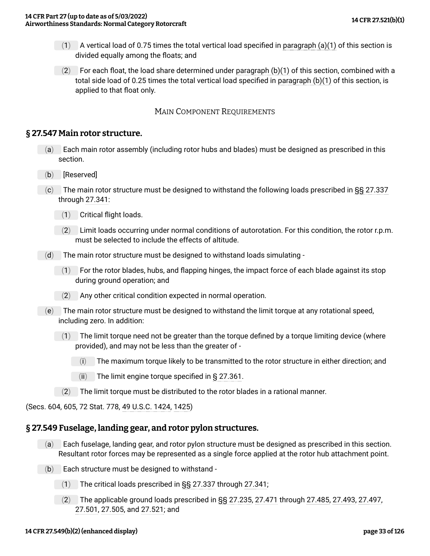- <span id="page-32-3"></span> $(1)$  A vertical load of 0.75 times the total vertical load specified in [paragraph \(a\)\(1\)](#page-31-3) of this section is divided equally among the floats; and
- (2) For each float, the load share determined under [paragraph \(b\)\(1\)](#page-32-3) of this section, combined with a total side load of 0.25 times the total vertical load specified in [paragraph \(b\)\(1\)](#page-32-3) of this section, is applied to that float only.

### MAIN COMPONENT REQUIREMENTS

### <span id="page-32-1"></span><span id="page-32-0"></span>**§ 27.547 Main rotor structure.**

- (a) Each main rotor assembly (including rotor hubs and blades) must be designed as prescribed in this section.
- (b) [Reserved]
- (c) The main rotor structure must be designed to withstand the following loads prescribed in [§§ 27.337](#page-22-3) through [27.341](#page-23-0):
	- (1) Critical flight loads.
	- (2) Limit loads occurring under normal conditions of autorotation. For this condition, the rotor r.p.m. must be selected to include the effects of altitude.
- (d) The main rotor structure must be designed to withstand loads simulating
	- $(1)$  For the rotor blades, hubs, and flapping hinges, the impact force of each blade against its stop during ground operation; and
	- $(2)$  Any other critical condition expected in normal operation.
- <span id="page-32-5"></span><span id="page-32-4"></span>(e) The main rotor structure must be designed to withstand the limit torque at any rotational speed, including zero. In addition:
	- $(1)$  The limit torque need not be greater than the torque defined by a torque limiting device (where provided), and may not be less than the greater of -
		- (i) The maximum torque likely to be transmitted to the rotor structure in either direction; and
		- $(i)$  The limit engine torque specified in [§ 27.361](#page-24-0).
	- (2) The limit torque must be distributed to the rotor blades in a rational manner.

<span id="page-32-2"></span>(Secs. 604, 605, 72 Stat. 778, [49 U.S.C. 1424,](https://www.govinfo.gov/link/uscode/49/1424) [1425\)](https://www.govinfo.gov/link/uscode/49/1425)

### **§ 27.549 Fuselage, landing gear, and rotor pylon structures.**

- (a) Each fuselage, landing gear, and rotor pylon structure must be designed as prescribed in this section. Resultant rotor forces may be represented as a single force applied at the rotor hub attachment point.
- $(b)$  Each structure must be designed to withstand -
	- (1) The critical loads prescribed in [§§ 27.337](#page-22-3) through [27.341](#page-23-0);
	- $(2)$  The applicable ground loads prescribed in [§§ 27.235,](#page-20-3) [27.471](#page-26-1) through [27.485](#page-27-2), [27.493](#page-27-3), [27.497,](#page-28-0) [27.501](#page-29-0), [27.505](#page-31-0), and [27.521](#page-31-2); and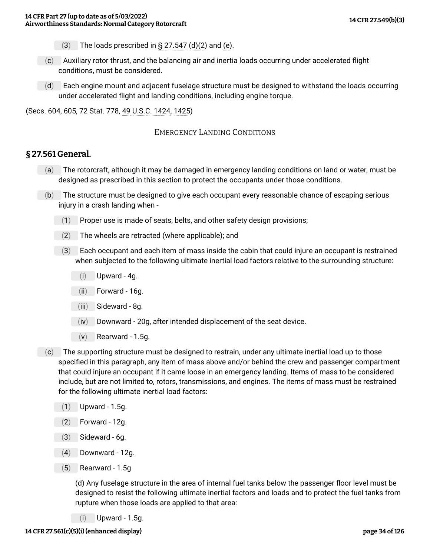- $(3)$  The loads prescribed in [§ 27.547 \(d\)\(2\)](#page-32-4) and [\(e\).](#page-32-5)
- (c) Auxiliary rotor thrust, and the balancing air and inertia loads occurring under accelerated flight conditions, must be considered.
- (d) Each engine mount and adjacent fuselage structure must be designed to withstand the loads occurring under accelerated flight and landing conditions, including engine torque.

<span id="page-33-0"></span>(Secs. 604, 605, 72 Stat. 778, [49 U.S.C. 1424,](https://www.govinfo.gov/link/uscode/49/1424) [1425\)](https://www.govinfo.gov/link/uscode/49/1425)

#### EMERGENCY LANDING CONDITIONS

### <span id="page-33-1"></span>**§ 27.561 General.**

- (a) The rotorcraft, although it may be damaged in emergency landing conditions on land or water, must be designed as prescribed in this section to protect the occupants under those conditions.
- (b) The structure must be designed to give each occupant every reasonable chance of escaping serious injury in a crash landing when -
	- $(1)$  Proper use is made of seats, belts, and other safety design provisions;
		- (2) The wheels are retracted (where applicable); and
	- (3) Each occupant and each item of mass inside the cabin that could injure an occupant is restrained when subjected to the following ultimate inertial load factors relative to the surrounding structure:
		- (i) Upward 4g.
		- (ii) Forward 16g.
		- (iii) Sideward 8g.
		- $(iv)$  Downward 20g, after intended displacement of the seat device.
		- $(v)$  Rearward 1.5g.
- (c) The supporting structure must be designed to restrain, under any ultimate inertial load up to those specified in this paragraph, any item of mass above and/or behind the crew and passenger compartment that could injure an occupant if it came loose in an emergency landing. Items of mass to be considered include, but are not limited to, rotors, transmissions, and engines. The items of mass must be restrained for the following ultimate inertial load factors:
	- (1) Upward 1.5g.
		- (2) Forward 12g.
		- $(3)$  Sideward 6g.
	- $(4)$  Downward 12g.
	- $(5)$  Rearward 1.5g

(d) Any fuselage structure in the area of internal fuel tanks below the passenger floor level must be designed to resist the following ultimate inertial factors and loads and to protect the fuel tanks from rupture when those loads are applied to that area:

(i) Upward - 1.5g.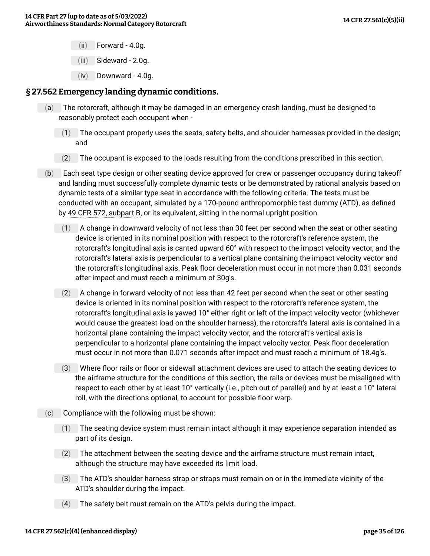- (ii) Forward 4.0g.
- (iii) Sideward 2.0g.
- (iv) Downward 4.0g.

# <span id="page-34-0"></span>**§ 27.562 Emergency landing dynamic conditions.**

- (a) The rotorcraft, although it may be damaged in an emergency crash landing, must be designed to reasonably protect each occupant when -
	- $(1)$  The occupant properly uses the seats, safety belts, and shoulder harnesses provided in the design; and
	- (2) The occupant is exposed to the loads resulting from the conditions prescribed in this section.
- (b) Each seat type design or other seating device approved for crew or passenger occupancy during takeoff and landing must successfully complete dynamic tests or be demonstrated by rational analysis based on dynamic tests of a similar type seat in accordance with the following criteria. The tests must be conducted with an occupant, simulated by a 170-pound anthropomorphic test dummy (ATD), as defined by [49 CFR 572, subpart B](https://www.ecfr.gov/current/title-49/part-572/subpart-B/), or its equivalent, sitting in the normal upright position.
	- $(1)$  A change in downward velocity of not less than 30 feet per second when the seat or other seating device is oriented in its nominal position with respect to the rotorcraft's reference system, the rotorcraft's longitudinal axis is canted upward 60° with respect to the impact velocity vector, and the rotorcraft's lateral axis is perpendicular to a vertical plane containing the impact velocity vector and the rotorcraft's longitudinal axis. Peak floor deceleration must occur in not more than 0.031 seconds after impact and must reach a minimum of 30g's.
	- (2) A change in forward velocity of not less than 42 feet per second when the seat or other seating device is oriented in its nominal position with respect to the rotorcraft's reference system, the rotorcraft's longitudinal axis is yawed 10° either right or left of the impact velocity vector (whichever would cause the greatest load on the shoulder harness), the rotorcraft's lateral axis is contained in a horizontal plane containing the impact velocity vector, and the rotorcraft's vertical axis is perpendicular to a horizontal plane containing the impact velocity vector. Peak floor deceleration must occur in not more than 0.071 seconds after impact and must reach a minimum of 18.4g's.
	- (3) Where floor rails or floor or sidewall attachment devices are used to attach the seating devices to the airframe structure for the conditions of this section, the rails or devices must be misaligned with respect to each other by at least 10° vertically (i.e., pitch out of parallel) and by at least a 10° lateral roll, with the directions optional, to account for possible floor warp.
- $(c)$  Compliance with the following must be shown:
	- (1) The seating device system must remain intact although it may experience separation intended as part of its design.
	- $(2)$  The attachment between the seating device and the airframe structure must remain intact, although the structure may have exceeded its limit load.
	- (3) The ATD's shoulder harness strap or straps must remain on or in the immediate vicinity of the ATD's shoulder during the impact.
	- (4) The safety belt must remain on the ATD's pelvis during the impact.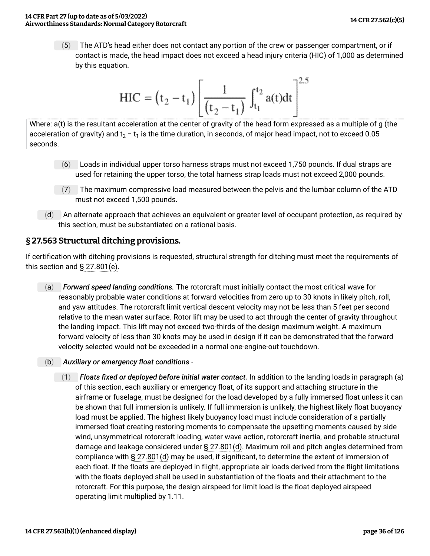(5) The ATD's head either does not contact any portion of the crew or passenger compartment, or if contact is made, the head impact does not exceed a head injury criteria (HIC) of 1,000 as determined by this equation.

$$
HIC = (t_2 - t_1) \left[ \frac{1}{(t_2 - t_1)} \int_{t_1}^{t_2} a(t) dt \right]^{2.5}
$$

Where: a(t) is the resultant acceleration at the center of gravity of the head form expressed as a multiple of g (the acceleration of gravity) and  $t_2 - t_1$  is the time duration, in seconds, of major head impact, not to exceed 0.05 seconds.

- (6) Loads in individual upper torso harness straps must not exceed 1,750 pounds. If dual straps are used for retaining the upper torso, the total harness strap loads must not exceed 2,000 pounds.
- (7) The maximum compressive load measured between the pelvis and the lumbar column of the ATD must not exceed 1,500 pounds.
- (d) An alternate approach that achieves an equivalent or greater level of occupant protection, as required by this section, must be substantiated on a rational basis.

# <span id="page-35-0"></span>**§ 27.563 Structural ditching provisions.**

<span id="page-35-1"></span>If certification with ditching provisions is requested, structural strength for ditching must meet the requirements of this section and [§ 27.801\(e\)](#page-55-3).

- (a) *Forward speed landing conditions.* The rotorcraft must initially contact the most critical wave for reasonably probable water conditions at forward velocities from zero up to 30 knots in likely pitch, roll, and yaw attitudes. The rotorcraft limit vertical descent velocity may not be less than 5 feet per second relative to the mean water surface. Rotor lift may be used to act through the center of gravity throughout the landing impact. This lift may not exceed two-thirds of the design maximum weight. A maximum forward velocity of less than 30 knots may be used in design if it can be demonstrated that the forward velocity selected would not be exceeded in a normal one-engine-out touchdown.
- (b) *Auxiliary or emergency float conditions*
	- (1) *Floats fixed or deployed before initial water contact.* In addition to the landing loads in [paragraph \(a\)](#page-35-1) of this section, each auxiliary or emergency float, of its support and attaching structure in the airframe or fuselage, must be designed for the load developed by a fully immersed float unless it can be shown that full immersion is unlikely. If full immersion is unlikely, the highest likely float buoyancy load must be applied. The highest likely buoyancy load must include consideration of a partially immersed float creating restoring moments to compensate the upsetting moments caused by side wind, unsymmetrical rotorcraft loading, water wave action, rotorcraft inertia, and probable structural damage and leakage considered under [§ 27.801\(d\).](#page-55-4) Maximum roll and pitch angles determined from compliance with [§ 27.801\(d\)](#page-55-4) may be used, if significant, to determine the extent of immersion of each float. If the floats are deployed in flight, appropriate air loads derived from the flight limitations with the floats deployed shall be used in substantiation of the floats and their attachment to the rotorcraft. For this purpose, the design airspeed for limit load is the float deployed airspeed operating limit multiplied by 1.11.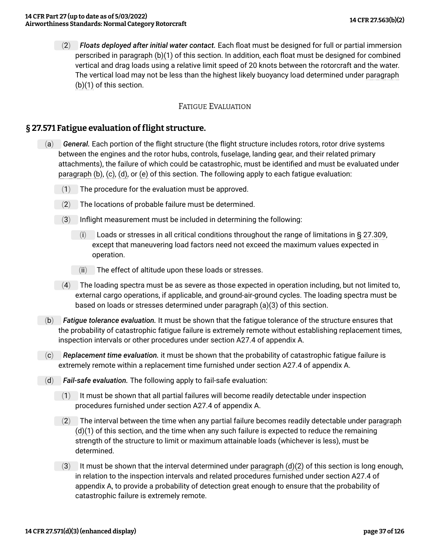(2) *Floats deployed after initial water contact.* Each float must be designed for full or partial immersion perscribed in [paragraph \(b\)\(1\)](#page-35-0) of this section. In addition, each float must be designed for combined vertical and drag loads using a relative limit speed of 20 knots between the rotorcraft and the water. The vertical load may not be less than the highest likely buoyancy load determined under [paragraph](#page-35-0) [\(b\)\(1\)](#page-35-0) of this section.

# FATIGUE EVALUATION

# <span id="page-36-6"></span>**§ 27.571 Fatigue evaluation of flight structure.**

- <span id="page-36-3"></span>(a) *General.* Each portion of the flight structure (the flight structure includes rotors, rotor drive systems between the engines and the rotor hubs, controls, fuselage, landing gear, and their related primary attachments), the failure of which could be catastrophic, must be identified and must be evaluated under [paragraph \(b\)](#page-36-0), [\(c\),](#page-36-1) [\(d\)](#page-36-2), or [\(e\)](#page-37-0) of this section. The following apply to each fatigue evaluation:
	- (1) The procedure for the evaluation must be approved.
	- (2) The locations of probable failure must be determined.
	- (3) Inflight measurement must be included in determining the following:
		- (i) Loads or stresses in all critical conditions throughout the range of limitations in [§ 27.309,](#page-22-0) except that maneuvering load factors need not exceed the maximum values expected in operation.
		- (ii) The effect of altitude upon these loads or stresses.
	- $(4)$  The loading spectra must be as severe as those expected in operation including, but not limited to, external cargo operations, if applicable, and ground-air-ground cycles. The loading spectra must be based on loads or stresses determined under [paragraph \(a\)\(3\)](#page-36-3) of this section.
- <span id="page-36-0"></span>(b) *Fatigue tolerance evaluation.* It must be shown that the fatigue tolerance of the structure ensures that the probability of catastrophic fatigue failure is extremely remote without establishing replacement times, inspection intervals or other procedures under section A27.4 of appendix A.
- <span id="page-36-1"></span>(c) *Replacement time evaluation.* it must be shown that the probability of catastrophic fatigue failure is extremely remote within a replacement time furnished under section A27.4 of appendix A.
- <span id="page-36-5"></span><span id="page-36-4"></span><span id="page-36-2"></span>(d) *Fail-safe evaluation.* The following apply to fail-safe evaluation:
	- $(1)$  It must be shown that all partial failures will become readily detectable under inspection procedures furnished under section A27.4 of appendix A.
	- $(2)$  The interval between the time when any partial failure becomes readily detectable under [paragraph](#page-36-4) [\(d\)\(1\)](#page-36-4) of this section, and the time when any such failure is expected to reduce the remaining strength of the structure to limit or maximum attainable loads (whichever is less), must be determined.
	- $(3)$  It must be shown that the interval determined under paragraph  $(d)(2)$  of this section is long enough, in relation to the inspection intervals and related procedures furnished under section A27.4 of appendix A, to provide a probability of detection great enough to ensure that the probability of catastrophic failure is extremely remote.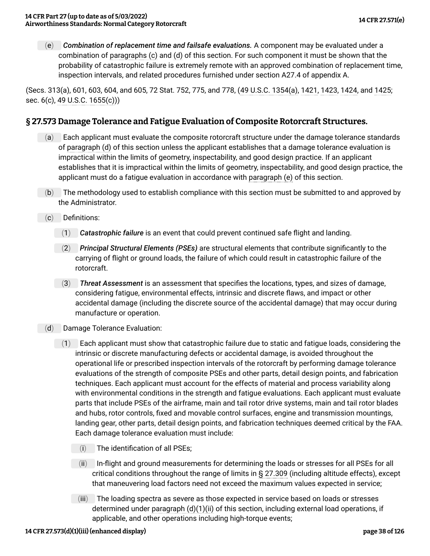<span id="page-37-0"></span>(e) *Combination of replacement time and failsafe evaluations.* A component may be evaluated under a combination of [paragraphs \(c\)](#page-36-1) and [\(d\)](#page-36-2) of this section. For such component it must be shown that the probability of catastrophic failure is extremely remote with an approved combination of replacement time, inspection intervals, and related procedures furnished under section A27.4 of appendix A.

(Secs. 313(a), 601, 603, 604, and 605, 72 Stat. 752, 775, and 778, ([49 U.S.C. 1354\(a\)](https://www.govinfo.gov/link/uscode/49/1354), [1421](https://www.govinfo.gov/link/uscode/49/1421), [1423,](https://www.govinfo.gov/link/uscode/49/1423) [1424,](https://www.govinfo.gov/link/uscode/49/1424) and [1425](https://www.govinfo.gov/link/uscode/49/1425); sec. 6(c), [49 U.S.C. 1655\(c\)](https://www.govinfo.gov/link/uscode/49/1655)))

# **§ 27.573 Damage Tolerance and Fatigue Evaluation of Composite Rotorcraft Structures.**

- (a) Each applicant must evaluate the composite rotorcraft structure under the damage tolerance standards of [paragraph \(d\)](#page-37-1) of this section unless the applicant establishes that a damage tolerance evaluation is impractical within the limits of geometry, inspectability, and good design practice. If an applicant establishes that it is impractical within the limits of geometry, inspectability, and good design practice, the applicant must do a fatigue evaluation in accordance with [paragraph \(e\)](#page-38-0) of this section.
- (b) The methodology used to establish compliance with this section must be submitted to and approved by the Administrator.
- (c) Definitions:
	- (1) *Catastrophic failure* is an event that could prevent continued safe flight and landing.
	- (2) *Principal Structural Elements (PSEs)* are structural elements that contribute significantly to the carrying of flight or ground loads, the failure of which could result in catastrophic failure of the rotorcraft.
	- (3) *Threat Assessment* is an assessment that specifies the locations, types, and sizes of damage, considering fatigue, environmental effects, intrinsic and discrete flaws, and impact or other accidental damage (including the discrete source of the accidental damage) that may occur during manufacture or operation.
- <span id="page-37-2"></span><span id="page-37-1"></span>(d) Damage Tolerance Evaluation:
	- $(1)$  Each applicant must show that catastrophic failure due to static and fatigue loads, considering the intrinsic or discrete manufacturing defects or accidental damage, is avoided throughout the operational life or prescribed inspection intervals of the rotorcraft by performing damage tolerance evaluations of the strength of composite PSEs and other parts, detail design points, and fabrication techniques. Each applicant must account for the effects of material and process variability along with environmental conditions in the strength and fatigue evaluations. Each applicant must evaluate parts that include PSEs of the airframe, main and tail rotor drive systems, main and tail rotor blades and hubs, rotor controls, fixed and movable control surfaces, engine and transmission mountings, landing gear, other parts, detail design points, and fabrication techniques deemed critical by the FAA. Each damage tolerance evaluation must include:
		- (i) The identification of all PSEs;
		- (ii) In-flight and ground measurements for determining the loads or stresses for all PSEs for all critical conditions throughout the range of limits in [§ 27.309](#page-22-0) (including altitude effects), except that maneuvering load factors need not exceed the maximum values expected in service;
		- (iii) The loading spectra as severe as those expected in service based on loads or stresses determined under [paragraph \(d\)\(1\)\(ii\)](#page-37-2) of this section, including external load operations, if applicable, and other operations including high-torque events;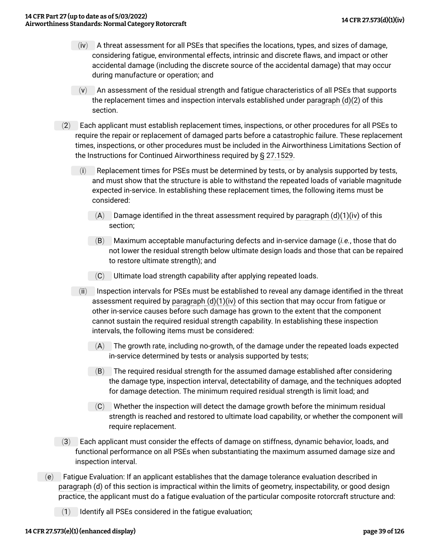- <span id="page-38-2"></span>(iv) A threat assessment for all PSEs that specifies the locations, types, and sizes of damage, considering fatigue, environmental effects, intrinsic and discrete flaws, and impact or other accidental damage (including the discrete source of the accidental damage) that may occur during manufacture or operation; and
- (v) An assessment of the residual strength and fatigue characteristics of all PSEs that supports the replacement times and inspection intervals established under [paragraph \(d\)\(2\)](#page-38-1) of this section.
- <span id="page-38-1"></span>(2) Each applicant must establish replacement times, inspections, or other procedures for all PSEs to require the repair or replacement of damaged parts before a catastrophic failure. These replacement times, inspections, or other procedures must be included in the Airworthiness Limitations Section of the Instructions for Continued Airworthiness required by [§ 27.1529](#page-108-0).
	- (i) Replacement times for PSEs must be determined by tests, or by analysis supported by tests, and must show that the structure is able to withstand the repeated loads of variable magnitude expected in-service. In establishing these replacement times, the following items must be considered:
		- $(A)$  Damage identified in the threat assessment required by paragraph  $(d)(1)(iv)$  of this section;
		- (B) Maximum acceptable manufacturing defects and in-service damage (*i.e.*, those that do not lower the residual strength below ultimate design loads and those that can be repaired to restore ultimate strength); and
		- $(C)$  Ultimate load strength capability after applying repeated loads.
	- (ii) Inspection intervals for PSEs must be established to reveal any damage identified in the threat assessment required by [paragraph \(d\)\(1\)\(iv\)](#page-38-2) of this section that may occur from fatigue or other in-service causes before such damage has grown to the extent that the component cannot sustain the required residual strength capability. In establishing these inspection intervals, the following items must be considered:
		- (A) The growth rate, including no-growth, of the damage under the repeated loads expected in-service determined by tests or analysis supported by tests;
		- (B) The required residual strength for the assumed damage established after considering the damage type, inspection interval, detectability of damage, and the techniques adopted for damage detection. The minimum required residual strength is limit load; and
		- (C) Whether the inspection will detect the damage growth before the minimum residual strength is reached and restored to ultimate load capability, or whether the component will require replacement.
- (3) Each applicant must consider the effects of damage on stiffness, dynamic behavior, loads, and functional performance on all PSEs when substantiating the maximum assumed damage size and inspection interval.
- <span id="page-38-0"></span>(e) Fatigue Evaluation: If an applicant establishes that the damage tolerance evaluation described in [paragraph \(d\)](#page-37-1) of this section is impractical within the limits of geometry, inspectability, or good design practice, the applicant must do a fatigue evaluation of the particular composite rotorcraft structure and:
	- (1) Identify all PSEs considered in the fatigue evaluation;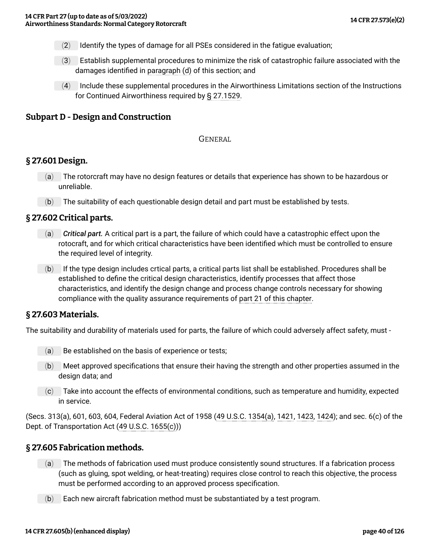- (2) Identify the types of damage for all PSEs considered in the fatigue evaluation;
- (3) Establish supplemental procedures to minimize the risk of catastrophic failure associated with the damages identified in [paragraph \(d\)](#page-37-1) of this section; and
- $(4)$  Include these supplemental procedures in the Airworthiness Limitations section of the Instructions for Continued Airworthiness required by [§ 27.1529](#page-108-0).

# **Subpart D - Design and Construction**

### **GENERAL**

# **§ 27.601 Design.**

- (a) The rotorcraft may have no design features or details that experience has shown to be hazardous or unreliable.
- (b) The suitability of each questionable design detail and part must be established by tests.

### **§ 27.602 Critical parts.**

- (a) *Critical part.* A critical part is a part, the failure of which could have a catastrophic effect upon the rotocraft, and for which critical characteristics have been identified which must be controlled to ensure the required level of integrity.
- (b) If the type design includes crtical parts, a critical parts list shall be established. Procedures shall be established to define the critical design characteristics, identify processes that affect those characteristics, and identify the design change and process change controls necessary for showing compliance with the quality assurance requirements of [part 21 of this chapter.](https://www.ecfr.gov/current/title-14/part-21/)

# **§ 27.603 Materials.**

The suitability and durability of materials used for parts, the failure of which could adversely affect safety, must -

- (a) Be established on the basis of experience or tests;
- (b) Meet approved specifications that ensure their having the strength and other properties assumed in the design data; and
- (c) Take into account the effects of environmental conditions, such as temperature and humidity, expected in service.

(Secs. 313(a), 601, 603, 604, Federal Aviation Act of 1958 [\(49 U.S.C. 1354\(a\)](https://www.govinfo.gov/link/uscode/49/1354), [1421](https://www.govinfo.gov/link/uscode/49/1421), [1423,](https://www.govinfo.gov/link/uscode/49/1423) [1424\)](https://www.govinfo.gov/link/uscode/49/1424); and sec. 6(c) of the Dept. of Transportation Act [\(49 U.S.C. 1655\(c\)\)](https://www.govinfo.gov/link/uscode/49/1655))

# **§ 27.605 Fabrication methods.**

- (a) The methods of fabrication used must produce consistently sound structures. If a fabrication process (such as gluing, spot welding, or heat-treating) requires close control to reach this objective, the process must be performed according to an approved process specification.
- (b) Each new aircraft fabrication method must be substantiated by a test program.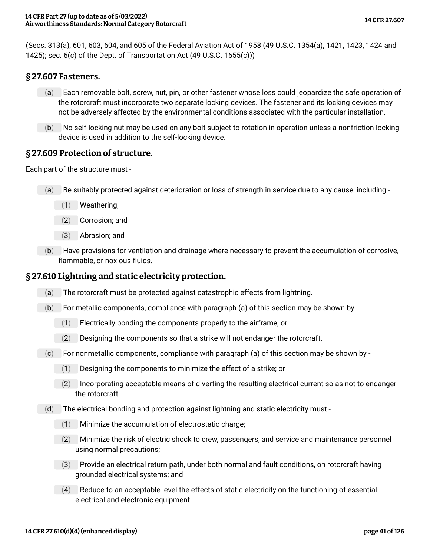(Secs. 313(a), 601, 603, 604, and 605 of the Federal Aviation Act of 1958 [\(49 U.S.C. 1354\(a\),](https://www.govinfo.gov/link/uscode/49/1354) [1421](https://www.govinfo.gov/link/uscode/49/1421), [1423](https://www.govinfo.gov/link/uscode/49/1423), [1424](https://www.govinfo.gov/link/uscode/49/1424) and [1425](https://www.govinfo.gov/link/uscode/49/1425)); sec. 6(c) of the Dept. of Transportation Act [\(49 U.S.C. 1655\(c\)\)](https://www.govinfo.gov/link/uscode/49/1655))

## **§ 27.607 Fasteners.**

- (a) Each removable bolt, screw, nut, pin, or other fastener whose loss could jeopardize the safe operation of the rotorcraft must incorporate two separate locking devices. The fastener and its locking devices may not be adversely affected by the environmental conditions associated with the particular installation.
- (b) No self-locking nut may be used on any bolt subject to rotation in operation unless a nonfriction locking device is used in addition to the self-locking device.

### **§ 27.609 Protection of structure.**

Each part of the structure must -

- (a) Be suitably protected against deterioration or loss of strength in service due to any cause, including
	- (1) Weathering;
		- (2) Corrosion; and
	- (3) Abrasion; and
- (b) Have provisions for ventilation and drainage where necessary to prevent the accumulation of corrosive, flammable, or noxious fluids.

### <span id="page-40-0"></span>**§ 27.610 Lightning and static electricity protection.**

- (a) The rotorcraft must be protected against catastrophic effects from lightning.
- $(b)$  For metallic components, compliance with [paragraph \(a\)](#page-40-0) of this section may be shown by -
	- (1) Electrically bonding the components properly to the airframe; or
	- (2) Designing the components so that a strike will not endanger the rotorcraft.
- $\langle c \rangle$  For nonmetallic components, compliance with [paragraph \(a\)](#page-40-0) of this section may be shown by -
	- (1) Designing the components to minimize the effect of a strike; or
	- (2) Incorporating acceptable means of diverting the resulting electrical current so as not to endanger the rotorcraft.
- (d) The electrical bonding and protection against lightning and static electricity must
	- $(1)$  Minimize the accumulation of electrostatic charge;
	- (2) Minimize the risk of electric shock to crew, passengers, and service and maintenance personnel using normal precautions;
	- (3) Provide an electrical return path, under both normal and fault conditions, on rotorcraft having grounded electrical systems; and
	- $(4)$  Reduce to an acceptable level the effects of static electricity on the functioning of essential electrical and electronic equipment.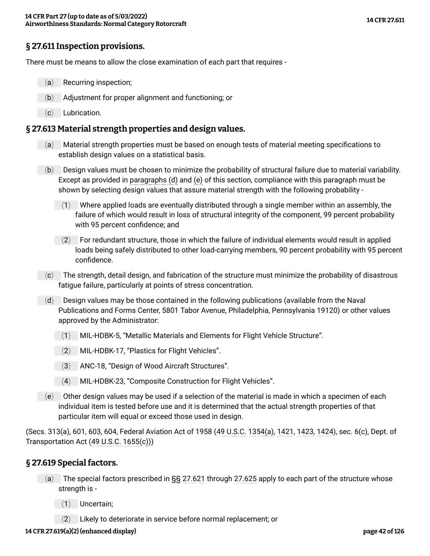# **§ 27.611 Inspection provisions.**

There must be means to allow the close examination of each part that requires -

- (a) Recurring inspection;
- (b) Adjustment for proper alignment and functioning; or
- (c) Lubrication.

### **§ 27.613 Material strength properties and design values.**

- (a) Material strength properties must be based on enough tests of material meeting specifications to establish design values on a statistical basis.
- (b) Design values must be chosen to minimize the probability of structural failure due to material variability. Except as provided in [paragraphs \(d\)](#page-41-0) and [\(e\)](#page-41-1) of this section, compliance with this paragraph must be shown by selecting design values that assure material strength with the following probability -
	- $(1)$  Where applied loads are eventually distributed through a single member within an assembly, the failure of which would result in loss of structural integrity of the component, 99 percent probability with 95 percent confidence; and
	- $(2)$  For redundant structure, those in which the failure of individual elements would result in applied loads being safely distributed to other load-carrying members, 90 percent probability with 95 percent confidence.
- (c) The strength, detail design, and fabrication of the structure must minimize the probability of disastrous fatigue failure, particularly at points of stress concentration.
- <span id="page-41-0"></span>(d) Design values may be those contained in the following publications (available from the Naval Publications and Forms Center, 5801 Tabor Avenue, Philadelphia, Pennsylvania 19120) or other values approved by the Administrator:
	- (1) MIL-HDBK-5, "Metallic Materials and Elements for Flight Vehicle Structure".
	- (2) MIL-HDBK-17, "Plastics for Flight Vehicles".
	- (3) ANC-18, "Design of Wood Aircraft Structures".
	- (4) MIL-HDBK-23, "Composite Construction for Flight Vehicles".
- <span id="page-41-1"></span>(e) Other design values may be used if a selection of the material is made in which a specimen of each individual item is tested before use and it is determined that the actual strength properties of that particular item will equal or exceed those used in design.

(Secs. 313(a), 601, 603, 604, Federal Aviation Act of 1958 [\(49 U.S.C. 1354\(a\)](https://www.govinfo.gov/link/uscode/49/1354), [1421](https://www.govinfo.gov/link/uscode/49/1421), [1423,](https://www.govinfo.gov/link/uscode/49/1423) [1424\)](https://www.govinfo.gov/link/uscode/49/1424), sec. 6(c), Dept. of Transportation Act ([49 U.S.C. 1655\(c\)\)](https://www.govinfo.gov/link/uscode/49/1655))

# <span id="page-41-2"></span>**§ 27.619 Special factors.**

- (a) The special factors prescribed in [§§ 27.621](#page-42-0) through [27.625](#page-43-0) apply to each part of the structure whose strength is -
	- (1) Uncertain;
	- (2) Likely to deteriorate in service before normal replacement; or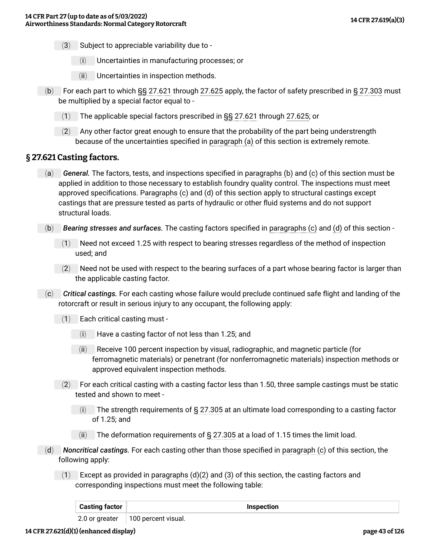- (3) Subject to appreciable variability due to
	- (i) Uncertainties in manufacturing processes; or
	- (ii) Uncertainties in inspection methods.
- (b) For each part to which [§§ 27.621](#page-42-0) through [27.625](#page-43-0) apply, the factor of safety prescribed in [§ 27.303](#page-21-0) must be multiplied by a special factor equal to -
	- (1) The applicable special factors prescribed in [§§ 27.621](#page-42-0) through [27.625](#page-43-0); or
	- (2) Any other factor great enough to ensure that the probability of the part being understrength because of the uncertainties specified in [paragraph \(a\)](#page-41-2) of this section is extremely remote.

### <span id="page-42-0"></span>**§ 27.621 Casting factors.**

- (a) *General.* The factors, tests, and inspections specified in [paragraphs \(b\)](#page-42-1) and [\(c\)](#page-42-2) of this section must be applied in addition to those necessary to establish foundry quality control. The inspections must meet approved specifications. [Paragraphs \(c\)](#page-42-2) and [\(d\)](#page-42-3) of this section apply to structural castings except castings that are pressure tested as parts of hydraulic or other fluid systems and do not support structural loads.
- <span id="page-42-1"></span>(b) *Bearing stresses and surfaces.* The casting factors specified in [paragraphs \(c\)](#page-42-2) and [\(d\)](#page-42-3) of this section -
	- (1) Need not exceed 1.25 with respect to bearing stresses regardless of the method of inspection used; and
	- $(2)$  Need not be used with respect to the bearing surfaces of a part whose bearing factor is larger than the applicable casting factor.
- <span id="page-42-2"></span>(c) *Critical castings.* For each casting whose failure would preclude continued safe flight and landing of the rotorcraft or result in serious injury to any occupant, the following apply:
	- (1) Each critical casting must
		- (i) Have a casting factor of not less than 1.25; and
		- (ii) Receive 100 percent inspection by visual, radiographic, and magnetic particle (for ferromagnetic materials) or penetrant (for nonferromagnetic materials) inspection methods or approved equivalent inspection methods.
	- (2) For each critical casting with a casting factor less than 1.50, three sample castings must be static tested and shown to meet -
		- (i) The strength requirements of [§ 27.305](#page-21-1) at an ultimate load corresponding to a casting factor of 1.25; and
		- (ii) The deformation requirements of  $\S 27.305$  at a load of 1.15 times the limit load.
- <span id="page-42-5"></span><span id="page-42-4"></span><span id="page-42-3"></span>(d) *Noncritical castings.* For each casting other than those specified in [paragraph \(c\)](#page-42-2) of this section, the following apply:
	- $(1)$  Except as provided in paragraphs  $(d)(2)$  and  $(3)$  of this section, the casting factors and corresponding inspections must meet the following table:

| <b>Casting factor</b> | Inspection |  |
|-----------------------|------------|--|
|                       |            |  |

2.0 or greater | 100 percent visual.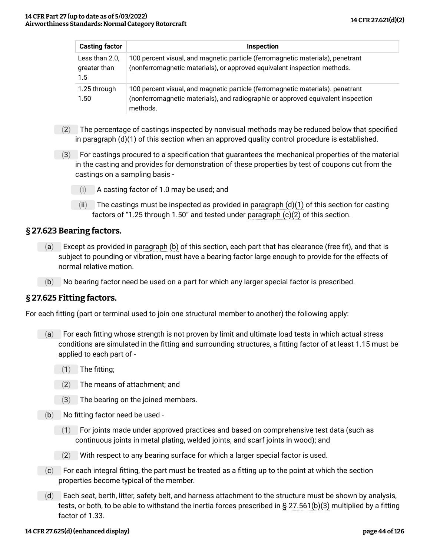| <b>Casting factor</b>                 | <b>Inspection</b>                                                                                                                                                              |
|---------------------------------------|--------------------------------------------------------------------------------------------------------------------------------------------------------------------------------|
| Less than 2.0,<br>greater than<br>1.5 | 100 percent visual, and magnetic particle (ferromagnetic materials), penetrant<br>(nonferromagnetic materials), or approved equivalent inspection methods.                     |
| 1.25 through<br>1.50                  | 100 percent visual, and magnetic particle (ferromagnetic materials). penetrant<br>(nonferromagnetic materials), and radiographic or approved equivalent inspection<br>methods. |

- <span id="page-43-1"></span> $(2)$  The percentage of castings inspected by nonvisual methods may be reduced below that specified in [paragraph \(d\)\(1\)](#page-42-4) of this section when an approved quality control procedure is established.
- <span id="page-43-2"></span>(3) For castings procured to a specification that guarantees the mechanical properties of the material in the casting and provides for demonstration of these properties by test of coupons cut from the castings on a sampling basis -
	- (i) A casting factor of 1.0 may be used; and
	- (ii) The castings must be inspected as provided in paragraph  $(d)(1)$  of this section for casting factors of "1.25 through 1.50" and tested under [paragraph \(c\)\(2\)](#page-42-5) of this section.

### **§ 27.623 Bearing factors.**

- (a) Except as provided in [paragraph \(b\)](#page-43-3) of this section, each part that has clearance (free fit), and that is subject to pounding or vibration, must have a bearing factor large enough to provide for the effects of normal relative motion.
- (b) No bearing factor need be used on a part for which any larger special factor is prescribed.

### <span id="page-43-3"></span><span id="page-43-0"></span>**§ 27.625 Fitting factors.**

For each fitting (part or terminal used to join one structural member to another) the following apply:

- (a) For each fitting whose strength is not proven by limit and ultimate load tests in which actual stress conditions are simulated in the fitting and surrounding structures, a fitting factor of at least 1.15 must be applied to each part of -
	- (1) The fitting;
	- (2) The means of attachment; and
	- (3) The bearing on the joined members.
- (b) No fitting factor need be used
	- $(1)$  For joints made under approved practices and based on comprehensive test data (such as continuous joints in metal plating, welded joints, and scarf joints in wood); and
	- (2) With respect to any bearing surface for which a larger special factor is used.
- (c) For each integral fitting, the part must be treated as a fitting up to the point at which the section properties become typical of the member.
- <span id="page-43-4"></span>(d) Each seat, berth, litter, safety belt, and harness attachment to the structure must be shown by analysis, tests, or both, to be able to withstand the inertia forces prescribed in [§ 27.561\(b\)\(3\)](#page-33-0) multiplied by a fitting factor of 1.33.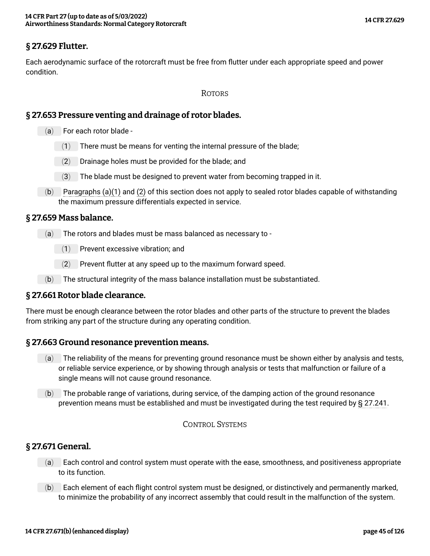# **§ 27.629 Flutter.**

Each aerodynamic surface of the rotorcraft must be free from flutter under each appropriate speed and power condition.

#### **ROTORS**

### <span id="page-44-0"></span>**§ 27.653 Pressure venting and drainage of rotor blades.**

- <span id="page-44-1"></span>(a) For each rotor blade -
	- $(1)$  There must be means for venting the internal pressure of the blade;
		- (2) Drainage holes must be provided for the blade; and
	- (3) The blade must be designed to prevent water from becoming trapped in it.
- $(b)$  [Paragraphs \(a\)\(1\)](#page-44-0) and [\(2\)](#page-44-1) of this section does not apply to sealed rotor blades capable of withstanding the maximum pressure differentials expected in service.

#### **§ 27.659 Mass balance.**

- (a) The rotors and blades must be mass balanced as necessary to
	- (1) Prevent excessive vibration; and
	- (2) Prevent flutter at any speed up to the maximum forward speed.
- (b) The structural integrity of the mass balance installation must be substantiated.

#### **§ 27.661 Rotor blade clearance.**

There must be enough clearance between the rotor blades and other parts of the structure to prevent the blades from striking any part of the structure during any operating condition.

#### **§ 27.663 Ground resonance prevention means.**

- (a) The reliability of the means for preventing ground resonance must be shown either by analysis and tests, or reliable service experience, or by showing through analysis or tests that malfunction or failure of a single means will not cause ground resonance.
- (b) The probable range of variations, during service, of the damping action of the ground resonance prevention means must be established and must be investigated during the test required by [§ 27.241](#page-20-0).

#### CONTROL SYSTEMS

### **§ 27.671 General.**

- (a) Each control and control system must operate with the ease, smoothness, and positiveness appropriate to its function.
- (b) Each element of each flight control system must be designed, or distinctively and permanently marked, to minimize the probability of any incorrect assembly that could result in the malfunction of the system.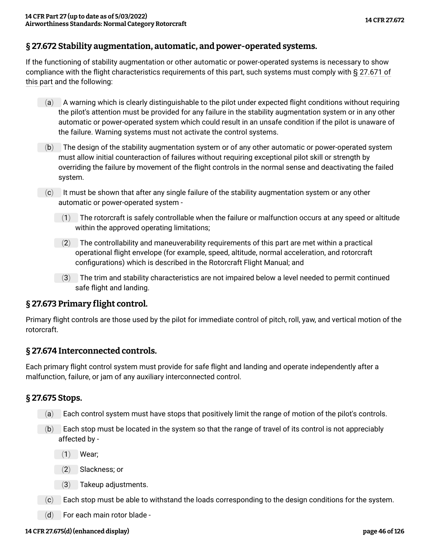# **§ 27.672 Stability augmentation, automatic, and power-operated systems.**

If the functioning of stability augmentation or other automatic or power-operated systems is necessary to show compliance with the flight characteristics requirements of this part, such systems must comply with [§ 27.671 of](https://www.ecfr.gov/current/title-14/part-27/section-27.671/) [this part](https://www.ecfr.gov/current/title-14/part-27/section-27.671/) and the following:

- (a) A warning which is clearly distinguishable to the pilot under expected flight conditions without requiring the pilot's attention must be provided for any failure in the stability augmentation system or in any other automatic or power-operated system which could result in an unsafe condition if the pilot is unaware of the failure. Warning systems must not activate the control systems.
- (b) The design of the stability augmentation system or of any other automatic or power-operated system must allow initial counteraction of failures without requiring exceptional pilot skill or strength by overriding the failure by movement of the flight controls in the normal sense and deactivating the failed system.
- $\epsilon$   $(c)$  It must be shown that after any single failure of the stability augmentation system or any other automatic or power-operated system -
	- $(1)$  The rotorcraft is safely controllable when the failure or malfunction occurs at any speed or altitude within the approved operating limitations;
	- (2) The controllability and maneuverability requirements of this part are met within a practical operational flight envelope (for example, speed, altitude, normal acceleration, and rotorcraft configurations) which is described in the Rotorcraft Flight Manual; and
	- (3) The trim and stability characteristics are not impaired below a level needed to permit continued safe flight and landing.

# **§ 27.673 Primary flight control.**

Primary flight controls are those used by the pilot for immediate control of pitch, roll, yaw, and vertical motion of the rotorcraft.

# **§ 27.674 Interconnected controls.**

Each primary flight control system must provide for safe flight and landing and operate independently after a malfunction, failure, or jam of any auxiliary interconnected control.

### **§ 27.675 Stops.**

- (a) Each control system must have stops that positively limit the range of motion of the pilot's controls.
- (b) Each stop must be located in the system so that the range of travel of its control is not appreciably affected by -
	- (1) Wear;
	- (2) Slackness; or
	- (3) Takeup adjustments.
- (c) Each stop must be able to withstand the loads corresponding to the design conditions for the system.
- (d) For each main rotor blade -

#### **14 CFR 27.675(d) (enhanced display) page 46 of 126**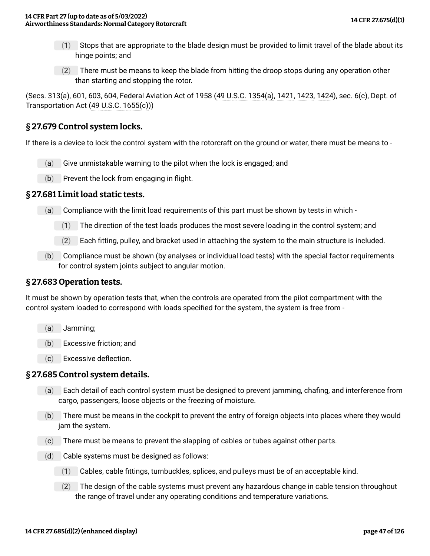- (1) Stops that are appropriate to the blade design must be provided to limit travel of the blade about its hinge points; and
- $(2)$  There must be means to keep the blade from hitting the droop stops during any operation other than starting and stopping the rotor.

(Secs. 313(a), 601, 603, 604, Federal Aviation Act of 1958 [\(49 U.S.C. 1354\(a\)](https://www.govinfo.gov/link/uscode/49/1354), [1421](https://www.govinfo.gov/link/uscode/49/1421), [1423,](https://www.govinfo.gov/link/uscode/49/1423) [1424\)](https://www.govinfo.gov/link/uscode/49/1424), sec. 6(c), Dept. of Transportation Act ([49 U.S.C. 1655\(c\)\)](https://www.govinfo.gov/link/uscode/49/1655))

# **§ 27.679 Control system locks.**

If there is a device to lock the control system with the rotorcraft on the ground or water, there must be means to -

- (a) Give unmistakable warning to the pilot when the lock is engaged; and
- (b) Prevent the lock from engaging in flight.

### **§ 27.681 Limit load static tests.**

- (a) Compliance with the limit load requirements of this part must be shown by tests in which
	- $(1)$  The direction of the test loads produces the most severe loading in the control system; and
	- (2) Each fitting, pulley, and bracket used in attaching the system to the main structure is included.
- (b) Compliance must be shown (by analyses or individual load tests) with the special factor requirements for control system joints subject to angular motion.

## **§ 27.683 Operation tests.**

It must be shown by operation tests that, when the controls are operated from the pilot compartment with the control system loaded to correspond with loads specified for the system, the system is free from -

- (a) Jamming;
- (b) Excessive friction; and
- (c) Excessive deflection.

### **§ 27.685 Control system details.**

- (a) Each detail of each control system must be designed to prevent jamming, chafing, and interference from cargo, passengers, loose objects or the freezing of moisture.
- (b) There must be means in the cockpit to prevent the entry of foreign objects into places where they would jam the system.
- (c) There must be means to prevent the slapping of cables or tubes against other parts.
- (d) Cable systems must be designed as follows:
	- (1) Cables, cable fittings, turnbuckles, splices, and pulleys must be of an acceptable kind.
	- (2) The design of the cable systems must prevent any hazardous change in cable tension throughout the range of travel under any operating conditions and temperature variations.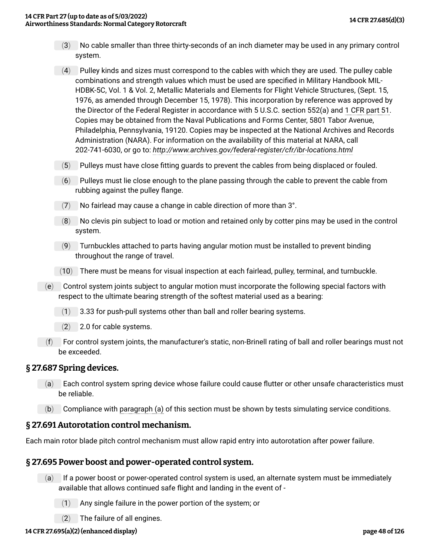- (3) No cable smaller than three thirty-seconds of an inch diameter may be used in any primary control system.
- $(4)$  Pulley kinds and sizes must correspond to the cables with which they are used. The pulley cable combinations and strength values which must be used are specified in Military Handbook MIL-HDBK-5C, Vol. 1 & Vol. 2, Metallic Materials and Elements for Flight Vehicle Structures, (Sept. 15, 1976, as amended through December 15, 1978). This incorporation by reference was approved by the Director of the Federal Register in accordance with 5 U.S.C. section 552(a) and [1 CFR part 51.](https://www.ecfr.gov/current/title-1/part-51/) Copies may be obtained from the Naval Publications and Forms Center, 5801 Tabor Avenue, Philadelphia, Pennsylvania, 19120. Copies may be inspected at the National Archives and Records Administration (NARA). For information on the availability of this material at NARA, call 202-741-6030, or go to: *<http://www.archives.gov/federal-register/cfr/ibr-locations.html>*
- $(5)$  Pulleys must have close fitting guards to prevent the cables from being displaced or fouled.
- (6) Pulleys must lie close enough to the plane passing through the cable to prevent the cable from rubbing against the pulley flange.
- $(7)$  No fairlead may cause a change in cable direction of more than 3°.
- (8) No clevis pin subject to load or motion and retained only by cotter pins may be used in the control system.
- (9) Turnbuckles attached to parts having angular motion must be installed to prevent binding throughout the range of travel.
- $(10)$  There must be means for visual inspection at each fairlead, pulley, terminal, and turnbuckle.
- (e) Control system joints subject to angular motion must incorporate the following special factors with respect to the ultimate bearing strength of the softest material used as a bearing:
	- (1) 3.33 for push-pull systems other than ball and roller bearing systems.
	- (2) 2.0 for cable systems.
- (f) For control system joints, the manufacturer's static, non-Brinell rating of ball and roller bearings must not be exceeded.

### <span id="page-47-0"></span>**§ 27.687 Spring devices.**

- (a) Each control system spring device whose failure could cause flutter or other unsafe characteristics must be reliable.
- (b) Compliance with [paragraph \(a\)](#page-47-0) of this section must be shown by tests simulating service conditions.

### **§ 27.691 Autorotation control mechanism.**

Each main rotor blade pitch control mechanism must allow rapid entry into autorotation after power failure.

### **§ 27.695 Power boost and power-operated control system.**

- (a) If a power boost or power-operated control system is used, an alternate system must be immediately available that allows continued safe flight and landing in the event of -
	- $(1)$  Any single failure in the power portion of the system; or
	- (2) The failure of all engines.

#### **14 CFR 27.695(a)(2) (enhanced display) page 48 of 126**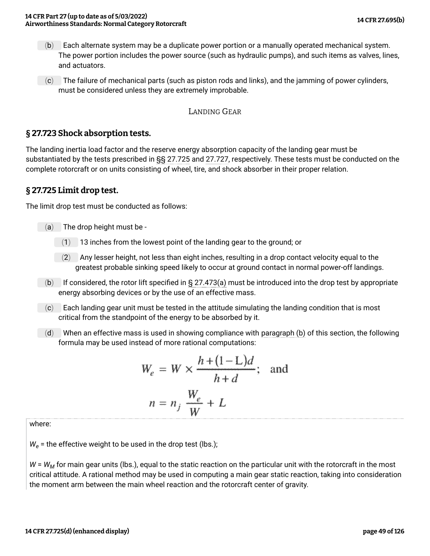- (b) Each alternate system may be a duplicate power portion or a manually operated mechanical system. The power portion includes the power source (such as hydraulic pumps), and such items as valves, lines, and actuators.
- (c) The failure of mechanical parts (such as piston rods and links), and the jamming of power cylinders, must be considered unless they are extremely improbable.

### LANDING GEAR

# **§ 27.723 Shock absorption tests.**

The landing inertia load factor and the reserve energy absorption capacity of the landing gear must be substantiated by the tests prescribed in [§§ 27.725](#page-48-0) and [27.727](#page-49-0), respectively. These tests must be conducted on the complete rotorcraft or on units consisting of wheel, tire, and shock absorber in their proper relation.

# <span id="page-48-0"></span>**§ 27.725 Limit drop test.**

<span id="page-48-2"></span>The limit drop test must be conducted as follows:

- $(a)$  The drop height must be -
	- (1) 13 inches from the lowest point of the landing gear to the ground; or
	- (2) Any lesser height, not less than eight inches, resulting in a drop contact velocity equal to the greatest probable sinking speed likely to occur at ground contact in normal power-off landings.
- <span id="page-48-1"></span>(b) If considered, the rotor lift specified in [§ 27.473\(a\)](#page-26-0) must be introduced into the drop test by appropriate energy absorbing devices or by the use of an effective mass.
- $(c)$  Each landing gear unit must be tested in the attitude simulating the landing condition that is most critical from the standpoint of the energy to be absorbed by it.
- (d) When an effective mass is used in showing compliance with [paragraph \(b\)](#page-48-1) of this section, the following formula may be used instead of more rational computations:

$$
W_e = W \times \frac{h + (1 - L)d}{h + d};
$$
 and  

$$
n = n_j \frac{W_e}{W} + L
$$

where:

 $W_e$  = the effective weight to be used in the drop test (lbs.);

*W* = *W<sup>M</sup>* for main gear units (lbs.), equal to the static reaction on the particular unit with the rotorcraft in the most critical attitude. A rational method may be used in computing a main gear static reaction, taking into consideration the moment arm between the main wheel reaction and the rotorcraft center of gravity.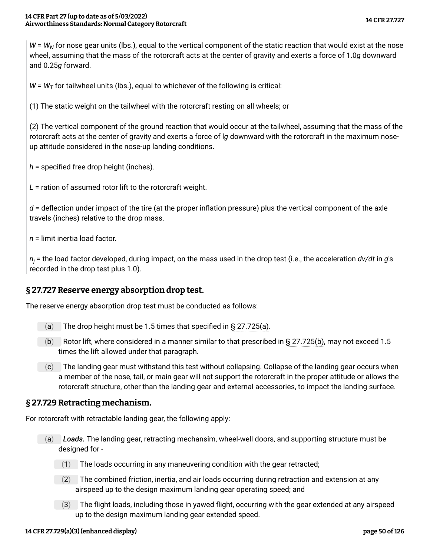$W = W_N$  for nose gear units (lbs.), equal to the vertical component of the static reaction that would exist at the nose wheel, assuming that the mass of the rotorcraft acts at the center of gravity and exerts a force of 1.0*g* downward and 0.25*g* forward.

 $W = W<sub>T</sub>$  for tailwheel units (lbs.), equal to whichever of the following is critical:

(1) The static weight on the tailwheel with the rotorcraft resting on all wheels; or

(2) The vertical component of the ground reaction that would occur at the tailwheel, assuming that the mass of the rotorcraft acts at the center of gravity and exerts a force of l*g* downward with the rotorcraft in the maximum noseup attitude considered in the nose-up landing conditions.

*h* = specified free drop height (inches).

*L* = ration of assumed rotor lift to the rotorcraft weight.

*d* = deflection under impact of the tire (at the proper inflation pressure) plus the vertical component of the axle travels (inches) relative to the drop mass.

*n* = limit inertia load factor.

*n<sup>j</sup>* = the load factor developed, during impact, on the mass used in the drop test (i.e., the acceleration *dv/dt* in *g*'s recorded in the drop test plus 1.0).

### <span id="page-49-0"></span>**§ 27.727 Reserve energy absorption drop test.**

The reserve energy absorption drop test must be conducted as follows:

- (a) The drop height must be 1.5 times that specified in  $\S 27.725(a)$ .
- (b) Rotor lift, where considered in a manner similar to that prescribed in [§ 27.725\(b\)](#page-48-1), may not exceed 1.5 times the lift allowed under that paragraph.
- (c) The landing gear must withstand this test without collapsing. Collapse of the landing gear occurs when a member of the nose, tail, or main gear will not support the rotorcraft in the proper attitude or allows the rotorcraft structure, other than the landing gear and external accessories, to impact the landing surface.

#### **§ 27.729 Retracting mechanism.**

For rotorcraft with retractable landing gear, the following apply:

- (a) *Loads.* The landing gear, retracting mechansim, wheel-well doors, and supporting structure must be designed for -
	- $(1)$  The loads occurring in any maneuvering condition with the gear retracted;
	- (2) The combined friction, inertia, and air loads occurring during retraction and extension at any airspeed up to the design maximum landing gear operating speed; and
	- (3) The flight loads, including those in yawed flight, occurring with the gear extended at any airspeed up to the design maximum landing gear extended speed.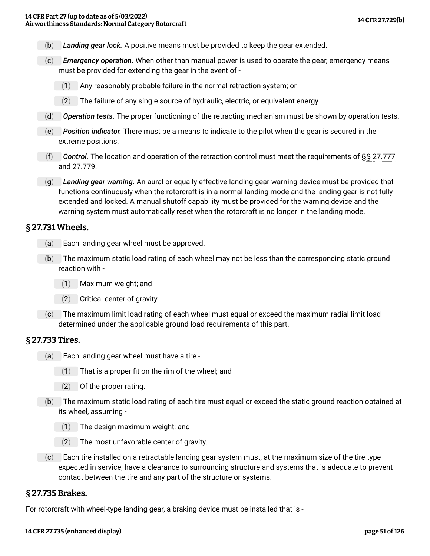- (b) *Landing gear lock.* A positive means must be provided to keep the gear extended.
- (c) *Emergency operation.* When other than manual power is used to operate the gear, emergency means must be provided for extending the gear in the event of -
	- $(1)$  Any reasonably probable failure in the normal retraction system; or
	- (2) The failure of any single source of hydraulic, electric, or equivalent energy.
- (d) *Operation tests.* The proper functioning of the retracting mechanism must be shown by operation tests.
- (e) *Position indicator.* There must be a means to indicate to the pilot when the gear is secured in the extreme positions.
- (f) *Control.* The location and operation of the retraction control must meet the requirements of [§§ 27.777](#page-52-0) and [27.779.](#page-52-1)
- (g) *Landing gear warning.* An aural or equally effective landing gear warning device must be provided that functions continuously when the rotorcraft is in a normal landing mode and the landing gear is not fully extended and locked. A manual shutoff capability must be provided for the warning device and the warning system must automatically reset when the rotorcraft is no longer in the landing mode.

### **§ 27.731 Wheels.**

- (a) Each landing gear wheel must be approved.
- (b) The maximum static load rating of each wheel may not be less than the corresponding static ground reaction with -
	- (1) Maximum weight; and
	- (2) Critical center of gravity.
- (c) The maximum limit load rating of each wheel must equal or exceed the maximum radial limit load determined under the applicable ground load requirements of this part.

### **§ 27.733 Tires.**

- (a) Each landing gear wheel must have a tire
	- $(1)$  That is a proper fit on the rim of the wheel; and
	- (2) Of the proper rating.
- (b) The maximum static load rating of each tire must equal or exceed the static ground reaction obtained at its wheel, assuming -
	- (1) The design maximum weight; and
	- (2) The most unfavorable center of gravity.
- $(c)$  Each tire installed on a retractable landing gear system must, at the maximum size of the tire type expected in service, have a clearance to surrounding structure and systems that is adequate to prevent contact between the tire and any part of the structure or systems.

### **§ 27.735 Brakes.**

For rotorcraft with wheel-type landing gear, a braking device must be installed that is -

#### **14 CFR 27.735 (enhanced display) page 51 of 126**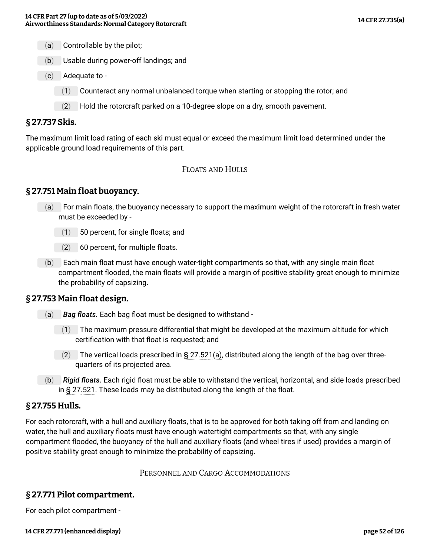- (a) Controllable by the pilot;
- (b) Usable during power-off landings; and
- (c) Adequate to
	- (1) Counteract any normal unbalanced torque when starting or stopping the rotor; and
	- (2) Hold the rotorcraft parked on a 10-degree slope on a dry, smooth pavement.

### **§ 27.737 Skis.**

The maximum limit load rating of each ski must equal or exceed the maximum limit load determined under the applicable ground load requirements of this part.

# FLOATS AND HULLS

# **§ 27.751 Main float buoyancy.**

- (a) For main floats, the buoyancy necessary to support the maximum weight of the rotorcraft in fresh water must be exceeded by -
	- (1) 50 percent, for single floats; and
	- (2) 60 percent, for multiple floats.
- (b) Each main float must have enough water-tight compartments so that, with any single main float compartment flooded, the main floats will provide a margin of positive stability great enough to minimize the probability of capsizing.

### **§ 27.753 Main float design.**

- (a) *Bag floats.* Each bag float must be designed to withstand
	- $(1)$  The maximum pressure differential that might be developed at the maximum altitude for which certification with that float is requested; and
	- $(2)$  The vertical loads prescribed in [§ 27.521\(a\)](#page-31-0), distributed along the length of the bag over threequarters of its projected area.
- (b) *Rigid floats.* Each rigid float must be able to withstand the vertical, horizontal, and side loads prescribed in [§ 27.521](#page-31-1). These loads may be distributed along the length of the float.

# **§ 27.755 Hulls.**

For each rotorcraft, with a hull and auxiliary floats, that is to be approved for both taking off from and landing on water, the hull and auxiliary floats must have enough watertight compartments so that, with any single compartment flooded, the buoyancy of the hull and auxiliary floats (and wheel tires if used) provides a margin of positive stability great enough to minimize the probability of capsizing.

#### PERSONNEL AND CARGO ACCOMMODATIONS

# **§ 27.771 Pilot compartment.**

For each pilot compartment -

**14 CFR 27.771 (enhanced display) page 52 of 126**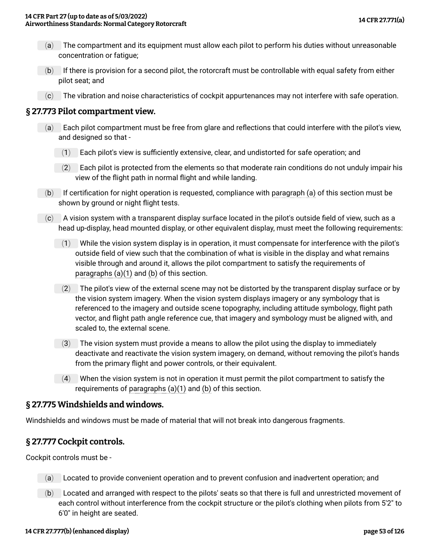- (a) The compartment and its equipment must allow each pilot to perform his duties without unreasonable concentration or fatigue;
- $(b)$  If there is provision for a second pilot, the rotorcraft must be controllable with equal safety from either pilot seat; and
- (c) The vibration and noise characteristics of cockpit appurtenances may not interfere with safe operation.

# <span id="page-52-2"></span>**§ 27.773 Pilot compartment view.**

- <span id="page-52-3"></span>(a) Each pilot compartment must be free from glare and reflections that could interfere with the pilot's view, and designed so that -
	- (1) Each pilot's view is sufficiently extensive, clear, and undistorted for safe operation; and
	- (2) Each pilot is protected from the elements so that moderate rain conditions do not unduly impair his view of the flight path in normal flight and while landing.
- <span id="page-52-4"></span>(b) If certification for night operation is requested, compliance with [paragraph \(a\)](#page-52-2) of this section must be shown by ground or night flight tests.
- $(c)$  A vision system with a transparent display surface located in the pilot's outside field of view, such as a head up-display, head mounted display, or other equivalent display, must meet the following requirements:
	- (1) While the vision system display is in operation, it must compensate for interference with the pilot's outside field of view such that the combination of what is visible in the display and what remains visible through and around it, allows the pilot compartment to satisfy the requirements of [paragraphs \(a\)\(1\)](#page-52-3) and [\(b\)](#page-52-4) of this section.
	- (2) The pilot's view of the external scene may not be distorted by the transparent display surface or by the vision system imagery. When the vision system displays imagery or any symbology that is referenced to the imagery and outside scene topography, including attitude symbology, flight path vector, and flight path angle reference cue, that imagery and symbology must be aligned with, and scaled to, the external scene.
	- (3) The vision system must provide a means to allow the pilot using the display to immediately deactivate and reactivate the vision system imagery, on demand, without removing the pilot's hands from the primary flight and power controls, or their equivalent.
	- $(4)$  When the vision system is not in operation it must permit the pilot compartment to satisfy the requirements of [paragraphs \(a\)\(1\)](#page-52-3) and [\(b\)](#page-52-4) of this section.

# **§ 27.775 Windshields and windows.**

<span id="page-52-0"></span>Windshields and windows must be made of material that will not break into dangerous fragments.

# **§ 27.777 Cockpit controls.**

Cockpit controls must be -

- (a) Located to provide convenient operation and to prevent confusion and inadvertent operation; and
- <span id="page-52-1"></span>(b) Located and arranged with respect to the pilots' seats so that there is full and unrestricted movement of each control without interference from the cockpit structure or the pilot's clothing when pilots from 5′2″ to 6′0″ in height are seated.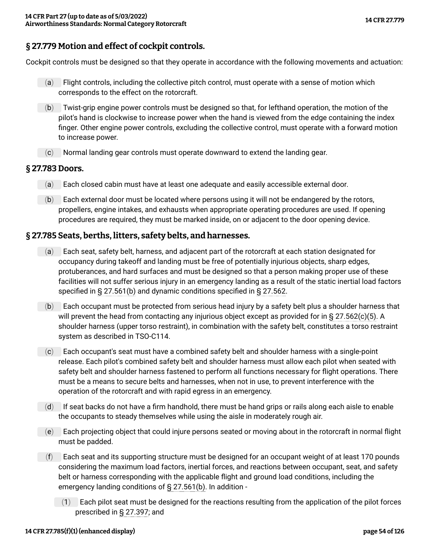# **§ 27.779 Motion and effect of cockpit controls.**

Cockpit controls must be designed so that they operate in accordance with the following movements and actuation:

- (a) Flight controls, including the collective pitch control, must operate with a sense of motion which corresponds to the effect on the rotorcraft.
- (b) Twist-grip engine power controls must be designed so that, for lefthand operation, the motion of the pilot's hand is clockwise to increase power when the hand is viewed from the edge containing the index finger. Other engine power controls, excluding the collective control, must operate with a forward motion to increase power.
- (c) Normal landing gear controls must operate downward to extend the landing gear.

### **§ 27.783 Doors.**

- (a) Each closed cabin must have at least one adequate and easily accessible external door.
- (b) Each external door must be located where persons using it will not be endangered by the rotors, propellers, engine intakes, and exhausts when appropriate operating procedures are used. If opening procedures are required, they must be marked inside, on or adjacent to the door opening device.

### **§ 27.785 Seats, berths, litters, safety belts, and harnesses.**

- (a) Each seat, safety belt, harness, and adjacent part of the rotorcraft at each station designated for occupancy during takeoff and landing must be free of potentially injurious objects, sharp edges, protuberances, and hard surfaces and must be designed so that a person making proper use of these facilities will not suffer serious injury in an emergency landing as a result of the static inertial load factors specified in [§ 27.561\(b\)](#page-33-1) and dynamic conditions specified in [§ 27.562.](#page-34-0)
- (b) Each occupant must be protected from serious head injury by a safety belt plus a shoulder harness that will prevent the head from contacting any injurious object except as provided for in [§ 27.562\(c\)\(5\).](#page-35-1) A shoulder harness (upper torso restraint), in combination with the safety belt, constitutes a torso restraint system as described in TSO-C114.
- (c) Each occupant's seat must have a combined safety belt and shoulder harness with a single-point release. Each pilot's combined safety belt and shoulder harness must allow each pilot when seated with safety belt and shoulder harness fastened to perform all functions necessary for flight operations. There must be a means to secure belts and harnesses, when not in use, to prevent interference with the operation of the rotorcraft and with rapid egress in an emergency.
- (d) If seat backs do not have a firm handhold, there must be hand grips or rails along each aisle to enable the occupants to steady themselves while using the aisle in moderately rough air.
- (e) Each projecting object that could injure persons seated or moving about in the rotorcraft in normal flight must be padded.
- (f) Each seat and its supporting structure must be designed for an occupant weight of at least 170 pounds considering the maximum load factors, inertial forces, and reactions between occupant, seat, and safety belt or harness corresponding with the applicable flight and ground load conditions, including the emergency landing conditions of [§ 27.561\(b\)](#page-33-1). In addition -
	- (1) Each pilot seat must be designed for the reactions resulting from the application of the pilot forces prescribed in [§ 27.397](#page-25-0); and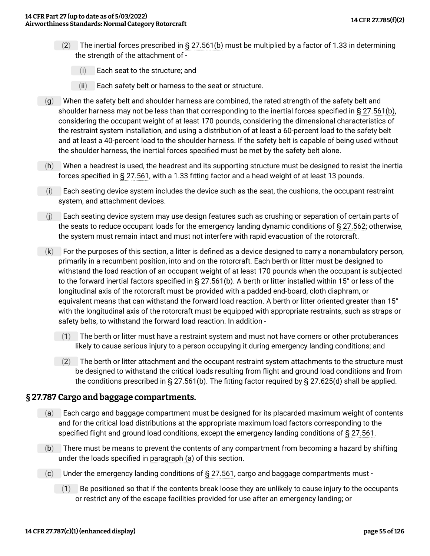- (2) The inertial forces prescribed in [§ 27.561\(b\)](#page-33-1) must be multiplied by a factor of 1.33 in determining the strength of the attachment of -
	- (i) Each seat to the structure; and
	- (ii) Each safety belt or harness to the seat or structure.
- (g) When the safety belt and shoulder harness are combined, the rated strength of the safety belt and shoulder harness may not be less than that corresponding to the inertial forces specified in [§ 27.561\(b\)](#page-33-1), considering the occupant weight of at least 170 pounds, considering the dimensional characteristics of the restraint system installation, and using a distribution of at least a 60-percent load to the safety belt and at least a 40-percent load to the shoulder harness. If the safety belt is capable of being used without the shoulder harness, the inertial forces specified must be met by the safety belt alone.
- (h) When a headrest is used, the headrest and its supporting structure must be designed to resist the inertia forces specified in [§ 27.561](#page-33-2), with a 1.33 fitting factor and a head weight of at least 13 pounds.
- (i) Each seating device system includes the device such as the seat, the cushions, the occupant restraint system, and attachment devices.
- (j) Each seating device system may use design features such as crushing or separation of certain parts of the seats to reduce occupant loads for the emergency landing dynamic conditions of [§ 27.562;](#page-34-0) otherwise, the system must remain intact and must not interfere with rapid evacuation of the rotorcraft.
- $(k)$  For the purposes of this section, a litter is defined as a device designed to carry a nonambulatory person, primarily in a recumbent position, into and on the rotorcraft. Each berth or litter must be designed to withstand the load reaction of an occupant weight of at least 170 pounds when the occupant is subjected to the forward inertial factors specified in [§ 27.561\(b\).](#page-33-1) A berth or litter installed within 15° or less of the longitudinal axis of the rotorcraft must be provided with a padded end-board, cloth diaphram, or equivalent means that can withstand the forward load reaction. A berth or litter oriented greater than 15° with the longitudinal axis of the rotorcraft must be equipped with appropriate restraints, such as straps or safety belts, to withstand the forward load reaction. In addition -
	- $(1)$  The berth or litter must have a restraint system and must not have corners or other protuberances likely to cause serious injury to a person occupying it during emergency landing conditions; and
	- (2) The berth or litter attachment and the occupant restraint system attachments to the structure must be designed to withstand the critical loads resulting from flight and ground load conditions and from the conditions prescribed in [§ 27.561\(b\)](#page-33-1). The fitting factor required by [§ 27.625\(d\)](#page-43-4) shall be applied.

### <span id="page-54-0"></span>**§ 27.787 Cargo and baggage compartments.**

- (a) Each cargo and baggage compartment must be designed for its placarded maximum weight of contents and for the critical load distributions at the appropriate maximum load factors corresponding to the specified flight and ground load conditions, except the emergency landing conditions of [§ 27.561](#page-33-2).
- <span id="page-54-1"></span>(b) There must be means to prevent the contents of any compartment from becoming a hazard by shifting under the loads specified in [paragraph \(a\)](#page-54-0) of this section.
- $\langle c \rangle$  Under the emergency landing conditions of [§ 27.561](#page-33-2), cargo and baggage compartments must -
	- $(1)$  Be positioned so that if the contents break loose they are unlikely to cause injury to the occupants or restrict any of the escape facilities provided for use after an emergency landing; or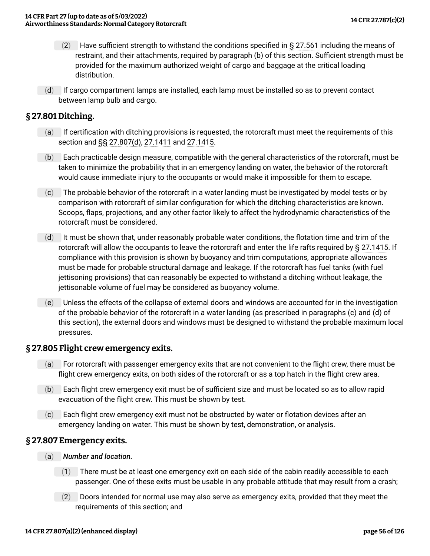- (2) Have sufficient strength to withstand the conditions specified in [§ 27.561](#page-33-2) including the means of restraint, and their attachments, required by [paragraph \(b\)](#page-54-1) of this section. Sufficient strength must be provided for the maximum authorized weight of cargo and baggage at the critical loading distribution.
- (d) If cargo compartment lamps are installed, each lamp must be installed so as to prevent contact between lamp bulb and cargo.

# **§ 27.801 Ditching.**

- (a) If certification with ditching provisions is requested, the rotorcraft must meet the requirements of this section and [§§ 27.807\(d\),](#page-56-0) [27.1411](#page-99-0) and [27.1415.](#page-100-0)
- (b) Each practicable design measure, compatible with the general characteristics of the rotorcraft, must be taken to minimize the probability that in an emergency landing on water, the behavior of the rotorcraft would cause immediate injury to the occupants or would make it impossible for them to escape.
- <span id="page-55-0"></span>(c) The probable behavior of the rotorcraft in a water landing must be investigated by model tests or by comparison with rotorcraft of similar configuration for which the ditching characteristics are known. Scoops, flaps, projections, and any other factor likely to affect the hydrodynamic characteristics of the rotorcraft must be considered.
- <span id="page-55-1"></span>(d) It must be shown that, under reasonably probable water conditions, the flotation time and trim of the rotorcraft will allow the occupants to leave the rotorcraft and enter the life rafts required by [§ 27.1415](#page-100-0). If compliance with this provision is shown by buoyancy and trim computations, appropriate allowances must be made for probable structural damage and leakage. If the rotorcraft has fuel tanks (with fuel jettisoning provisions) that can reasonably be expected to withstand a ditching without leakage, the jettisonable volume of fuel may be considered as buoyancy volume.
- (e) Unless the effects of the collapse of external doors and windows are accounted for in the investigation of the probable behavior of the rotorcraft in a water landing (as prescribed in [paragraphs \(c\)](#page-55-0) and [\(d\)](#page-55-1) of this section), the external doors and windows must be designed to withstand the probable maximum local pressures.

# **§ 27.805 Flight crew emergency exits.**

- (a) For rotorcraft with passenger emergency exits that are not convenient to the flight crew, there must be flight crew emergency exits, on both sides of the rotorcraft or as a top hatch in the flight crew area.
- (b) Each flight crew emergency exit must be of sufficient size and must be located so as to allow rapid evacuation of the flight crew. This must be shown by test.
- (c) Each flight crew emergency exit must not be obstructed by water or flotation devices after an emergency landing on water. This must be shown by test, demonstration, or analysis.

# <span id="page-55-2"></span>**§ 27.807 Emergency exits.**

- (a) *Number and location.*
	- $(1)$  There must be at least one emergency exit on each side of the cabin readily accessible to each passenger. One of these exits must be usable in any probable attitude that may result from a crash;
	- (2) Doors intended for normal use may also serve as emergency exits, provided that they meet the requirements of this section; and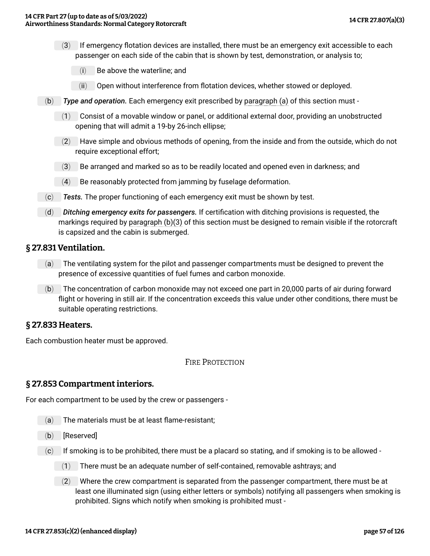- (3) If emergency flotation devices are installed, there must be an emergency exit accessible to each passenger on each side of the cabin that is shown by test, demonstration, or analysis to;
	- (i) Be above the waterline; and
	- (ii) Open without interference from flotation devices, whether stowed or deployed.
- (b) *Type and operation.* Each emergency exit prescribed by [paragraph \(a\)](#page-55-2) of this section must
	- (1) Consist of a movable window or panel, or additional external door, providing an unobstructed opening that will admit a 19-by 26-inch ellipse;
	- (2) Have simple and obvious methods of opening, from the inside and from the outside, which do not require exceptional effort;
	- (3) Be arranged and marked so as to be readily located and opened even in darkness; and
	- (4) Be reasonably protected from jamming by fuselage deformation.
- <span id="page-56-1"></span>(c) *Tests.* The proper functioning of each emergency exit must be shown by test.
- <span id="page-56-0"></span>(d) *Ditching emergency exits for passengers.* If certification with ditching provisions is requested, the markings required by [paragraph \(b\)\(3\)](#page-56-1) of this section must be designed to remain visible if the rotorcraft is capsized and the cabin is submerged.

#### **§ 27.831 Ventilation.**

- (a) The ventilating system for the pilot and passenger compartments must be designed to prevent the presence of excessive quantities of fuel fumes and carbon monoxide.
- (b) The concentration of carbon monoxide may not exceed one part in 20,000 parts of air during forward flight or hovering in still air. If the concentration exceeds this value under other conditions, there must be suitable operating restrictions.

#### **§ 27.833 Heaters.**

Each combustion heater must be approved.

#### FIRE PROTECTION

#### **§ 27.853 Compartment interiors.**

For each compartment to be used by the crew or passengers -

- $(a)$  The materials must be at least flame-resistant;
- (b) [Reserved]
- (c) If smoking is to be prohibited, there must be a placard so stating, and if smoking is to be allowed
	- (1) There must be an adequate number of self-contained, removable ashtrays; and
	- (2) Where the crew compartment is separated from the passenger compartment, there must be at least one illuminated sign (using either letters or symbols) notifying all passengers when smoking is prohibited. Signs which notify when smoking is prohibited must -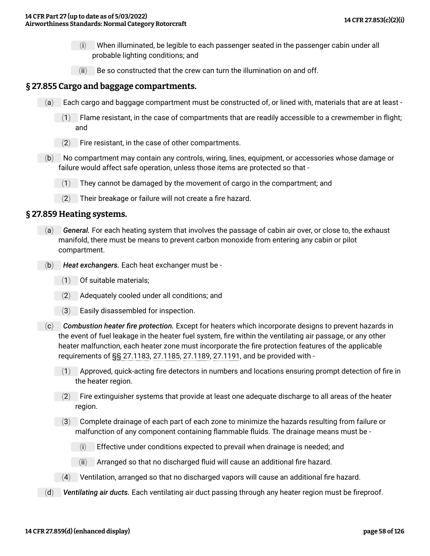- (i) When illuminated, be legible to each passenger seated in the passenger cabin under all probable lighting conditions; and
- (ii) Be so constructed that the crew can turn the illumination on and off.

### **§ 27.855 Cargo and baggage compartments.**

- (a) Each cargo and baggage compartment must be constructed of, or lined with, materials that are at least
	- $(1)$  Flame resistant, in the case of compartments that are readily accessible to a crewmember in flight; and
	- $(2)$  Fire resistant, in the case of other compartments.
- (b) No compartment may contain any controls, wiring, lines, equipment, or accessories whose damage or failure would affect safe operation, unless those items are protected so that -
	- $(1)$  They cannot be damaged by the movement of cargo in the compartment; and
	- (2) Their breakage or failure will not create a fire hazard.

#### **§ 27.859 Heating systems.**

- (a) *General.* For each heating system that involves the passage of cabin air over, or close to, the exhaust manifold, there must be means to prevent carbon monoxide from entering any cabin or pilot compartment.
- (b) *Heat exchangers.* Each heat exchanger must be
	- (1) Of suitable materials;
	- (2) Adequately cooled under all conditions; and
	- (3) Easily disassembled for inspection.
- (c) *Combustion heater fire protection.* Except for heaters which incorporate designs to prevent hazards in the event of fuel leakage in the heater fuel system, fire within the ventilating air passage, or any other heater malfunction, each heater zone must incorporate the fire protection features of the applicable requirements of [§§ 27.1183](#page-83-0), [27.1185](#page-83-1), [27.1189](#page-83-2), [27.1191,](#page-84-0) and be provided with -
	- (1) Approved, quick-acting fire detectors in numbers and locations ensuring prompt detection of fire in the heater region.
	- (2) Fire extinguisher systems that provide at least one adequate discharge to all areas of the heater region.
	- (3) Complete drainage of each part of each zone to minimize the hazards resulting from failure or malfunction of any component containing flammable fluids. The drainage means must be -
		- (i) Effective under conditions expected to prevail when drainage is needed; and
		- (ii) Arranged so that no discharged fluid will cause an additional fire hazard.
	- (4) Ventilation, arranged so that no discharged vapors will cause an additional fire hazard.
- (d) *Ventilating air ducts.* Each ventilating air duct passing through any heater region must be fireproof.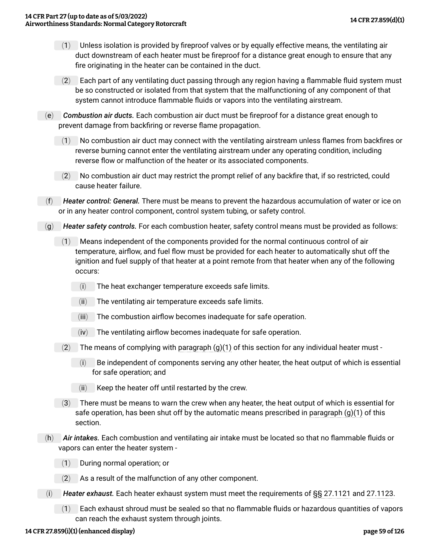- (1) Unless isolation is provided by fireproof valves or by equally effective means, the ventilating air duct downstream of each heater must be fireproof for a distance great enough to ensure that any fire originating in the heater can be contained in the duct.
- (2) Each part of any ventilating duct passing through any region having a flammable fluid system must be so constructed or isolated from that system that the malfunctioning of any component of that system cannot introduce flammable fluids or vapors into the ventilating airstream.
- (e) *Combustion air ducts.* Each combustion air duct must be fireproof for a distance great enough to prevent damage from backfiring or reverse flame propagation.
	- $(1)$  No combustion air duct may connect with the ventilating airstream unless flames from backfires or reverse burning cannot enter the ventilating airstream under any operating condition, including reverse flow or malfunction of the heater or its associated components.
	- $(2)$  No combustion air duct may restrict the prompt relief of any backfire that, if so restricted, could cause heater failure.
- (f) *Heater control: General.* There must be means to prevent the hazardous accumulation of water or ice on or in any heater control component, control system tubing, or safety control.
- <span id="page-58-0"></span>(g) *Heater safety controls.* For each combustion heater, safety control means must be provided as follows:
	- $(1)$  Means independent of the components provided for the normal continuous control of air temperature, airflow, and fuel flow must be provided for each heater to automatically shut off the ignition and fuel supply of that heater at a point remote from that heater when any of the following occurs:
		- (i) The heat exchanger temperature exceeds safe limits.
		- (ii) The ventilating air temperature exceeds safe limits.
		- (iii) The combustion airflow becomes inadequate for safe operation.
		- $(iv)$  The ventilating airflow becomes inadequate for safe operation.
	- $(2)$  The means of complying with paragraph  $(g)(1)$  of this section for any individual heater must -
		- (i) Be independent of components serving any other heater, the heat output of which is essential for safe operation; and
		- (ii) Keep the heater off until restarted by the crew.
	- (3) There must be means to warn the crew when any heater, the heat output of which is essential for safe operation, has been shut off by the automatic means prescribed in [paragraph \(g\)\(1\)](#page-58-0) of this section.
- (h) *Air intakes.* Each combustion and ventilating air intake must be located so that no flammable fluids or vapors can enter the heater system -
	- (1) During normal operation; or
	- $(2)$  As a result of the malfunction of any other component.
- (i) *Heater exhaust.* Each heater exhaust system must meet the requirements of [§§ 27.1121](#page-80-0) and [27.1123](#page-81-0).
	- $(1)$  Each exhaust shroud must be sealed so that no flammable fluids or hazardous quantities of vapors can reach the exhaust system through joints.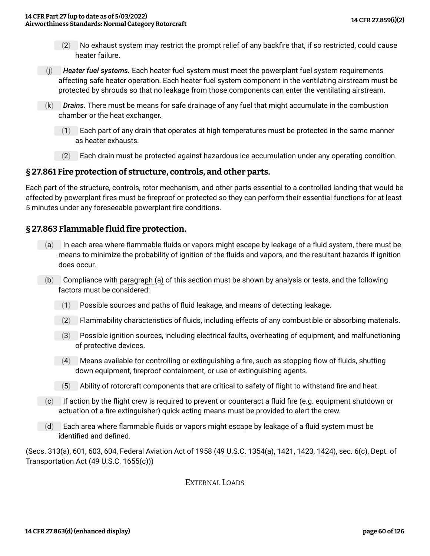- (2) No exhaust system may restrict the prompt relief of any backfire that, if so restricted, could cause heater failure.
- (j) *Heater fuel systems.* Each heater fuel system must meet the powerplant fuel system requirements affecting safe heater operation. Each heater fuel system component in the ventilating airstream must be protected by shrouds so that no leakage from those components can enter the ventilating airstream.
- (k) *Drains.* There must be means for safe drainage of any fuel that might accumulate in the combustion chamber or the heat exchanger.
	- $(1)$  Each part of any drain that operates at high temperatures must be protected in the same manner as heater exhausts.
	- (2) Each drain must be protected against hazardous ice accumulation under any operating condition.

# **§ 27.861 Fire protection of structure, controls, and other parts.**

Each part of the structure, controls, rotor mechanism, and other parts essential to a controlled landing that would be affected by powerplant fires must be fireproof or protected so they can perform their essential functions for at least 5 minutes under any foreseeable powerplant fire conditions.

# <span id="page-59-0"></span>**§ 27.863 Flammable fluid fire protection.**

- (a) In each area where flammable fluids or vapors might escape by leakage of a fluid system, there must be means to minimize the probability of ignition of the fluids and vapors, and the resultant hazards if ignition does occur.
- (b) Compliance with [paragraph \(a\)](#page-59-0) of this section must be shown by analysis or tests, and the following factors must be considered:
	- (1) Possible sources and paths of fluid leakage, and means of detecting leakage.
	- (2) Flammability characteristics of fluids, including effects of any combustible or absorbing materials.
	- (3) Possible ignition sources, including electrical faults, overheating of equipment, and malfunctioning of protective devices.
	- $(4)$  Means available for controlling or extinguishing a fire, such as stopping flow of fluids, shutting down equipment, fireproof containment, or use of extinguishing agents.
	- (5) Ability of rotorcraft components that are critical to safety of flight to withstand fire and heat.
- (c) If action by the flight crew is required to prevent or counteract a fluid fire (e.g. equipment shutdown or actuation of a fire extinguisher) quick acting means must be provided to alert the crew.
- (d) Each area where flammable fluids or vapors might escape by leakage of a fluid system must be identified and defined.

(Secs. 313(a), 601, 603, 604, Federal Aviation Act of 1958 [\(49 U.S.C. 1354\(a\)](https://www.govinfo.gov/link/uscode/49/1354), [1421](https://www.govinfo.gov/link/uscode/49/1421), [1423,](https://www.govinfo.gov/link/uscode/49/1423) [1424\)](https://www.govinfo.gov/link/uscode/49/1424), sec. 6(c), Dept. of Transportation Act ([49 U.S.C. 1655\(c\)\)](https://www.govinfo.gov/link/uscode/49/1655))

EXTERNAL LOADS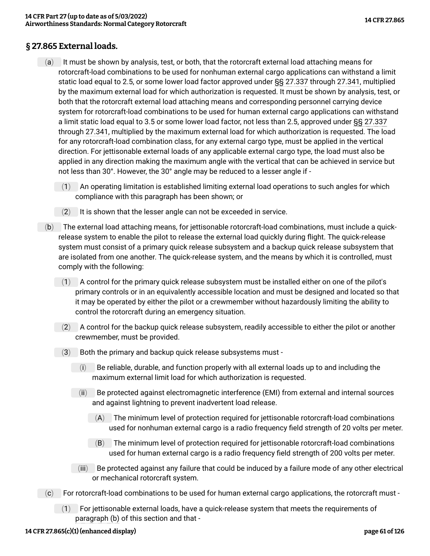# **§ 27.865 External loads.**

- (a) It must be shown by analysis, test, or both, that the rotorcraft external load attaching means for rotorcraft-load combinations to be used for nonhuman external cargo applications can withstand a limit static load equal to 2.5, or some lower load factor approved under [§§ 27.337](#page-22-1) through [27.341,](#page-23-0) multiplied by the maximum external load for which authorization is requested. It must be shown by analysis, test, or both that the rotorcraft external load attaching means and corresponding personnel carrying device system for rotorcraft-load combinations to be used for human external cargo applications can withstand a limit static load equal to 3.5 or some lower load factor, not less than 2.5, approved under [§§ 27.337](#page-22-1) through [27.341](#page-23-0), multiplied by the maximum external load for which authorization is requested. The load for any rotorcraft-load combination class, for any external cargo type, must be applied in the vertical direction. For jettisonable external loads of any applicable external cargo type, the load must also be applied in any direction making the maximum angle with the vertical that can be achieved in service but not less than 30°. However, the 30° angle may be reduced to a lesser angle if -
	- $(1)$  An operating limitation is established limiting external load operations to such angles for which compliance with this paragraph has been shown; or
	- $(2)$  It is shown that the lesser angle can not be exceeded in service.
- <span id="page-60-0"></span>(b) The external load attaching means, for jettisonable rotorcraft-load combinations, must include a quickrelease system to enable the pilot to release the external load quickly during flight. The quick-release system must consist of a primary quick release subsystem and a backup quick release subsystem that are isolated from one another. The quick-release system, and the means by which it is controlled, must comply with the following:
	- $(1)$  A control for the primary quick release subsystem must be installed either on one of the pilot's primary controls or in an equivalently accessible location and must be designed and located so that it may be operated by either the pilot or a crewmember without hazardously limiting the ability to control the rotorcraft during an emergency situation.
	- (2) A control for the backup quick release subsystem, readily accessible to either the pilot or another crewmember, must be provided.
	- $(3)$  Both the primary and backup quick release subsystems must -
		- (i) Be reliable, durable, and function properly with all external loads up to and including the maximum external limit load for which authorization is requested.
		- (ii) Be protected against electromagnetic interference (EMI) from external and internal sources and against lightning to prevent inadvertent load release.
			- (A) The minimum level of protection required for jettisonable rotorcraft-load combinations used for nonhuman external cargo is a radio frequency field strength of 20 volts per meter.
			- (B) The minimum level of protection required for jettisonable rotorcraft-load combinations used for human external cargo is a radio frequency field strength of 200 volts per meter.
		- (iii) Be protected against any failure that could be induced by a failure mode of any other electrical or mechanical rotorcraft system.
- (c) For rotorcraft-load combinations to be used for human external cargo applications, the rotorcraft must
	- (1) For jettisonable external loads, have a quick-release system that meets the requirements of [paragraph \(b\)](#page-60-0) of this section and that -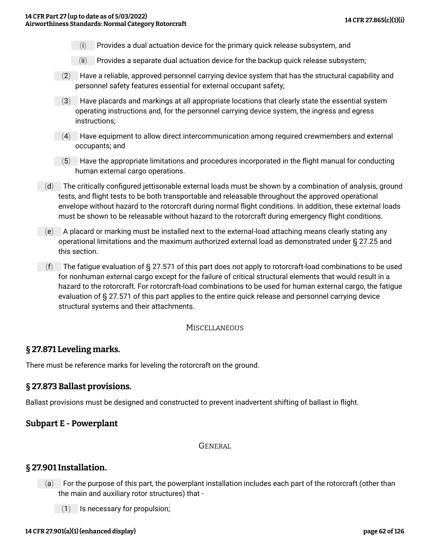- (i) Provides a dual actuation device for the primary quick release subsystem, and
- (ii) Provides a separate dual actuation device for the backup quick release subsystem;
- (2) Have a reliable, approved personnel carrying device system that has the structural capability and personnel safety features essential for external occupant safety;
- (3) Have placards and markings at all appropriate locations that clearly state the essential system operating instructions and, for the personnel carrying device system, the ingress and egress instructions;
- $(4)$  Have equipment to allow direct intercommunication among required crewmembers and external occupants; and
- (5) Have the appropriate limitations and procedures incorporated in the flight manual for conducting human external cargo operations.
- (d) The critically configured jettisonable external loads must be shown by a combination of analysis, ground tests, and flight tests to be both transportable and releasable throughout the approved operational envelope without hazard to the rotorcraft during normal flight conditions. In addition, these external loads must be shown to be releasable without hazard to the rotorcraft during emergency flight conditions.
- (e) A placard or marking must be installed next to the external-load attaching means clearly stating any operational limitations and the maximum authorized external load as demonstrated under [§ 27.25](#page-20-1) and this section.
- $(f)$  The fatigue evaluation of [§ 27.571 of this part](https://www.ecfr.gov/current/title-14/part-27/section-27.571/) does not apply to rotorcraft-load combinations to be used for nonhuman external cargo except for the failure of critical structural elements that would result in a hazard to the rotorcraft. For rotorcraft-load combinations to be used for human external cargo, the fatigue evaluation of [§ 27.571 of this part](https://www.ecfr.gov/current/title-14/part-27/section-27.571/) applies to the entire quick release and personnel carrying device structural systems and their attachments.

### **MISCELLANEOUS**

# **§ 27.871 Leveling marks.**

There must be reference marks for leveling the rotorcraft on the ground.

### **§ 27.873 Ballast provisions.**

Ballast provisions must be designed and constructed to prevent inadvertent shifting of ballast in flight.

# **Subpart E - Powerplant**

#### GENERAL

# **§ 27.901 Installation.**

- (a) For the purpose of this part, the powerplant installation includes each part of the rotorcraft (other than the main and auxiliary rotor structures) that -
	- (1) Is necessary for propulsion;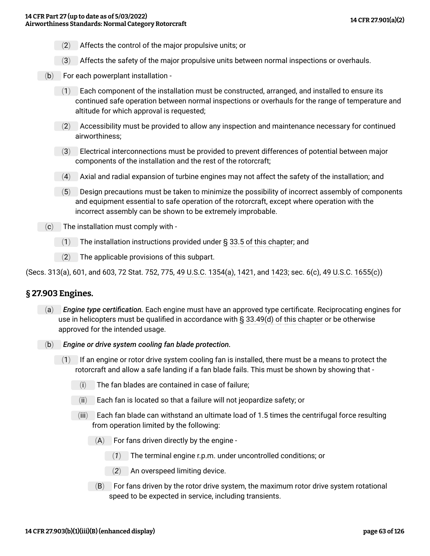- (2) Affects the control of the major propulsive units; or
- (3) Affects the safety of the major propulsive units between normal inspections or overhauls.
- (b) For each powerplant installation
	- $(1)$  Each component of the installation must be constructed, arranged, and installed to ensure its continued safe operation between normal inspections or overhauls for the range of temperature and altitude for which approval is requested;
	- (2) Accessibility must be provided to allow any inspection and maintenance necessary for continued airworthiness;
	- (3) Electrical interconnections must be provided to prevent differences of potential between major components of the installation and the rest of the rotorcraft;
	- (4) Axial and radial expansion of turbine engines may not affect the safety of the installation; and
	- (5) Design precautions must be taken to minimize the possibility of incorrect assembly of components and equipment essential to safe operation of the rotorcraft, except where operation with the incorrect assembly can be shown to be extremely improbable.
- (c) The installation must comply with
	- (1) The installation instructions provided under [§ 33.5 of this chapter;](https://www.ecfr.gov/current/title-14/section-33.5/) and
	- $(2)$  The applicable provisions of this subpart.

(Secs. 313(a), 601, and 603, 72 Stat. 752, 775, [49 U.S.C. 1354\(a\)](https://www.govinfo.gov/link/uscode/49/1354), [1421,](https://www.govinfo.gov/link/uscode/49/1421) and [1423;](https://www.govinfo.gov/link/uscode/49/1423) sec. 6(c), [49 U.S.C. 1655\(c\)](https://www.govinfo.gov/link/uscode/49/1655))

### **§ 27.903 Engines.**

- (a) *Engine type certification.* Each engine must have an approved type certificate. Reciprocating engines for use in helicopters must be qualified in accordance with [§ 33.49\(d\) of this chapter](https://www.ecfr.gov/current/title-14/section-33.49/?#p-33.49(d)) or be otherwise approved for the intended usage.
- (b) *Engine or drive system cooling fan blade protection.*
	- $(1)$  If an engine or rotor drive system cooling fan is installed, there must be a means to protect the rotorcraft and allow a safe landing if a fan blade fails. This must be shown by showing that -
		- (i) The fan blades are contained in case of failure;
		- (ii) Each fan is located so that a failure will not jeopardize safety; or
		- (iii) Each fan blade can withstand an ultimate load of 1.5 times the centrifugal force resulting from operation limited by the following:
			- $(A)$  For fans driven directly by the engine -
				- (*1*) The terminal engine r.p.m. under uncontrolled conditions; or
				- (*2*) An overspeed limiting device.
			- (B) For fans driven by the rotor drive system, the maximum rotor drive system rotational speed to be expected in service, including transients.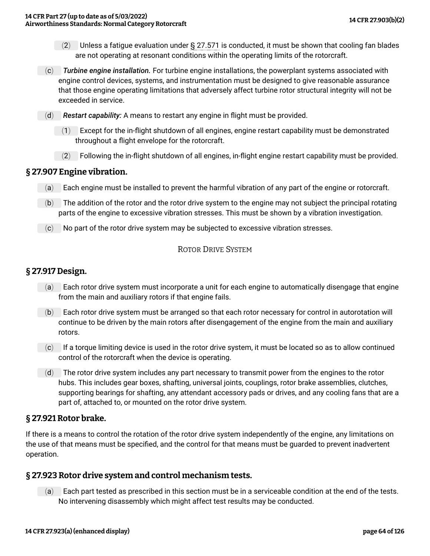- $(2)$  Unless a fatigue evaluation under [§ 27.571](#page-36-6) is conducted, it must be shown that cooling fan blades are not operating at resonant conditions within the operating limits of the rotorcraft.
- (c) *Turbine engine installation.* For turbine engine installations, the powerplant systems associated with engine control devices, systems, and instrumentation must be designed to give reasonable assurance that those engine operating limitations that adversely affect turbine rotor structural integrity will not be exceeded in service.
- (d) *Restart capability:* A means to restart any engine in flight must be provided.
	- $(1)$  Except for the in-flight shutdown of all engines, engine restart capability must be demonstrated throughout a flight envelope for the rotorcraft.
	- (2) Following the in-flight shutdown of all engines, in-flight engine restart capability must be provided.

### **§ 27.907 Engine vibration.**

- (a) Each engine must be installed to prevent the harmful vibration of any part of the engine or rotorcraft.
- $(b)$  The addition of the rotor and the rotor drive system to the engine may not subject the principal rotating parts of the engine to excessive vibration stresses. This must be shown by a vibration investigation.
- (c) No part of the rotor drive system may be subjected to excessive vibration stresses.

### ROTOR DRIVE SYSTEM

### **§ 27.917 Design.**

- (a) Each rotor drive system must incorporate a unit for each engine to automatically disengage that engine from the main and auxiliary rotors if that engine fails.
- (b) Each rotor drive system must be arranged so that each rotor necessary for control in autorotation will continue to be driven by the main rotors after disengagement of the engine from the main and auxiliary rotors.
- (c) If a torque limiting device is used in the rotor drive system, it must be located so as to allow continued control of the rotorcraft when the device is operating.
- (d) The rotor drive system includes any part necessary to transmit power from the engines to the rotor hubs. This includes gear boxes, shafting, universal joints, couplings, rotor brake assemblies, clutches, supporting bearings for shafting, any attendant accessory pads or drives, and any cooling fans that are a part of, attached to, or mounted on the rotor drive system.

### **§ 27.921 Rotor brake.**

If there is a means to control the rotation of the rotor drive system independently of the engine, any limitations on the use of that means must be specified, and the control for that means must be guarded to prevent inadvertent operation.

### <span id="page-63-0"></span>**§ 27.923 Rotor drive system and control mechanism tests.**

(a) Each part tested as prescribed in this section must be in a serviceable condition at the end of the tests. No intervening disassembly which might affect test results may be conducted.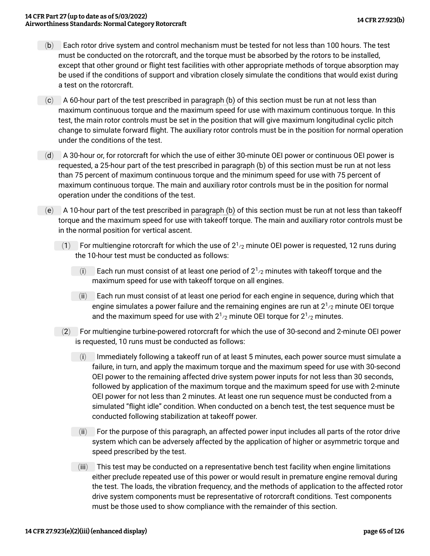- <span id="page-64-0"></span>(b) Each rotor drive system and control mechanism must be tested for not less than 100 hours. The test must be conducted on the rotorcraft, and the torque must be absorbed by the rotors to be installed, except that other ground or flight test facilities with other appropriate methods of torque absorption may be used if the conditions of support and vibration closely simulate the conditions that would exist during a test on the rotorcraft.
- <span id="page-64-1"></span> $(c)$  A 60-hour part of the test prescribed in [paragraph \(b\)](#page-64-0) of this section must be run at not less than maximum continuous torque and the maximum speed for use with maximum continuous torque. In this test, the main rotor controls must be set in the position that will give maximum longitudinal cyclic pitch change to simulate forward flight. The auxiliary rotor controls must be in the position for normal operation under the conditions of the test.
- <span id="page-64-2"></span>(d) A 30-hour or, for rotorcraft for which the use of either 30-minute OEI power or continuous OEI power is requested, a 25-hour part of the test prescribed in [paragraph \(b\)](#page-64-0) of this section must be run at not less than 75 percent of maximum continuous torque and the minimum speed for use with 75 percent of maximum continuous torque. The main and auxiliary rotor controls must be in the position for normal operation under the conditions of the test.
- <span id="page-64-3"></span> $(e)$  A 10-hour part of the test prescribed in [paragraph \(b\)](#page-64-0) of this section must be run at not less than takeoff torque and the maximum speed for use with takeoff torque. The main and auxiliary rotor controls must be in the normal position for vertical ascent.
	- (1) For multiengine rotorcraft for which the use of  $2^{1/2}$  minute OEI power is requested, 12 runs during the 10-hour test must be conducted as follows:
		- (i) Each run must consist of at least one period of  $2^{1}_{2}$  minutes with takeoff torque and the maximum speed for use with takeoff torque on all engines.
		- (ii) Each run must consist of at least one period for each engine in sequence, during which that engine simulates a power failure and the remaining engines are run at  $2^1\prime_2$  minute OEI torque and the maximum speed for use with 2 $^1\prime_2$  minute OEI torque for 2 $^1\prime_2$  minutes.
	- (2) For multiengine turbine-powered rotorcraft for which the use of 30-second and 2-minute OEI power is requested, 10 runs must be conducted as follows:
		- (i) Immediately following a takeoff run of at least 5 minutes, each power source must simulate a failure, in turn, and apply the maximum torque and the maximum speed for use with 30-second OEI power to the remaining affected drive system power inputs for not less than 30 seconds, followed by application of the maximum torque and the maximum speed for use with 2-minute OEI power for not less than 2 minutes. At least one run sequence must be conducted from a simulated "flight idle" condition. When conducted on a bench test, the test sequence must be conducted following stabilization at takeoff power.
		- (ii) For the purpose of this paragraph, an affected power input includes all parts of the rotor drive system which can be adversely affected by the application of higher or asymmetric torque and speed prescribed by the test.
		- (iii) This test may be conducted on a representative bench test facility when engine limitations either preclude repeated use of this power or would result in premature engine removal during the test. The loads, the vibration frequency, and the methods of application to the affected rotor drive system components must be representative of rotorcraft conditions. Test components must be those used to show compliance with the remainder of this section.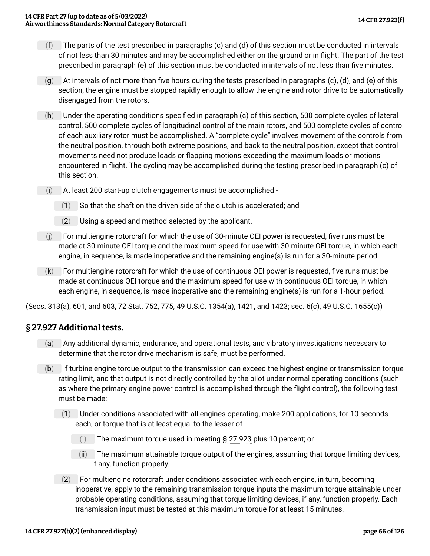- (f) The parts of the test prescribed in [paragraphs \(c\)](#page-64-1) and [\(d\)](#page-64-2) of this section must be conducted in intervals of not less than 30 minutes and may be accomplished either on the ground or in flight. The part of the test prescribed in [paragraph \(e\)](#page-64-3) of this section must be conducted in intervals of not less than five minutes.
- $(g)$  At intervals of not more than five hours during the tests prescribed in [paragraphs \(c\)](#page-64-1), [\(d\)](#page-64-2), and [\(e\)](#page-64-3) of this section, the engine must be stopped rapidly enough to allow the engine and rotor drive to be automatically disengaged from the rotors.
- (h) Under the operating conditions specified in [paragraph \(c\)](#page-64-1) of this section, 500 complete cycles of lateral control, 500 complete cycles of longitudinal control of the main rotors, and 500 complete cycles of control of each auxiliary rotor must be accomplished. A "complete cycle" involves movement of the controls from the neutral position, through both extreme positions, and back to the neutral position, except that control movements need not produce loads or flapping motions exceeding the maximum loads or motions encountered in flight. The cycling may be accomplished during the testing prescribed in [paragraph \(c\)](#page-64-1) of this section.
- (i) At least 200 start-up clutch engagements must be accomplished
	- (1) So that the shaft on the driven side of the clutch is accelerated; and
	- (2) Using a speed and method selected by the applicant.
	- (j) For multiengine rotorcraft for which the use of 30-minute OEI power is requested, five runs must be made at 30-minute OEI torque and the maximum speed for use with 30-minute OEI torque, in which each engine, in sequence, is made inoperative and the remaining engine(s) is run for a 30-minute period.
- (k) For multiengine rotorcraft for which the use of continuous OEI power is requested, five runs must be made at continuous OEI torque and the maximum speed for use with continuous OEI torque, in which each engine, in sequence, is made inoperative and the remaining engine(s) is run for a 1-hour period.

<span id="page-65-0"></span>(Secs. 313(a), 601, and 603, 72 Stat. 752, 775, [49 U.S.C. 1354\(a\)](https://www.govinfo.gov/link/uscode/49/1354), [1421,](https://www.govinfo.gov/link/uscode/49/1421) and [1423;](https://www.govinfo.gov/link/uscode/49/1423) sec. 6(c), [49 U.S.C. 1655\(c\)](https://www.govinfo.gov/link/uscode/49/1655))

# **§ 27.927 Additional tests.**

- (a) Any additional dynamic, endurance, and operational tests, and vibratory investigations necessary to determine that the rotor drive mechanism is safe, must be performed.
- <span id="page-65-2"></span><span id="page-65-1"></span>(b) If turbine engine torque output to the transmission can exceed the highest engine or transmission torque rating limit, and that output is not directly controlled by the pilot under normal operating conditions (such as where the primary engine power control is accomplished through the flight control), the following test must be made:
	- (1) Under conditions associated with all engines operating, make 200 applications, for 10 seconds each, or torque that is at least equal to the lesser of -
		- (i) The maximum torque used in meeting [§ 27.923](#page-63-0) plus 10 percent; or
		- (ii) The maximum attainable torque output of the engines, assuming that torque limiting devices, if any, function properly.
	- (2) For multiengine rotorcraft under conditions associated with each engine, in turn, becoming inoperative, apply to the remaining transmission torque inputs the maximum torque attainable under probable operating conditions, assuming that torque limiting devices, if any, function properly. Each transmission input must be tested at this maximum torque for at least 15 minutes.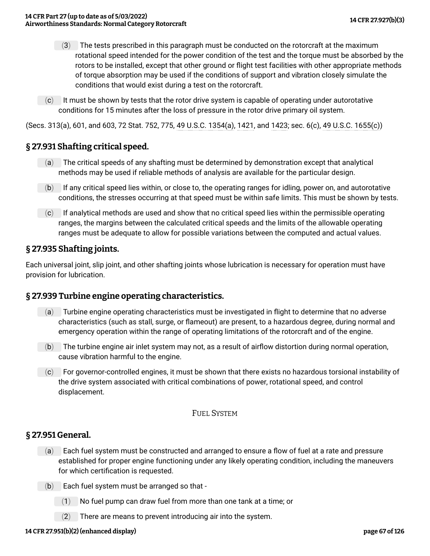- (3) The tests prescribed in this paragraph must be conducted on the rotorcraft at the maximum rotational speed intended for the power condition of the test and the torque must be absorbed by the rotors to be installed, except that other ground or flight test facilities with other appropriate methods of torque absorption may be used if the conditions of support and vibration closely simulate the conditions that would exist during a test on the rotorcraft.
- (c) It must be shown by tests that the rotor drive system is capable of operating under autorotative conditions for 15 minutes after the loss of pressure in the rotor drive primary oil system.

(Secs. 313(a), 601, and 603, 72 Stat. 752, 775, [49 U.S.C. 1354\(a\)](https://www.govinfo.gov/link/uscode/49/1354), [1421,](https://www.govinfo.gov/link/uscode/49/1421) and [1423;](https://www.govinfo.gov/link/uscode/49/1423) sec. 6(c), [49 U.S.C. 1655\(c\)](https://www.govinfo.gov/link/uscode/49/1655))

# **§ 27.931 Shafting critical speed.**

- (a) The critical speeds of any shafting must be determined by demonstration except that analytical methods may be used if reliable methods of analysis are available for the particular design.
- (b) If any critical speed lies within, or close to, the operating ranges for idling, power on, and autorotative conditions, the stresses occurring at that speed must be within safe limits. This must be shown by tests.
- (c) If analytical methods are used and show that no critical speed lies within the permissible operating ranges, the margins between the calculated critical speeds and the limits of the allowable operating ranges must be adequate to allow for possible variations between the computed and actual values.

# **§ 27.935 Shafting joints.**

Each universal joint, slip joint, and other shafting joints whose lubrication is necessary for operation must have provision for lubrication.

# **§ 27.939 Turbine engine operating characteristics.**

- (a) Turbine engine operating characteristics must be investigated in flight to determine that no adverse characteristics (such as stall, surge, or flameout) are present, to a hazardous degree, during normal and emergency operation within the range of operating limitations of the rotorcraft and of the engine.
- (b) The turbine engine air inlet system may not, as a result of airflow distortion during normal operation, cause vibration harmful to the engine.
- (c) For governor-controlled engines, it must be shown that there exists no hazardous torsional instability of the drive system associated with critical combinations of power, rotational speed, and control displacement.

### FUEL SYSTEM

# **§ 27.951 General.**

- (a) Each fuel system must be constructed and arranged to ensure a flow of fuel at a rate and pressure established for proper engine functioning under any likely operating condition, including the maneuvers for which certification is requested.
- (b) Each fuel system must be arranged so that -
	- (1) No fuel pump can draw fuel from more than one tank at a time; or
	- (2) There are means to prevent introducing air into the system.

#### **14 CFR 27.951(b)(2) (enhanced display) page 67 of 126**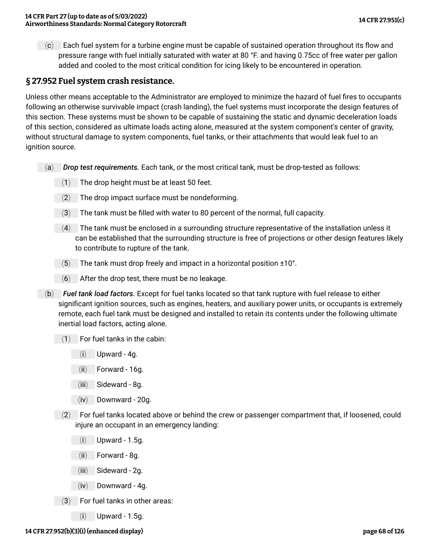(c) Each fuel system for a turbine engine must be capable of sustained operation throughout its flow and pressure range with fuel initially saturated with water at 80 °F. and having 0.75cc of free water per gallon added and cooled to the most critical condition for icing likely to be encountered in operation.

## <span id="page-67-0"></span>**§ 27.952 Fuel system crash resistance.**

Unless other means acceptable to the Administrator are employed to minimize the hazard of fuel fires to occupants following an otherwise survivable impact (crash landing), the fuel systems must incorporate the design features of this section. These systems must be shown to be capable of sustaining the static and dynamic deceleration loads of this section, considered as ultimate loads acting alone, measured at the system component's center of gravity, without structural damage to system components, fuel tanks, or their attachments that would leak fuel to an ignition source.

- (a) *Drop test requirements.* Each tank, or the most critical tank, must be drop-tested as follows:
	- (1) The drop height must be at least 50 feet.
		- (2) The drop impact surface must be nondeforming.
		- (3) The tank must be filled with water to 80 percent of the normal, full capacity.
	- (4) The tank must be enclosed in a surrounding structure representative of the installation unless it can be established that the surrounding structure is free of projections or other design features likely to contribute to rupture of the tank.
	- $(5)$  The tank must drop freely and impact in a horizontal position  $\pm 10^{\circ}$ .
	- $(6)$  After the drop test, there must be no leakage.
- (b) *Fuel tank load factors.* Except for fuel tanks located so that tank rupture with fuel release to either significant ignition sources, such as engines, heaters, and auxiliary power units, or occupants is extremely remote, each fuel tank must be designed and installed to retain its contents under the following ultimate inertial load factors, acting alone.
	- (1) For fuel tanks in the cabin:
		- $(i)$  Upward 4g.
		- (ii) Forward 16g.
		- (iii) Sideward 8g.
		- (iv) Downward 20g.
	- (2) For fuel tanks located above or behind the crew or passenger compartment that, if loosened, could injure an occupant in an emergency landing:
		- (i) Upward 1.5g.
		- (ii) Forward 8g.
		- (iii) Sideward 2g.
		- (iv) Downward 4g.
	- (3) For fuel tanks in other areas:
		- (i) Upward 1.5g.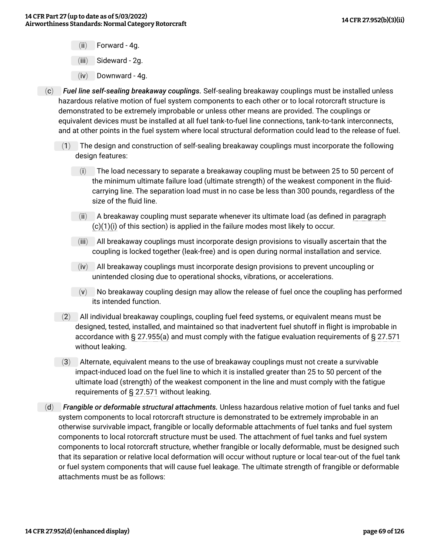(ii) Forward - 4g.

(iii) Sideward - 2g.

- (iv) Downward 4g.
- <span id="page-68-0"></span>(c) *Fuel line self-sealing breakaway couplings.* Self-sealing breakaway couplings must be installed unless hazardous relative motion of fuel system components to each other or to local rotorcraft structure is demonstrated to be extremely improbable or unless other means are provided. The couplings or equivalent devices must be installed at all fuel tank-to-fuel line connections, tank-to-tank interconnects, and at other points in the fuel system where local structural deformation could lead to the release of fuel.
	- (1) The design and construction of self-sealing breakaway couplings must incorporate the following design features:
		- (i) The load necessary to separate a breakaway coupling must be between 25 to 50 percent of the minimum ultimate failure load (ultimate strength) of the weakest component in the fluidcarrying line. The separation load must in no case be less than 300 pounds, regardless of the size of the fluid line.
		- (ii) A breakaway coupling must separate whenever its ultimate load (as defined in [paragraph](#page-68-0) [\(c\)\(1\)\(i\)](#page-68-0) of this section) is applied in the failure modes most likely to occur.
		- (iii) All breakaway couplings must incorporate design provisions to visually ascertain that the coupling is locked together (leak-free) and is open during normal installation and service.
		- (iv) All breakaway couplings must incorporate design provisions to prevent uncoupling or unintended closing due to operational shocks, vibrations, or accelerations.
		- (v) No breakaway coupling design may allow the release of fuel once the coupling has performed its intended function.
	- (2) All individual breakaway couplings, coupling fuel feed systems, or equivalent means must be designed, tested, installed, and maintained so that inadvertent fuel shutoff in flight is improbable in accordance with [§ 27.955\(a\)](#page-70-0) and must comply with the fatigue evaluation requirements of [§ 27.571](#page-36-6) without leaking.
	- (3) Alternate, equivalent means to the use of breakaway couplings must not create a survivable impact-induced load on the fuel line to which it is installed greater than 25 to 50 percent of the ultimate load (strength) of the weakest component in the line and must comply with the fatigue requirements of [§ 27.571](#page-36-6) without leaking.
- (d) *Frangible or deformable structural attachments.* Unless hazardous relative motion of fuel tanks and fuel system components to local rotorcraft structure is demonstrated to be extremely improbable in an otherwise survivable impact, frangible or locally deformable attachments of fuel tanks and fuel system components to local rotorcraft structure must be used. The attachment of fuel tanks and fuel system components to local rotorcraft structure, whether frangible or locally deformable, must be designed such that its separation or relative local deformation will occur without rupture or local tear-out of the fuel tank or fuel system components that will cause fuel leakage. The ultimate strength of frangible or deformable attachments must be as follows: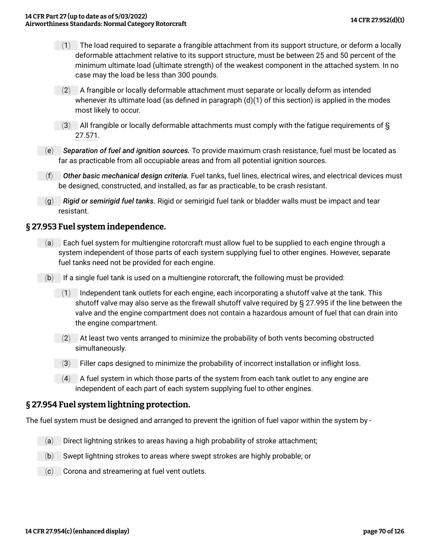- <span id="page-69-0"></span>(1) The load required to separate a frangible attachment from its support structure, or deform a locally deformable attachment relative to its support structure, must be between 25 and 50 percent of the minimum ultimate load (ultimate strength) of the weakest component in the attached system. In no case may the load be less than 300 pounds.
- (2) A frangible or locally deformable attachment must separate or locally deform as intended whenever its ultimate load (as defined in paragraph  $(d)(1)$  of this section) is applied in the modes most likely to occur.
- $(3)$  All frangible or locally deformable attachments must comply with the fatigue requirements of [§](#page-36-6) [27.571](#page-36-6).
- (e) *Separation of fuel and ignition sources.* To provide maximum crash resistance, fuel must be located as far as practicable from all occupiable areas and from all potential ignition sources.
- (f) *Other basic mechanical design criteria.* Fuel tanks, fuel lines, electrical wires, and electrical devices must be designed, constructed, and installed, as far as practicable, to be crash resistant.
- (g) *Rigid or semirigid fuel tanks.* Rigid or semirigid fuel tank or bladder walls must be impact and tear resistant.

### **§ 27.953 Fuel system independence.**

- (a) Each fuel system for multiengine rotorcraft must allow fuel to be supplied to each engine through a system independent of those parts of each system supplying fuel to other engines. However, separate fuel tanks need not be provided for each engine.
- (b) If a single fuel tank is used on a multiengine rotorcraft, the following must be provided:
	- $(1)$  Independent tank outlets for each engine, each incorporating a shutoff valve at the tank. This shutoff valve may also serve as the firewall shutoff valve required by [§ 27.995](#page-74-0) if the line between the valve and the engine compartment does not contain a hazardous amount of fuel that can drain into the engine compartment.
	- (2) At least two vents arranged to minimize the probability of both vents becoming obstructed simultaneously.
	- (3) Filler caps designed to minimize the probability of incorrect installation or inflight loss.
	- $(4)$  A fuel system in which those parts of the system from each tank outlet to any engine are independent of each part of each system supplying fuel to other engines.

### **§ 27.954 Fuel system lightning protection.**

The fuel system must be designed and arranged to prevent the ignition of fuel vapor within the system by -

- (a) Direct lightning strikes to areas having a high probability of stroke attachment;
- (b) Swept lightning strokes to areas where swept strokes are highly probable; or
- $(c)$  Corona and streamering at fuel vent outlets.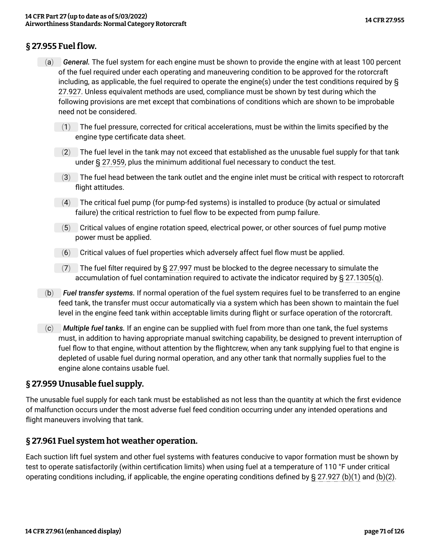# <span id="page-70-0"></span>**§ 27.955 Fuel flow.**

- (a) *General.* The fuel system for each engine must be shown to provide the engine with at least 100 percent of the fuel required under each operating and maneuvering condition to be approved for the rotorcraft including, as applicable, the fuel required to operate the engine(s) under the test conditions required by [§](#page-65-0) [27.927](#page-65-0). Unless equivalent methods are used, compliance must be shown by test during which the following provisions are met except that combinations of conditions which are shown to be improbable need not be considered.
	- (1) The fuel pressure, corrected for critical accelerations, must be within the limits specified by the engine type certificate data sheet.
	- $(2)$  The fuel level in the tank may not exceed that established as the unusable fuel supply for that tank under [§ 27.959,](#page-70-1) plus the minimum additional fuel necessary to conduct the test.
	- (3) The fuel head between the tank outlet and the engine inlet must be critical with respect to rotorcraft flight attitudes.
	- (4) The critical fuel pump (for pump-fed systems) is installed to produce (by actual or simulated failure) the critical restriction to fuel flow to be expected from pump failure.
	- (5) Critical values of engine rotation speed, electrical power, or other sources of fuel pump motive power must be applied.
	- (6) Critical values of fuel properties which adversely affect fuel flow must be applied.
	- $(7)$  The fuel filter required by [§ 27.997](#page-75-0) must be blocked to the degree necessary to simulate the accumulation of fuel contamination required to activate the indicator required by [§ 27.1305\(q\).](#page-86-0)
- (b) *Fuel transfer systems.* If normal operation of the fuel system requires fuel to be transferred to an engine feed tank, the transfer must occur automatically via a system which has been shown to maintain the fuel level in the engine feed tank within acceptable limits during flight or surface operation of the rotorcraft.
- (c) *Multiple fuel tanks.* If an engine can be supplied with fuel from more than one tank, the fuel systems must, in addition to having appropriate manual switching capability, be designed to prevent interruption of fuel flow to that engine, without attention by the flightcrew, when any tank supplying fuel to that engine is depleted of usable fuel during normal operation, and any other tank that normally supplies fuel to the engine alone contains usable fuel.

# <span id="page-70-1"></span>**§ 27.959 Unusable fuel supply.**

The unusable fuel supply for each tank must be established as not less than the quantity at which the first evidence of malfunction occurs under the most adverse fuel feed condition occurring under any intended operations and flight maneuvers involving that tank.

# **§ 27.961 Fuel system hot weather operation.**

Each suction lift fuel system and other fuel systems with features conducive to vapor formation must be shown by test to operate satisfactorily (within certification limits) when using fuel at a temperature of 110 °F under critical operating conditions including, if applicable, the engine operating conditions defined by [§ 27.927 \(b\)\(1\)](#page-65-1) and [\(b\)\(2\)](#page-65-2).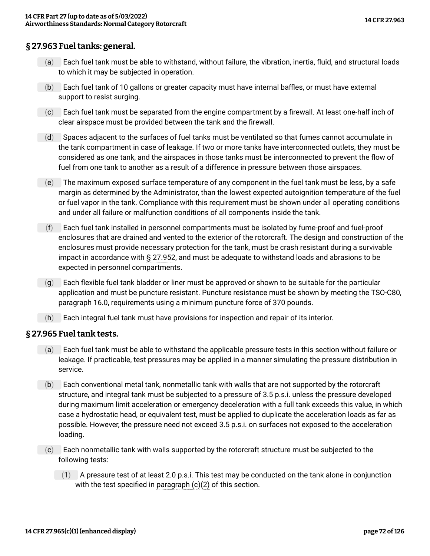# **§ 27.963 Fuel tanks: general.**

- (a) Each fuel tank must be able to withstand, without failure, the vibration, inertia, fluid, and structural loads to which it may be subjected in operation.
- (b) Each fuel tank of 10 gallons or greater capacity must have internal baffles, or must have external support to resist surging.
- (c) Each fuel tank must be separated from the engine compartment by a firewall. At least one-half inch of clear airspace must be provided between the tank and the firewall.
- (d) Spaces adjacent to the surfaces of fuel tanks must be ventilated so that fumes cannot accumulate in the tank compartment in case of leakage. If two or more tanks have interconnected outlets, they must be considered as one tank, and the airspaces in those tanks must be interconnected to prevent the flow of fuel from one tank to another as a result of a difference in pressure between those airspaces.
- (e) The maximum exposed surface temperature of any component in the fuel tank must be less, by a safe margin as determined by the Administrator, than the lowest expected autoignition temperature of the fuel or fuel vapor in the tank. Compliance with this requirement must be shown under all operating conditions and under all failure or malfunction conditions of all components inside the tank.
- (f) Each fuel tank installed in personnel compartments must be isolated by fume-proof and fuel-proof enclosures that are drained and vented to the exterior of the rotorcraft. The design and construction of the enclosures must provide necessary protection for the tank, must be crash resistant during a survivable impact in accordance with [§ 27.952,](#page-67-0) and must be adequate to withstand loads and abrasions to be expected in personnel compartments.
- $(g)$  Each flexible fuel tank bladder or liner must be approved or shown to be suitable for the particular application and must be puncture resistant. Puncture resistance must be shown by meeting the TSO-C80, paragraph 16.0, requirements using a minimum puncture force of 370 pounds.
- (h) Each integral fuel tank must have provisions for inspection and repair of its interior.

### **§ 27.965 Fuel tank tests.**

- (a) Each fuel tank must be able to withstand the applicable pressure tests in this section without failure or leakage. If practicable, test pressures may be applied in a manner simulating the pressure distribution in service.
- (b) Each conventional metal tank, nonmetallic tank with walls that are not supported by the rotorcraft structure, and integral tank must be subjected to a pressure of 3.5 p.s.i. unless the pressure developed during maximum limit acceleration or emergency deceleration with a full tank exceeds this value, in which case a hydrostatic head, or equivalent test, must be applied to duplicate the acceleration loads as far as possible. However, the pressure need not exceed 3.5 p.s.i. on surfaces not exposed to the acceleration loading.
- (c) Each nonmetallic tank with walls supported by the rotorcraft structure must be subjected to the following tests:
	- $(1)$  A pressure test of at least 2.0 p.s.i. This test may be conducted on the tank alone in conjunction with the test specified in [paragraph \(c\)\(2\)](#page-72-0) of this section.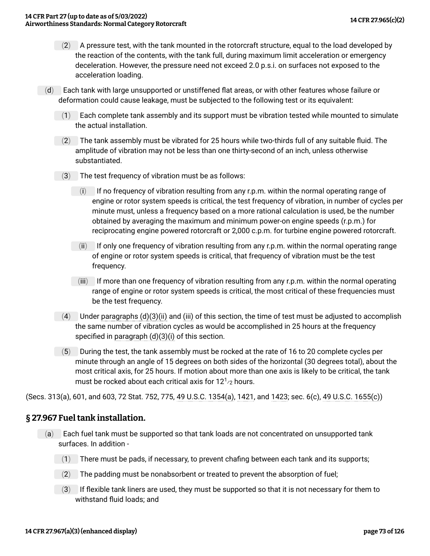- (2) A pressure test, with the tank mounted in the rotorcraft structure, equal to the load developed by the reaction of the contents, with the tank full, during maximum limit acceleration or emergency deceleration. However, the pressure need not exceed 2.0 p.s.i. on surfaces not exposed to the acceleration loading.
- <span id="page-72-2"></span>(d) Each tank with large unsupported or unstiffened flat areas, or with other features whose failure or deformation could cause leakage, must be subjected to the following test or its equivalent:
	- $(1)$  Each complete tank assembly and its support must be vibration tested while mounted to simulate the actual installation.
	- $(2)$  The tank assembly must be vibrated for 25 hours while two-thirds full of any suitable fluid. The amplitude of vibration may not be less than one thirty-second of an inch, unless otherwise substantiated.
	- (3) The test frequency of vibration must be as follows:
		- (i) If no frequency of vibration resulting from any r.p.m. within the normal operating range of engine or rotor system speeds is critical, the test frequency of vibration, in number of cycles per minute must, unless a frequency based on a more rational calculation is used, be the number obtained by averaging the maximum and minimum power-on engine speeds (r.p.m.) for reciprocating engine powered rotorcraft or 2,000 c.p.m. for turbine engine powered rotorcraft.
		- (ii) If only one frequency of vibration resulting from any r.p.m. within the normal operating range of engine or rotor system speeds is critical, that frequency of vibration must be the test frequency.
		- (iii) If more than one frequency of vibration resulting from any r.p.m. within the normal operating range of engine or rotor system speeds is critical, the most critical of these frequencies must be the test frequency.
	- $(4)$  Under [paragraphs \(d\)\(3\)\(ii\)](#page-72-0) and [\(iii\)](#page-72-1) of this section, the time of test must be adjusted to accomplish the same number of vibration cycles as would be accomplished in 25 hours at the frequency specified in [paragraph \(d\)\(3\)\(i\)](#page-72-2) of this section.
	- (5) During the test, the tank assembly must be rocked at the rate of 16 to 20 complete cycles per minute through an angle of 15 degrees on both sides of the horizontal (30 degrees total), about the most critical axis, for 25 hours. If motion about more than one axis is likely to be critical, the tank must be rocked about each critical axis for 12 $\rm 1/_{2}$  hours.

<span id="page-72-1"></span><span id="page-72-0"></span>(Secs. 313(a), 601, and 603, 72 Stat. 752, 775, [49 U.S.C. 1354\(a\)](https://www.govinfo.gov/link/uscode/49/1354), [1421,](https://www.govinfo.gov/link/uscode/49/1421) and [1423;](https://www.govinfo.gov/link/uscode/49/1423) sec. 6(c), [49 U.S.C. 1655\(c\)](https://www.govinfo.gov/link/uscode/49/1655))

### **§ 27.967 Fuel tank installation.**

- (a) Each fuel tank must be supported so that tank loads are not concentrated on unsupported tank surfaces. In addition -
	- (1) There must be pads, if necessary, to prevent chafing between each tank and its supports;
	- (2) The padding must be nonabsorbent or treated to prevent the absorption of fuel;
	- (3) If flexible tank liners are used, they must be supported so that it is not necessary for them to withstand fluid loads; and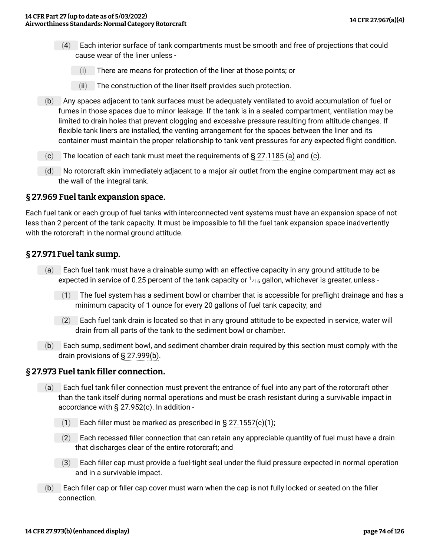- (4) Each interior surface of tank compartments must be smooth and free of projections that could cause wear of the liner unless -
	- (i) There are means for protection of the liner at those points; or
	- (ii) The construction of the liner itself provides such protection.
- (b) Any spaces adjacent to tank surfaces must be adequately ventilated to avoid accumulation of fuel or fumes in those spaces due to minor leakage. If the tank is in a sealed compartment, ventilation may be limited to drain holes that prevent clogging and excessive pressure resulting from altitude changes. If flexible tank liners are installed, the venting arrangement for the spaces between the liner and its container must maintain the proper relationship to tank vent pressures for any expected flight condition.
- [\(c\)](#page-83-1) The location of each tank must meet the requirements of  $\S 27.1185$  (a) and (c).
- (d) No rotorcraft skin immediately adjacent to a major air outlet from the engine compartment may act as the wall of the integral tank.

### **§ 27.969 Fuel tank expansion space.**

Each fuel tank or each group of fuel tanks with interconnected vent systems must have an expansion space of not less than 2 percent of the tank capacity. It must be impossible to fill the fuel tank expansion space inadvertently with the rotorcraft in the normal ground attitude.

### **§ 27.971 Fuel tank sump.**

- (a) Each fuel tank must have a drainable sump with an effective capacity in any ground attitude to be expected in service of 0.25 percent of the tank capacity or  $1_{\rm /16}$  gallon, whichever is greater, unless -
	- $(1)$  The fuel system has a sediment bowl or chamber that is accessible for preflight drainage and has a minimum capacity of 1 ounce for every 20 gallons of fuel tank capacity; and
	- (2) Each fuel tank drain is located so that in any ground attitude to be expected in service, water will drain from all parts of the tank to the sediment bowl or chamber.
- (b) Each sump, sediment bowl, and sediment chamber drain required by this section must comply with the drain provisions of [§ 27.999\(b\)](#page-75-0).

### **§ 27.973 Fuel tank filler connection.**

- (a) Each fuel tank filler connection must prevent the entrance of fuel into any part of the rotorcraft other than the tank itself during normal operations and must be crash resistant during a survivable impact in accordance with [§ 27.952\(c\).](#page-68-0) In addition -
	- (1) Each filler must be marked as prescribed in  $\S 27.1557(c)(1)$ ;
	- $(2)$  Each recessed filler connection that can retain any appreciable quantity of fuel must have a drain that discharges clear of the entire rotorcraft; and
	- (3) Each filler cap must provide a fuel-tight seal under the fluid pressure expected in normal operation and in a survivable impact.
- (b) Each filler cap or filler cap cover must warn when the cap is not fully locked or seated on the filler connection.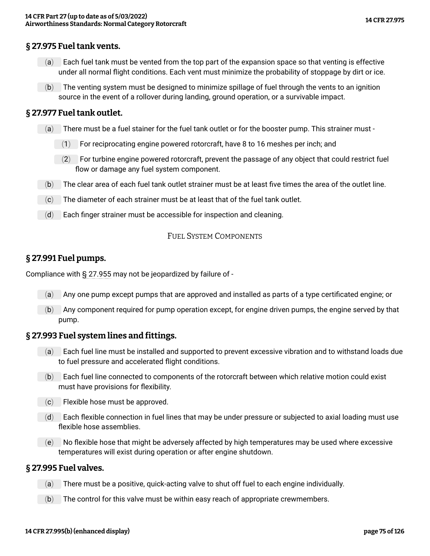### **§ 27.975 Fuel tank vents.**

- (a) Each fuel tank must be vented from the top part of the expansion space so that venting is effective under all normal flight conditions. Each vent must minimize the probability of stoppage by dirt or ice.
- (b) The venting system must be designed to minimize spillage of fuel through the vents to an ignition source in the event of a rollover during landing, ground operation, or a survivable impact.

#### **§ 27.977 Fuel tank outlet.**

- (a) There must be a fuel stainer for the fuel tank outlet or for the booster pump. This strainer must
	- (1) For reciprocating engine powered rotorcraft, have 8 to 16 meshes per inch; and
	- (2) For turbine engine powered rotorcraft, prevent the passage of any object that could restrict fuel flow or damage any fuel system component.
- (b) The clear area of each fuel tank outlet strainer must be at least five times the area of the outlet line.
	- (c) The diameter of each strainer must be at least that of the fuel tank outlet.
- (d) Each finger strainer must be accessible for inspection and cleaning.

#### FUEL SYSTEM COMPONENTS

### **§ 27.991 Fuel pumps.**

Compliance with [§ 27.955](#page-69-0) may not be jeopardized by failure of -

- (a) Any one pump except pumps that are approved and installed as parts of a type certificated engine; or
- (b) Any component required for pump operation except, for engine driven pumps, the engine served by that pump.

#### **§ 27.993 Fuel system lines and fittings.**

- (a) Each fuel line must be installed and supported to prevent excessive vibration and to withstand loads due to fuel pressure and accelerated flight conditions.
- (b) Each fuel line connected to components of the rotorcraft between which relative motion could exist must have provisions for flexibility.
- (c) Flexible hose must be approved.
- (d) Each flexible connection in fuel lines that may be under pressure or subjected to axial loading must use flexible hose assemblies.
- $(e)$  No flexible hose that might be adversely affected by high temperatures may be used where excessive temperatures will exist during operation or after engine shutdown.

#### **§ 27.995 Fuel valves.**

- (a) There must be a positive, quick-acting valve to shut off fuel to each engine individually.
- (b) The control for this valve must be within easy reach of appropriate crewmembers.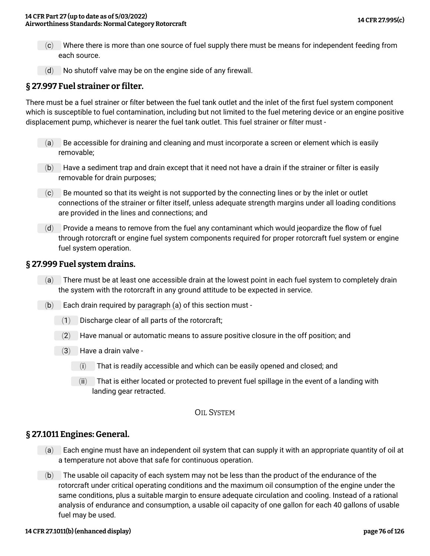- (c) Where there is more than one source of fuel supply there must be means for independent feeding from each source.
- $(d)$  No shutoff valve may be on the engine side of any firewall.

### <span id="page-75-2"></span>**§ 27.997 Fuel strainer or filter.**

There must be a fuel strainer or filter between the fuel tank outlet and the inlet of the first fuel system component which is susceptible to fuel contamination, including but not limited to the fuel metering device or an engine positive displacement pump, whichever is nearer the fuel tank outlet. This fuel strainer or filter must -

- (a) Be accessible for draining and cleaning and must incorporate a screen or element which is easily removable;
- (b) Have a sediment trap and drain except that it need not have a drain if the strainer or filter is easily removable for drain purposes;
- (c) Be mounted so that its weight is not supported by the connecting lines or by the inlet or outlet connections of the strainer or filter itself, unless adequate strength margins under all loading conditions are provided in the lines and connections; and
- (d) Provide a means to remove from the fuel any contaminant which would jeopardize the flow of fuel through rotorcraft or engine fuel system components required for proper rotorcraft fuel system or engine fuel system operation.

#### <span id="page-75-1"></span>**§ 27.999 Fuel system drains.**

- (a) There must be at least one accessible drain at the lowest point in each fuel system to completely drain the system with the rotorcraft in any ground attitude to be expected in service.
- <span id="page-75-0"></span>(b) Each drain required by [paragraph \(a\)](#page-75-1) of this section must -
	- (1) Discharge clear of all parts of the rotorcraft;
	- (2) Have manual or automatic means to assure positive closure in the off position; and
	- (3) Have a drain valve
		- (i) That is readily accessible and which can be easily opened and closed; and
		- (ii) That is either located or protected to prevent fuel spillage in the event of a landing with landing gear retracted.

#### OIL SYSTEM

#### **§ 27.1011 Engines: General.**

- (a) Each engine must have an independent oil system that can supply it with an appropriate quantity of oil at a temperature not above that safe for continuous operation.
- (b) The usable oil capacity of each system may not be less than the product of the endurance of the rotorcraft under critical operating conditions and the maximum oil consumption of the engine under the same conditions, plus a suitable margin to ensure adequate circulation and cooling. Instead of a rational analysis of endurance and consumption, a usable oil capacity of one gallon for each 40 gallons of usable fuel may be used.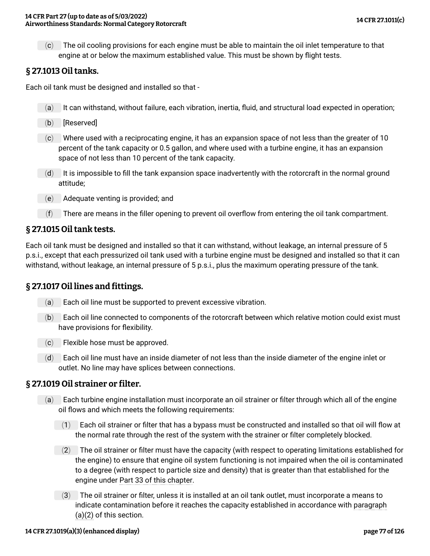(c) The oil cooling provisions for each engine must be able to maintain the oil inlet temperature to that engine at or below the maximum established value. This must be shown by flight tests.

# <span id="page-76-1"></span>**§ 27.1013 Oil tanks.**

Each oil tank must be designed and installed so that -

- (a) It can withstand, without failure, each vibration, inertia, fluid, and structural load expected in operation;
- (b) [Reserved]
- (c) Where used with a reciprocating engine, it has an expansion space of not less than the greater of 10 percent of the tank capacity or 0.5 gallon, and where used with a turbine engine, it has an expansion space of not less than 10 percent of the tank capacity.
- (d) It is impossible to fill the tank expansion space inadvertently with the rotorcraft in the normal ground attitude;
- (e) Adequate venting is provided; and
- (f) There are means in the filler opening to prevent oil overflow from entering the oil tank compartment.

### **§ 27.1015 Oil tank tests.**

Each oil tank must be designed and installed so that it can withstand, without leakage, an internal pressure of 5 p.s.i., except that each pressurized oil tank used with a turbine engine must be designed and installed so that it can withstand, without leakage, an internal pressure of 5 p.s.i., plus the maximum operating pressure of the tank.

### **§ 27.1017 Oil lines and fittings.**

- (a) Each oil line must be supported to prevent excessive vibration.
- (b) Each oil line connected to components of the rotorcraft between which relative motion could exist must have provisions for flexibility.
- (c) Flexible hose must be approved.
- (d) Each oil line must have an inside diameter of not less than the inside diameter of the engine inlet or outlet. No line may have splices between connections.

### <span id="page-76-2"></span>**§ 27.1019 Oil strainer or filter.**

- <span id="page-76-0"></span>(a) Each turbine engine installation must incorporate an oil strainer or filter through which all of the engine oil flows and which meets the following requirements:
	- $(1)$  Each oil strainer or filter that has a bypass must be constructed and installed so that oil will flow at the normal rate through the rest of the system with the strainer or filter completely blocked.
	- (2) The oil strainer or filter must have the capacity (with respect to operating limitations established for the engine) to ensure that engine oil system functioning is not impaired when the oil is contaminated to a degree (with respect to particle size and density) that is greater than that established for the engine under [Part 33 of this chapter](https://www.ecfr.gov/current/title-14/part-33/).
	- (3) The oil strainer or filter, unless it is installed at an oil tank outlet, must incorporate a means to indicate contamination before it reaches the capacity established in accordance with [paragraph](#page-76-0) [\(a\)\(2\)](#page-76-0) of this section.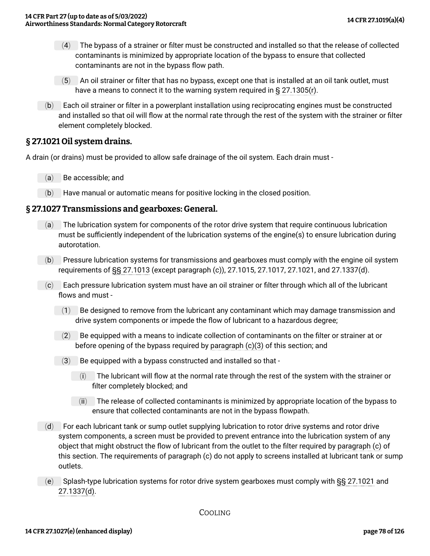- (4) The bypass of a strainer or filter must be constructed and installed so that the release of collected contaminants is minimized by appropriate location of the bypass to ensure that collected contaminants are not in the bypass flow path.
- $(5)$  An oil strainer or filter that has no bypass, except one that is installed at an oil tank outlet, must have a means to connect it to the warning system required in [§ 27.1305\(r\).](#page-86-0)
- (b) Each oil strainer or filter in a powerplant installation using reciprocating engines must be constructed and installed so that oil will flow at the normal rate through the rest of the system with the strainer or filter element completely blocked.

### <span id="page-77-2"></span>**§ 27.1021 Oil system drains.**

A drain (or drains) must be provided to allow safe drainage of the oil system. Each drain must -

- (a) Be accessible; and
- (b) Have manual or automatic means for positive locking in the closed position.

#### **§ 27.1027 Transmissions and gearboxes: General.**

- (a) The lubrication system for components of the rotor drive system that require continuous lubrication must be sufficiently independent of the lubrication systems of the engine(s) to ensure lubrication during autorotation.
- (b) Pressure lubrication systems for transmissions and gearboxes must comply with the engine oil system requirements of [§§ 27.1013](#page-76-1) (except paragraph (c)), 27.1015, 27.1017, 27.1021, and 27.1337(d).
- <span id="page-77-1"></span>(c) Each pressure lubrication system must have an oil strainer or filter through which all of the lubricant flows and must -
	- $(1)$  Be designed to remove from the lubricant any contaminant which may damage transmission and drive system components or impede the flow of lubricant to a hazardous degree;
	- (2) Be equipped with a means to indicate collection of contaminants on the filter or strainer at or before opening of the bypass required by [paragraph \(c\)\(3\)](#page-77-0) of this section; and
	- $(3)$  Be equipped with a bypass constructed and installed so that -
		- (i) The lubricant will flow at the normal rate through the rest of the system with the strainer or filter completely blocked; and
		- (ii) The release of collected contaminants is minimized by appropriate location of the bypass to ensure that collected contaminants are not in the bypass flowpath.
- <span id="page-77-0"></span>(d) For each lubricant tank or sump outlet supplying lubrication to rotor drive systems and rotor drive system components, a screen must be provided to prevent entrance into the lubrication system of any object that might obstruct the flow of lubricant from the outlet to the filter required by [paragraph \(c\)](#page-77-1) of this section. The requirements of paragraph (c) do not apply to screens installed at lubricant tank or sump outlets.
- <span id="page-77-3"></span>(e) Splash-type lubrication systems for rotor drive system gearboxes must comply with [§§ 27.1021](#page-77-2) and [27.1337\(d\).](#page-91-0)

COOLING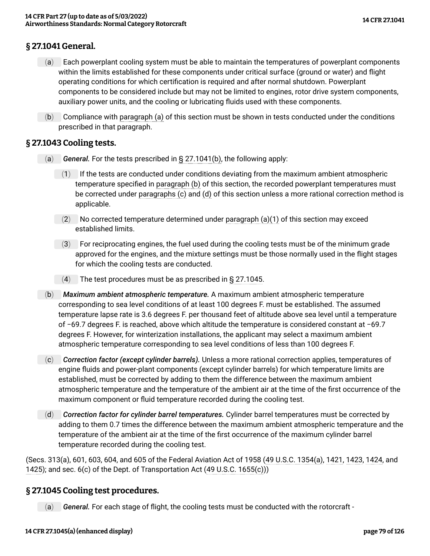# <span id="page-78-0"></span>**§ 27.1041 General.**

- (a) Each powerplant cooling system must be able to maintain the temperatures of powerplant components within the limits established for these components under critical surface (ground or water) and flight operating conditions for which certification is required and after normal shutdown. Powerplant components to be considered include but may not be limited to engines, rotor drive system components, auxiliary power units, and the cooling or lubricating fluids used with these components.
- (b) Compliance with [paragraph \(a\)](#page-78-0) of this section must be shown in tests conducted under the conditions prescribed in that paragraph.

### <span id="page-78-7"></span><span id="page-78-5"></span><span id="page-78-1"></span>**§ 27.1043 Cooling tests.**

- (a) *General.* For the tests prescribed in [§ 27.1041\(b\)](#page-78-1), the following apply:
	- $(1)$  If the tests are conducted under conditions deviating from the maximum ambient atmospheric temperature specified in [paragraph \(b\)](#page-78-2) of this section, the recorded powerplant temperatures must be corrected under [paragraphs \(c\)](#page-78-3) and [\(d\)](#page-78-4) of this section unless a more rational correction method is applicable.
	- $(2)$  No corrected temperature determined under [paragraph \(a\)\(1\)](#page-78-5) of this section may exceed established limits.
	- (3) For reciprocating engines, the fuel used during the cooling tests must be of the minimum grade approved for the engines, and the mixture settings must be those normally used in the flight stages for which the cooling tests are conducted.
	- $(4)$  The test procedures must be as prescribed in [§ 27.1045.](#page-78-6)
- <span id="page-78-2"></span>(b) *Maximum ambient atmospheric temperature.* A maximum ambient atmospheric temperature corresponding to sea level conditions of at least 100 degrees F. must be established. The assumed temperature lapse rate is 3.6 degrees F. per thousand feet of altitude above sea level until a temperature of −69.7 degrees F. is reached, above which altitude the temperature is considered constant at −69.7 degrees F. However, for winterization installations, the applicant may select a maximum ambient atmospheric temperature corresponding to sea level conditions of less than 100 degrees F.
- <span id="page-78-3"></span>(c) *Correction factor (except cylinder barrels).* Unless a more rational correction applies, temperatures of engine fluids and power-plant components (except cylinder barrels) for which temperature limits are established, must be corrected by adding to them the difference between the maximum ambient atmospheric temperature and the temperature of the ambient air at the time of the first occurrence of the maximum component or fluid temperature recorded during the cooling test.
- <span id="page-78-4"></span>(d) *Correction factor for cylinder barrel temperatures.* Cylinder barrel temperatures must be corrected by adding to them 0.7 times the difference between the maximum ambient atmospheric temperature and the temperature of the ambient air at the time of the first occurrence of the maximum cylinder barrel temperature recorded during the cooling test.

(Secs. 313(a), 601, 603, 604, and 605 of the Federal Aviation Act of 1958 [\(49 U.S.C. 1354\(a\),](https://www.govinfo.gov/link/uscode/49/1354) [1421](https://www.govinfo.gov/link/uscode/49/1421), [1423](https://www.govinfo.gov/link/uscode/49/1423), [1424,](https://www.govinfo.gov/link/uscode/49/1424) and [1425](https://www.govinfo.gov/link/uscode/49/1425)); and sec. 6(c) of the Dept. of Transportation Act [\(49 U.S.C. 1655\(c\)\)](https://www.govinfo.gov/link/uscode/49/1655))

### <span id="page-78-6"></span>**§ 27.1045 Cooling test procedures.**

(a) *General.* For each stage of flight, the cooling tests must be conducted with the rotorcraft -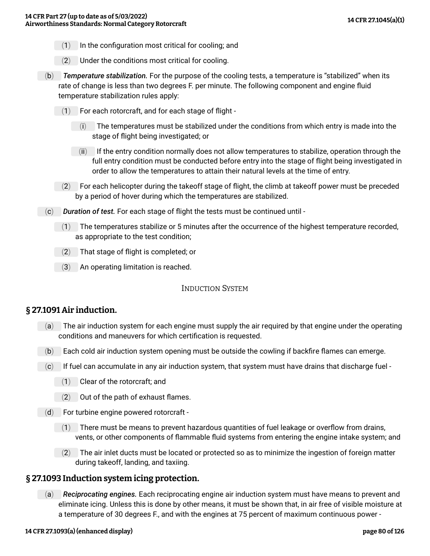- $(1)$  In the configuration most critical for cooling; and
- (2) Under the conditions most critical for cooling.
- (b) *Temperature stabilization.* For the purpose of the cooling tests, a temperature is "stabilized" when its rate of change is less than two degrees F. per minute. The following component and engine fluid temperature stabilization rules apply:
	- $(1)$  For each rotorcraft, and for each stage of flight -
		- (i) The temperatures must be stabilized under the conditions from which entry is made into the stage of flight being investigated; or
			- (ii) If the entry condition normally does not allow temperatures to stabilize, operation through the full entry condition must be conducted before entry into the stage of flight being investigated in order to allow the temperatures to attain their natural levels at the time of entry.
	- $(2)$  For each helicopter during the takeoff stage of flight, the climb at takeoff power must be preceded by a period of hover during which the temperatures are stabilized.
- (c) *Duration of test.* For each stage of flight the tests must be continued until
	- (1) The temperatures stabilize or 5 minutes after the occurrence of the highest temperature recorded, as appropriate to the test condition;
	- (2) That stage of flight is completed; or
	- (3) An operating limitation is reached.

#### INDUCTION SYSTEM

#### **§ 27.1091 Air induction.**

- (a) The air induction system for each engine must supply the air required by that engine under the operating conditions and maneuvers for which certification is requested.
- (b) Each cold air induction system opening must be outside the cowling if backfire flames can emerge.
- (c) If fuel can accumulate in any air induction system, that system must have drains that discharge fuel
	- (1) Clear of the rotorcraft; and
	- (2) Out of the path of exhaust flames.
- (d) For turbine engine powered rotorcraft
	- $(1)$  There must be means to prevent hazardous quantities of fuel leakage or overflow from drains, vents, or other components of flammable fluid systems from entering the engine intake system; and
	- (2) The air inlet ducts must be located or protected so as to minimize the ingestion of foreign matter during takeoff, landing, and taxiing.

#### <span id="page-79-0"></span>**§ 27.1093 Induction system icing protection.**

(a) *Reciprocating engines.* Each reciprocating engine air induction system must have means to prevent and eliminate icing. Unless this is done by other means, it must be shown that, in air free of visible moisture at a temperature of 30 degrees F., and with the engines at 75 percent of maximum continuous power -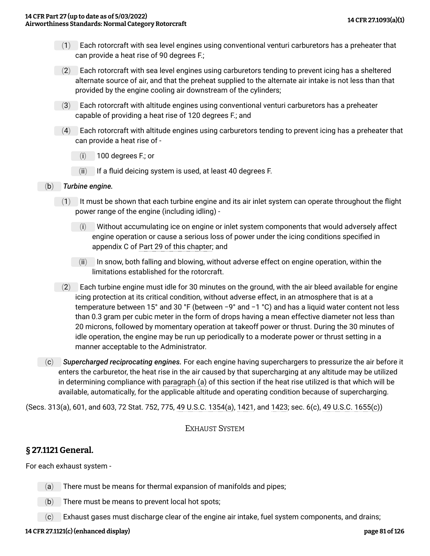- $(1)$  Each rotorcraft with sea level engines using conventional venturi carburetors has a preheater that can provide a heat rise of 90 degrees F.;
- $(2)$  Each rotorcraft with sea level engines using carburetors tending to prevent icing has a sheltered alternate source of air, and that the preheat supplied to the alternate air intake is not less than that provided by the engine cooling air downstream of the cylinders;
- (3) Each rotorcraft with altitude engines using conventional venturi carburetors has a preheater capable of providing a heat rise of 120 degrees F.; and
- $(4)$  Each rotorcraft with altitude engines using carburetors tending to prevent icing has a preheater that can provide a heat rise of -
	- (i) 100 degrees F.; or
	- (ii) If a fluid deicing system is used, at least 40 degrees F.

#### (b) *Turbine engine.*

- $(1)$  It must be shown that each turbine engine and its air inlet system can operate throughout the flight power range of the engine (including idling) -
	- (i) Without accumulating ice on engine or inlet system components that would adversely affect engine operation or cause a serious loss of power under the icing conditions specified in appendix C of [Part 29 of this chapter;](https://www.ecfr.gov/current/title-14/part-29/) and
	- (ii) In snow, both falling and blowing, without adverse effect on engine operation, within the limitations established for the rotorcraft.
- (2) Each turbine engine must idle for 30 minutes on the ground, with the air bleed available for engine icing protection at its critical condition, without adverse effect, in an atmosphere that is at a temperature between 15° and 30 °F (between −9° and −1 °C) and has a liquid water content not less than 0.3 gram per cubic meter in the form of drops having a mean effective diameter not less than 20 microns, followed by momentary operation at takeoff power or thrust. During the 30 minutes of idle operation, the engine may be run up periodically to a moderate power or thrust setting in a manner acceptable to the Administrator.
- (c) *Supercharged reciprocating engines.* For each engine having superchargers to pressurize the air before it enters the carburetor, the heat rise in the air caused by that supercharging at any altitude may be utilized in determining compliance with [paragraph \(a\)](#page-79-0) of this section if the heat rise utilized is that which will be available, automatically, for the applicable altitude and operating condition because of supercharging.

(Secs. 313(a), 601, and 603, 72 Stat. 752, 775, [49 U.S.C. 1354\(a\)](https://www.govinfo.gov/link/uscode/49/1354), [1421,](https://www.govinfo.gov/link/uscode/49/1421) and [1423;](https://www.govinfo.gov/link/uscode/49/1423) sec. 6(c), [49 U.S.C. 1655\(c\)](https://www.govinfo.gov/link/uscode/49/1655))

#### EXHAUST SYSTEM

### **§ 27.1121 General.**

For each exhaust system -

- (a) There must be means for thermal expansion of manifolds and pipes;
- (b) There must be means to prevent local hot spots;
- (c) Exhaust gases must discharge clear of the engine air intake, fuel system components, and drains;

#### **14 CFR 27.1121(c) (enhanced display) page 81 of 126**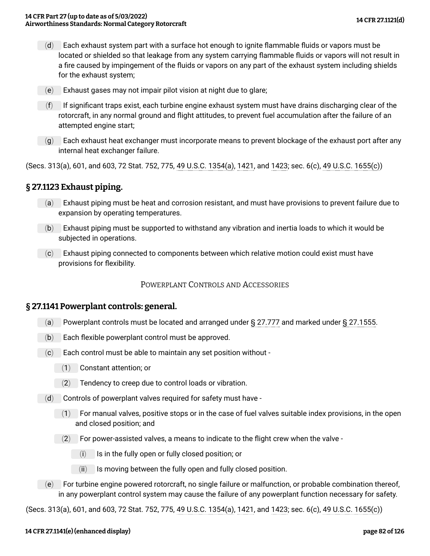- (d) Each exhaust system part with a surface hot enough to ignite flammable fluids or vapors must be located or shielded so that leakage from any system carrying flammable fluids or vapors will not result in a fire caused by impingement of the fluids or vapors on any part of the exhaust system including shields for the exhaust system;
- (e) Exhaust gases may not impair pilot vision at night due to glare;
- (f) If significant traps exist, each turbine engine exhaust system must have drains discharging clear of the rotorcraft, in any normal ground and flight attitudes, to prevent fuel accumulation after the failure of an attempted engine start;
- $(g)$  Each exhaust heat exchanger must incorporate means to prevent blockage of the exhaust port after any internal heat exchanger failure.

(Secs. 313(a), 601, and 603, 72 Stat. 752, 775, [49 U.S.C. 1354\(a\)](https://www.govinfo.gov/link/uscode/49/1354), [1421,](https://www.govinfo.gov/link/uscode/49/1421) and [1423;](https://www.govinfo.gov/link/uscode/49/1423) sec. 6(c), [49 U.S.C. 1655\(c\)](https://www.govinfo.gov/link/uscode/49/1655))

### **§ 27.1123 Exhaust piping.**

- (a) Exhaust piping must be heat and corrosion resistant, and must have provisions to prevent failure due to expansion by operating temperatures.
- (b) Exhaust piping must be supported to withstand any vibration and inertia loads to which it would be subjected in operations.
- (c) Exhaust piping connected to components between which relative motion could exist must have provisions for flexibility.

POWERPLANT CONTROLS AND ACCESSORIES

#### **§ 27.1141 Powerplant controls: general.**

- (a) Powerplant controls must be located and arranged under [§ 27.777](#page-52-0) and marked under [§ 27.1555](#page-110-0).
- (b) Each flexible powerplant control must be approved.
- $(c)$  Each control must be able to maintain any set position without -
	- (1) Constant attention; or
	- (2) Tendency to creep due to control loads or vibration.
- $(d)$  Controls of powerplant valves required for safety must have -
	- $(1)$  For manual valves, positive stops or in the case of fuel valves suitable index provisions, in the open and closed position; and
	- $(2)$  For power-assisted valves, a means to indicate to the flight crew when the valve -
		- $(i)$  Is in the fully open or fully closed position; or
		- (ii) Is moving between the fully open and fully closed position.
- (e) For turbine engine powered rotorcraft, no single failure or malfunction, or probable combination thereof, in any powerplant control system may cause the failure of any powerplant function necessary for safety.
- (Secs. 313(a), 601, and 603, 72 Stat. 752, 775, [49 U.S.C. 1354\(a\)](https://www.govinfo.gov/link/uscode/49/1354), [1421,](https://www.govinfo.gov/link/uscode/49/1421) and [1423;](https://www.govinfo.gov/link/uscode/49/1423) sec. 6(c), [49 U.S.C. 1655\(c\)](https://www.govinfo.gov/link/uscode/49/1655))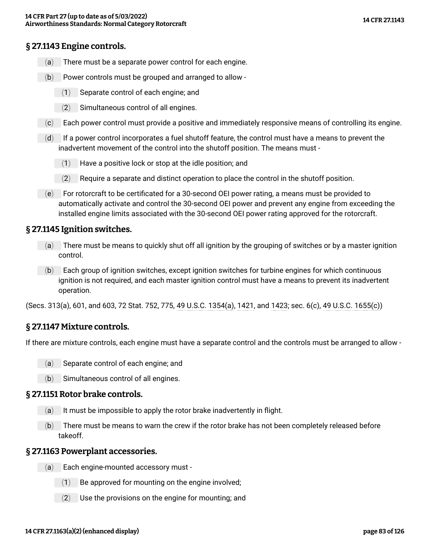# **§ 27.1143 Engine controls.**

- (a) There must be a separate power control for each engine.
- (b) Power controls must be grouped and arranged to allow
	- (1) Separate control of each engine; and
	- (2) Simultaneous control of all engines.
- (c) Each power control must provide a positive and immediately responsive means of controlling its engine.
- (d) If a power control incorporates a fuel shutoff feature, the control must have a means to prevent the inadvertent movement of the control into the shutoff position. The means must -
	- $(1)$  Have a positive lock or stop at the idle position; and
	- (2) Require a separate and distinct operation to place the control in the shutoff position.
- (e) For rotorcraft to be certificated for a 30-second OEI power rating, a means must be provided to automatically activate and control the 30-second OEI power and prevent any engine from exceeding the installed engine limits associated with the 30-second OEI power rating approved for the rotorcraft.

#### **§ 27.1145 Ignition switches.**

- (a) There must be means to quickly shut off all ignition by the grouping of switches or by a master ignition control.
- (b) Each group of ignition switches, except ignition switches for turbine engines for which continuous ignition is not required, and each master ignition control must have a means to prevent its inadvertent operation.

(Secs. 313(a), 601, and 603, 72 Stat. 752, 775, [49 U.S.C. 1354\(a\)](https://www.govinfo.gov/link/uscode/49/1354), [1421,](https://www.govinfo.gov/link/uscode/49/1421) and [1423;](https://www.govinfo.gov/link/uscode/49/1423) sec. 6(c), [49 U.S.C. 1655\(c\)](https://www.govinfo.gov/link/uscode/49/1655))

#### **§ 27.1147 Mixture controls.**

If there are mixture controls, each engine must have a separate control and the controls must be arranged to allow -

- (a) Separate control of each engine; and
- (b) Simultaneous control of all engines.

#### **§ 27.1151 Rotor brake controls.**

- (a) It must be impossible to apply the rotor brake inadvertently in flight.
- (b) There must be means to warn the crew if the rotor brake has not been completely released before takeoff.

#### **§ 27.1163 Powerplant accessories.**

- (a) Each engine-mounted accessory must
	- $(1)$  Be approved for mounting on the engine involved;
	- (2) Use the provisions on the engine for mounting; and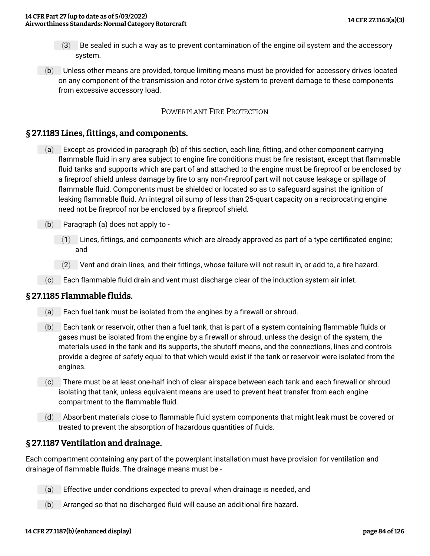- (3) Be sealed in such a way as to prevent contamination of the engine oil system and the accessory system.
- (b) Unless other means are provided, torque limiting means must be provided for accessory drives located on any component of the transmission and rotor drive system to prevent damage to these components from excessive accessory load.

#### POWERPLANT FIRE PROTECTION

### **§ 27.1183 Lines, fittings, and components.**

- (a) Except as provided in [paragraph \(b\)](#page-83-2) of this section, each line, fitting, and other component carrying flammable fluid in any area subject to engine fire conditions must be fire resistant, except that flammable fluid tanks and supports which are part of and attached to the engine must be fireproof or be enclosed by a fireproof shield unless damage by fire to any non-fireproof part will not cause leakage or spillage of flammable fluid. Components must be shielded or located so as to safeguard against the ignition of leaking flammable fluid. An integral oil sump of less than 25-quart capacity on a reciprocating engine need not be fireproof nor be enclosed by a fireproof shield.
- <span id="page-83-2"></span>(b) Paragraph (a) does not apply to -
	- (1) Lines, fittings, and components which are already approved as part of a type certificated engine; and
	- (2) Vent and drain lines, and their fittings, whose failure will not result in, or add to, a fire hazard.
- (c) Each flammable fluid drain and vent must discharge clear of the induction system air inlet.

#### <span id="page-83-0"></span>**§ 27.1185 Flammable fluids.**

- (a) Each fuel tank must be isolated from the engines by a firewall or shroud.
- (b) Each tank or reservoir, other than a fuel tank, that is part of a system containing flammable fluids or gases must be isolated from the engine by a firewall or shroud, unless the design of the system, the materials used in the tank and its supports, the shutoff means, and the connections, lines and controls provide a degree of safety equal to that which would exist if the tank or reservoir were isolated from the engines.
- <span id="page-83-1"></span>(c) There must be at least one-half inch of clear airspace between each tank and each firewall or shroud isolating that tank, unless equivalent means are used to prevent heat transfer from each engine compartment to the flammable fluid.
- (d) Absorbent materials close to flammable fluid system components that might leak must be covered or treated to prevent the absorption of hazardous quantities of fluids.

#### **§ 27.1187 Ventilation and drainage.**

Each compartment containing any part of the powerplant installation must have provision for ventilation and drainage of flammable fluids. The drainage means must be -

- (a) Effective under conditions expected to prevail when drainage is needed, and
- (b) Arranged so that no discharged fluid will cause an additional fire hazard.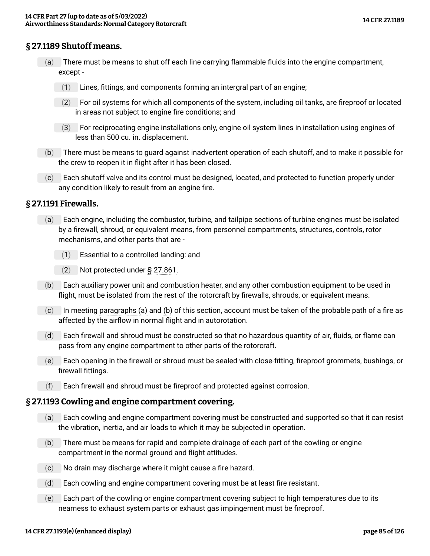### **§ 27.1189 Shutoff means.**

- (a) There must be means to shut off each line carrying flammable fluids into the engine compartment, except -
	- (1) Lines, fittings, and components forming an intergral part of an engine;
	- (2) For oil systems for which all components of the system, including oil tanks, are fireproof or located in areas not subject to engine fire conditions; and
	- (3) For reciprocating engine installations only, engine oil system lines in installation using engines of less than 500 cu. in. displacement.
- (b) There must be means to guard against inadvertent operation of each shutoff, and to make it possible for the crew to reopen it in flight after it has been closed.
- (c) Each shutoff valve and its control must be designed, located, and protected to function properly under any condition likely to result from an engine fire.

#### <span id="page-84-0"></span>**§ 27.1191 Firewalls.**

- (a) Each engine, including the combustor, turbine, and tailpipe sections of turbine engines must be isolated by a firewall, shroud, or equivalent means, from personnel compartments, structures, controls, rotor mechanisms, and other parts that are -
	- (1) Essential to a controlled landing: and
	- (2) Not protected under [§ 27.861](#page-59-0).
- <span id="page-84-1"></span>(b) Each auxiliary power unit and combustion heater, and any other combustion equipment to be used in flight, must be isolated from the rest of the rotorcraft by firewalls, shrouds, or equivalent means.
- (c) In meeting [paragraphs \(a\)](#page-84-0) and [\(b\)](#page-84-1) of this section, account must be taken of the probable path of a fire as affected by the airflow in normal flight and in autorotation.
- (d) Each firewall and shroud must be constructed so that no hazardous quantity of air, fluids, or flame can pass from any engine compartment to other parts of the rotorcraft.
- (e) Each opening in the firewall or shroud must be sealed with close-fitting, fireproof grommets, bushings, or firewall fittings.
- (f) Each firewall and shroud must be fireproof and protected against corrosion.

#### **§ 27.1193 Cowling and engine compartment covering.**

- (a) Each cowling and engine compartment covering must be constructed and supported so that it can resist the vibration, inertia, and air loads to which it may be subjected in operation.
- (b) There must be means for rapid and complete drainage of each part of the cowling or engine compartment in the normal ground and flight attitudes.
- $(c)$  No drain may discharge where it might cause a fire hazard.
- (d) Each cowling and engine compartment covering must be at least fire resistant.
- (e) Each part of the cowling or engine compartment covering subject to high temperatures due to its nearness to exhaust system parts or exhaust gas impingement must be fireproof.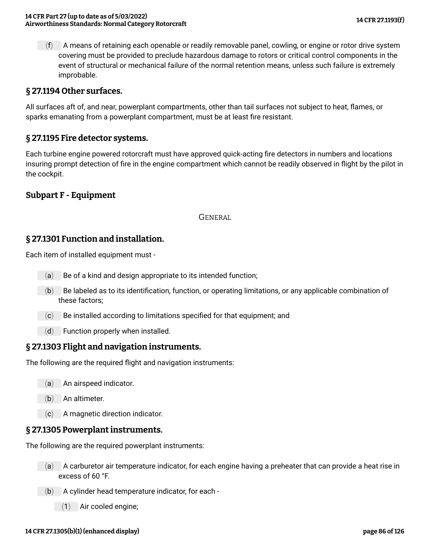(f) A means of retaining each openable or readily removable panel, cowling, or engine or rotor drive system covering must be provided to preclude hazardous damage to rotors or critical control components in the event of structural or mechanical failure of the normal retention means, unless such failure is extremely improbable.

#### **§ 27.1194 Other surfaces.**

All surfaces aft of, and near, powerplant compartments, other than tail surfaces not subject to heat, flames, or sparks emanating from a powerplant compartment, must be at least fire resistant.

### **§ 27.1195 Fire detector systems.**

Each turbine engine powered rotorcraft must have approved quick-acting fire detectors in numbers and locations insuring prompt detection of fire in the engine compartment which cannot be readily observed in flight by the pilot in the cockpit.

### **Subpart F - Equipment**

#### GENERAL

### **§ 27.1301 Function and installation.**

Each item of installed equipment must -

- $(a)$  Be of a kind and design appropriate to its intended function;
- (b) Be labeled as to its identification, function, or operating limitations, or any applicable combination of these factors;
- (c) Be installed according to limitations specified for that equipment; and
- (d) Function properly when installed.

### **§ 27.1303 Flight and navigation instruments.**

The following are the required flight and navigation instruments:

- (a) An airspeed indicator.
- (b) An altimeter.
- (c) A magnetic direction indicator.

#### **§ 27.1305 Powerplant instruments.**

The following are the required powerplant instruments:

- (a) A carburetor air temperature indicator, for each engine having a preheater that can provide a heat rise in excess of 60 °F.
- $(b)$  A cylinder head temperature indicator, for each -
	- (1) Air cooled engine;

#### **14 CFR 27.1305(b)(1) (enhanced display) page 86 of 126**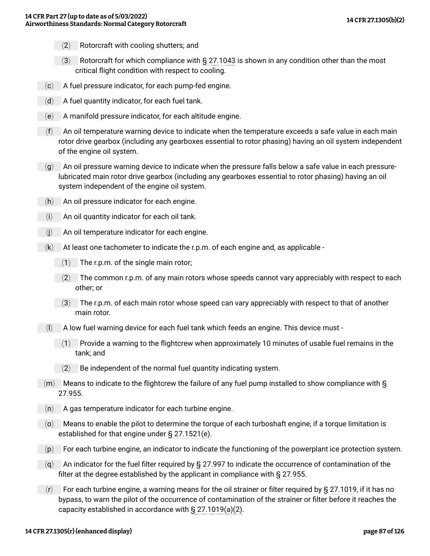- (2) Rotorcraft with cooling shutters; and
- $(3)$  Rotorcraft for which compliance with [§ 27.1043](#page-78-7) is shown in any condition other than the most critical flight condition with respect to cooling.
- $(c)$  A fuel pressure indicator, for each pump-fed engine.
- (d) A fuel quantity indicator, for each fuel tank.
- (e) A manifold pressure indicator, for each altitude engine.
- (f) An oil temperature warning device to indicate when the temperature exceeds a safe value in each main rotor drive gearbox (including any gearboxes essential to rotor phasing) having an oil system independent of the engine oil system.
- $(q)$  An oil pressure warning device to indicate when the pressure falls below a safe value in each pressurelubricated main rotor drive gearbox (including any gearboxes essential to rotor phasing) having an oil system independent of the engine oil system.
- (h) An oil pressure indicator for each engine.
- (i) An oil quantity indicator for each oil tank.
- (j) An oil temperature indicator for each engine.
- $(k)$  At least one tachometer to indicate the r.p.m. of each engine and, as applicable -
	- (1) The r.p.m. of the single main rotor;
	- (2) The common r.p.m. of any main rotors whose speeds cannot vary appreciably with respect to each other; or
	- (3) The r.p.m. of each main rotor whose speed can vary appreciably with respect to that of another main rotor.
- (l) A low fuel warning device for each fuel tank which feeds an engine. This device must
	- $(1)$  Provide a warning to the flightcrew when approximately 10 minutes of usable fuel remains in the tank; and
	- $(2)$  Be independent of the normal fuel quantity indicating system.
- $(m)$  Means to indicate to the flightcrew the failure of any fuel pump installed to show compliance with [§](#page-69-0) [27.955](#page-69-0).
- $(n)$  A gas temperature indicator for each turbine engine.
- (o) Means to enable the pilot to determine the torque of each turboshaft engine, if a torque limitation is established for that engine under [§ 27.1521\(e\)](#page-106-0).
- (p) For each turbine engine, an indicator to indicate the functioning of the powerplant ice protection system.
- $(q)$  An indicator for the fuel filter required by [§ 27.997](#page-75-2) to indicate the occurrence of contamination of the filter at the degree established by the applicant in compliance with [§ 27.955.](#page-69-0)
- <span id="page-86-0"></span> $\sigma$  For each turbine engine, a warning means for the oil strainer or filter required by [§ 27.1019](#page-76-2), if it has no bypass, to warn the pilot of the occurrence of contamination of the strainer or filter before it reaches the capacity established in accordance with [§ 27.1019\(a\)\(2\)](#page-76-0).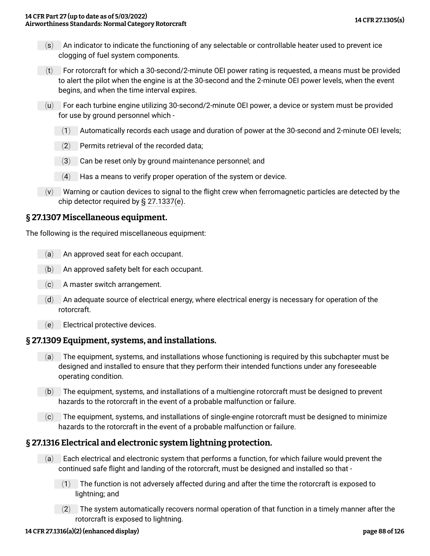- (s) An indicator to indicate the functioning of any selectable or controllable heater used to prevent ice clogging of fuel system components.
- (t) For rotorcraft for which a 30-second/2-minute OEI power rating is requested, a means must be provided to alert the pilot when the engine is at the 30-second and the 2-minute OEI power levels, when the event begins, and when the time interval expires.
- (u) For each turbine engine utilizing 30-second/2-minute OEI power, a device or system must be provided for use by ground personnel which -
	- (1) Automatically records each usage and duration of power at the 30-second and 2-minute OEI levels;
	- (2) Permits retrieval of the recorded data;
		- (3) Can be reset only by ground maintenance personnel; and
	- (4) Has a means to verify proper operation of the system or device.
- (v) Warning or caution devices to signal to the flight crew when ferromagnetic particles are detected by the chip detector required by [§ 27.1337\(e\)](#page-92-0).

# <span id="page-87-0"></span>**§ 27.1307 Miscellaneous equipment.**

The following is the required miscellaneous equipment:

- (a) An approved seat for each occupant.
- (b) An approved safety belt for each occupant.
- (c) A master switch arrangement.
- (d) An adequate source of electrical energy, where electrical energy is necessary for operation of the rotorcraft.
- (e) Electrical protective devices.

# **§ 27.1309 Equipment, systems, and installations.**

- (a) The equipment, systems, and installations whose functioning is required by this subchapter must be designed and installed to ensure that they perform their intended functions under any foreseeable operating condition.
- (b) The equipment, systems, and installations of a multiengine rotorcraft must be designed to prevent hazards to the rotorcraft in the event of a probable malfunction or failure.
- (c) The equipment, systems, and installations of single-engine rotorcraft must be designed to minimize hazards to the rotorcraft in the event of a probable malfunction or failure.

# **§ 27.1316 Electrical and electronic system lightning protection.**

- (a) Each electrical and electronic system that performs a function, for which failure would prevent the continued safe flight and landing of the rotorcraft, must be designed and installed so that -
	- $(1)$  The function is not adversely affected during and after the time the rotorcraft is exposed to lightning; and
	- $(2)$  The system automatically recovers normal operation of that function in a timely manner after the rotorcraft is exposed to lightning.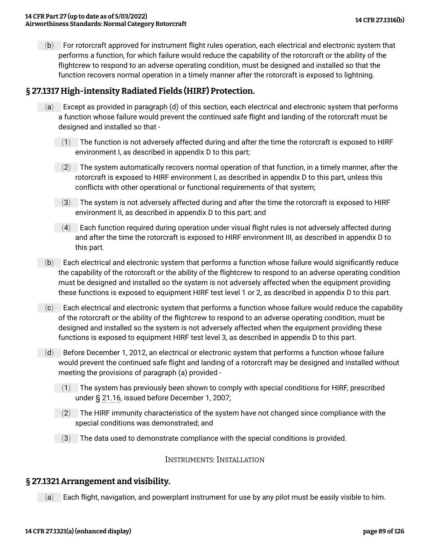(b) For rotorcraft approved for instrument flight rules operation, each electrical and electronic system that performs a function, for which failure would reduce the capability of the rotorcraft or the ability of the flightcrew to respond to an adverse operating condition, must be designed and installed so that the function recovers normal operation in a timely manner after the rotorcraft is exposed to lightning.

## **§ 27.1317 High-intensity Radiated Fields (HIRF) Protection.**

- (a) Except as provided in [paragraph \(d\)](#page-88-0) of this section, each electrical and electronic system that performs a function whose failure would prevent the continued safe flight and landing of the rotorcraft must be designed and installed so that -
	- (1) The function is not adversely affected during and after the time the rotorcraft is exposed to HIRF environment I, as described in appendix D to this part;
	- $(2)$  The system automatically recovers normal operation of that function, in a timely manner, after the rotorcraft is exposed to HIRF environment I, as described in appendix D to this part, unless this conflicts with other operational or functional requirements of that system;
	- (3) The system is not adversely affected during and after the time the rotorcraft is exposed to HIRF environment II, as described in appendix D to this part; and
	- (4) Each function required during operation under visual flight rules is not adversely affected during and after the time the rotorcraft is exposed to HIRF environment III, as described in appendix D to this part.
- (b) Each electrical and electronic system that performs a function whose failure would significantly reduce the capability of the rotorcraft or the ability of the flightcrew to respond to an adverse operating condition must be designed and installed so the system is not adversely affected when the equipment providing these functions is exposed to equipment HIRF test level 1 or 2, as described in appendix D to this part.
- (c) Each electrical and electronic system that performs a function whose failure would reduce the capability of the rotorcraft or the ability of the flightcrew to respond to an adverse operating condition, must be designed and installed so the system is not adversely affected when the equipment providing these functions is exposed to equipment HIRF test level 3, as described in appendix D to this part.
- <span id="page-88-0"></span>(d) Before December 1, 2012, an electrical or electronic system that performs a function whose failure would prevent the continued safe flight and landing of a rotorcraft may be designed and installed without meeting the provisions of paragraph (a) provided -
	- $(1)$  The system has previously been shown to comply with special conditions for HIRF, prescribed under [§ 21.16,](https://www.ecfr.gov/current/title-14/section-21.16/) issued before December 1, 2007;
	- (2) The HIRF immunity characteristics of the system have not changed since compliance with the special conditions was demonstrated; and
	- (3) The data used to demonstrate compliance with the special conditions is provided.

#### INSTRUMENTS: INSTALLATION

#### **§ 27.1321 Arrangement and visibility.**

(a) Each flight, navigation, and powerplant instrument for use by any pilot must be easily visible to him.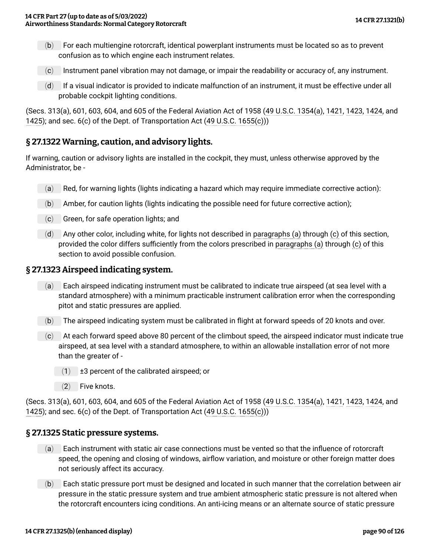- (b) For each multiengine rotorcraft, identical powerplant instruments must be located so as to prevent confusion as to which engine each instrument relates.
- (c) Instrument panel vibration may not damage, or impair the readability or accuracy of, any instrument.
- (d) If a visual indicator is provided to indicate malfunction of an instrument, it must be effective under all probable cockpit lighting conditions.

(Secs. 313(a), 601, 603, 604, and 605 of the Federal Aviation Act of 1958 [\(49 U.S.C. 1354\(a\),](https://www.govinfo.gov/link/uscode/49/1354) [1421](https://www.govinfo.gov/link/uscode/49/1421), [1423](https://www.govinfo.gov/link/uscode/49/1423), [1424,](https://www.govinfo.gov/link/uscode/49/1424) and [1425](https://www.govinfo.gov/link/uscode/49/1425)); and sec. 6(c) of the Dept. of Transportation Act [\(49 U.S.C. 1655\(c\)\)](https://www.govinfo.gov/link/uscode/49/1655))

# **§ 27.1322 Warning, caution, and advisory lights.**

If warning, caution or advisory lights are installed in the cockpit, they must, unless otherwise approved by the Administrator, be -

- <span id="page-89-0"></span>(a) Red, for warning lights (lights indicating a hazard which may require immediate corrective action):
- (b) Amber, for caution lights (lights indicating the possible need for future corrective action);
- <span id="page-89-1"></span>(c) Green, for safe operation lights; and
- (d) Any other color, including white, for lights not described in [paragraphs \(a\)](#page-89-0) through [\(c\)](#page-89-1) of this section, provided the color differs sufficiently from the colors prescribed in [paragraphs \(a\)](#page-89-0) through [\(c\)](#page-89-1) of this section to avoid possible confusion.

# **§ 27.1323 Airspeed indicating system.**

- (a) Each airspeed indicating instrument must be calibrated to indicate true airspeed (at sea level with a standard atmosphere) with a minimum practicable instrument calibration error when the corresponding pitot and static pressures are applied.
- (b) The airspeed indicating system must be calibrated in flight at forward speeds of 20 knots and over.
- (c) At each forward speed above 80 percent of the climbout speed, the airspeed indicator must indicate true airspeed, at sea level with a standard atmosphere, to within an allowable installation error of not more than the greater of -
	- $(1)$   $\pm$ 3 percent of the calibrated airspeed; or
	- (2) Five knots.

(Secs. 313(a), 601, 603, 604, and 605 of the Federal Aviation Act of 1958 [\(49 U.S.C. 1354\(a\),](https://www.govinfo.gov/link/uscode/49/1354) [1421](https://www.govinfo.gov/link/uscode/49/1421), [1423](https://www.govinfo.gov/link/uscode/49/1423), [1424,](https://www.govinfo.gov/link/uscode/49/1424) and [1425](https://www.govinfo.gov/link/uscode/49/1425)); and sec. 6(c) of the Dept. of Transportation Act [\(49 U.S.C. 1655\(c\)\)](https://www.govinfo.gov/link/uscode/49/1655))

# **§ 27.1325 Static pressure systems.**

- (a) Each instrument with static air case connections must be vented so that the influence of rotorcraft speed, the opening and closing of windows, airflow variation, and moisture or other foreign matter does not seriously affect its accuracy.
- (b) Each static pressure port must be designed and located in such manner that the correlation between air pressure in the static pressure system and true ambient atmospheric static pressure is not altered when the rotorcraft encounters icing conditions. An anti-icing means or an alternate source of static pressure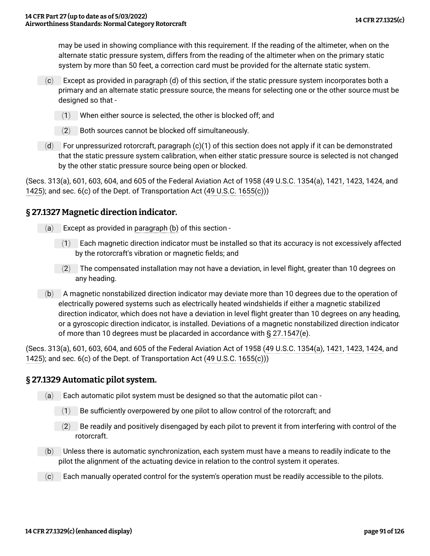may be used in showing compliance with this requirement. If the reading of the altimeter, when on the alternate static pressure system, differs from the reading of the altimeter when on the primary static system by more than 50 feet, a correction card must be provided for the alternate static system.

- (c) Except as provided in [paragraph \(d\)](#page-90-0) of this section, if the static pressure system incorporates both a primary and an alternate static pressure source, the means for selecting one or the other source must be designed so that -
	- (1) When either source is selected, the other is blocked off; and
	- (2) Both sources cannot be blocked off simultaneously.
- <span id="page-90-1"></span><span id="page-90-0"></span>(d) For unpressurized rotorcraft, [paragraph \(c\)\(1\)](#page-90-1) of this section does not apply if it can be demonstrated that the static pressure system calibration, when either static pressure source is selected is not changed by the other static pressure source being open or blocked.

(Secs. 313(a), 601, 603, 604, and 605 of the Federal Aviation Act of 1958 [\(49 U.S.C. 1354\(a\),](https://www.govinfo.gov/link/uscode/49/1354) [1421](https://www.govinfo.gov/link/uscode/49/1421), [1423](https://www.govinfo.gov/link/uscode/49/1423), [1424,](https://www.govinfo.gov/link/uscode/49/1424) and [1425](https://www.govinfo.gov/link/uscode/49/1425)); and sec. 6(c) of the Dept. of Transportation Act [\(49 U.S.C. 1655\(c\)\)](https://www.govinfo.gov/link/uscode/49/1655))

### **§ 27.1327 Magnetic direction indicator.**

- (a) Except as provided in [paragraph \(b\)](#page-90-2) of this section
	- (1) Each magnetic direction indicator must be installed so that its accuracy is not excessively affected by the rotorcraft's vibration or magnetic fields; and
	- $(2)$  The compensated installation may not have a deviation, in level flight, greater than 10 degrees on any heading.
- <span id="page-90-2"></span>(b) A magnetic nonstabilized direction indicator may deviate more than 10 degrees due to the operation of electrically powered systems such as electrically heated windshields if either a magnetic stabilized direction indicator, which does not have a deviation in level flight greater than 10 degrees on any heading, or a gyroscopic direction indicator, is installed. Deviations of a magnetic nonstabilized direction indicator of more than 10 degrees must be placarded in accordance with [§ 27.1547\(e\).](#page-110-1)

(Secs. 313(a), 601, 603, 604, and 605 of the Federal Aviation Act of 1958 [\(49 U.S.C. 1354\(a\),](https://www.govinfo.gov/link/uscode/49/1354) [1421](https://www.govinfo.gov/link/uscode/49/1421), [1423](https://www.govinfo.gov/link/uscode/49/1423), [1424,](https://www.govinfo.gov/link/uscode/49/1424) and [1425](https://www.govinfo.gov/link/uscode/49/1425)); and sec. 6(c) of the Dept. of Transportation Act [\(49 U.S.C. 1655\(c\)\)](https://www.govinfo.gov/link/uscode/49/1655))

#### **§ 27.1329 Automatic pilot system.**

- (a) Each automatic pilot system must be designed so that the automatic pilot can
	- $(1)$  Be sufficiently overpowered by one pilot to allow control of the rotorcraft; and
	- (2) Be readily and positively disengaged by each pilot to prevent it from interfering with control of the rotorcraft.
- (b) Unless there is automatic synchronization, each system must have a means to readily indicate to the pilot the alignment of the actuating device in relation to the control system it operates.
- (c) Each manually operated control for the system's operation must be readily accessible to the pilots.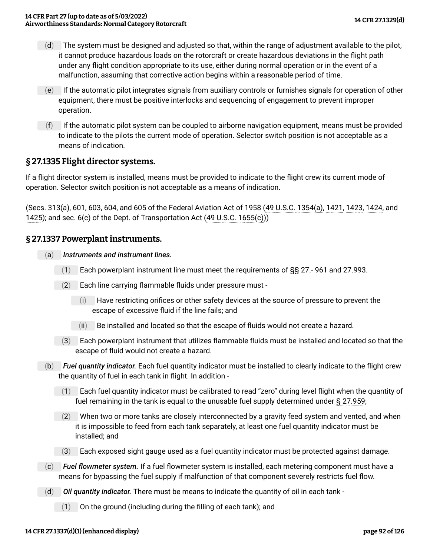- (d) The system must be designed and adjusted so that, within the range of adjustment available to the pilot, it cannot produce hazardous loads on the rotorcraft or create hazardous deviations in the flight path under any flight condition appropriate to its use, either during normal operation or in the event of a malfunction, assuming that corrective action begins within a reasonable period of time.
- (e) If the automatic pilot integrates signals from auxiliary controls or furnishes signals for operation of other equipment, there must be positive interlocks and sequencing of engagement to prevent improper operation.
- $(f)$  If the automatic pilot system can be coupled to airborne navigation equipment, means must be provided to indicate to the pilots the current mode of operation. Selector switch position is not acceptable as a means of indication.

### **§ 27.1335 Flight director systems.**

If a flight director system is installed, means must be provided to indicate to the flight crew its current mode of operation. Selector switch position is not acceptable as a means of indication.

(Secs. 313(a), 601, 603, 604, and 605 of the Federal Aviation Act of 1958 [\(49 U.S.C. 1354\(a\),](https://www.govinfo.gov/link/uscode/49/1354) [1421](https://www.govinfo.gov/link/uscode/49/1421), [1423](https://www.govinfo.gov/link/uscode/49/1423), [1424,](https://www.govinfo.gov/link/uscode/49/1424) and [1425](https://www.govinfo.gov/link/uscode/49/1425)); and sec. 6(c) of the Dept. of Transportation Act [\(49 U.S.C. 1655\(c\)\)](https://www.govinfo.gov/link/uscode/49/1655))

### **§ 27.1337 Powerplant instruments.**

- (a) *Instruments and instrument lines.*
	- $(1)$  Each powerplant instrument line must meet the requirements of  $\S$ § 27.-961 and 27.993.
	- (2) Each line carrying flammable fluids under pressure must
		- (i) Have restricting orifices or other safety devices at the source of pressure to prevent the escape of excessive fluid if the line fails; and
		- (ii) Be installed and located so that the escape of fluids would not create a hazard.
	- (3) Each powerplant instrument that utilizes flammable fluids must be installed and located so that the escape of fluid would not create a hazard.
- (b) *Fuel quantity indicator.* Each fuel quantity indicator must be installed to clearly indicate to the flight crew the quantity of fuel in each tank in flight. In addition -
	- $(1)$  Each fuel quantity indicator must be calibrated to read "zero" during level flight when the quantity of fuel remaining in the tank is equal to the unusable fuel supply determined under [§ 27.959](#page-70-0);
	- (2) When two or more tanks are closely interconnected by a gravity feed system and vented, and when it is impossible to feed from each tank separately, at least one fuel quantity indicator must be installed; and
	- $(3)$  Each exposed sight gauge used as a fuel quantity indicator must be protected against damage.
- (c) *Fuel flowmeter system.* If a fuel flowmeter system is installed, each metering component must have a means for bypassing the fuel supply if malfunction of that component severely restricts fuel flow.
- <span id="page-91-0"></span>(d) *Oil quantity indicator.* There must be means to indicate the quantity of oil in each tank -
	- $(1)$  On the ground (including during the filling of each tank); and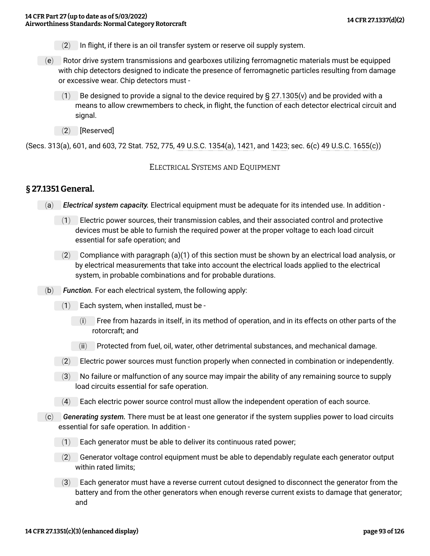- (2) In flight, if there is an oil transfer system or reserve oil supply system.
- <span id="page-92-0"></span>(e) Rotor drive system transmissions and gearboxes utilizing ferromagnetic materials must be equipped with chip detectors designed to indicate the presence of ferromagnetic particles resulting from damage or excessive wear. Chip detectors must -
	- $(1)$  Be designed to provide a signal to the device required by [§ 27.1305\(v\)](#page-87-0) and be provided with a means to allow crewmembers to check, in flight, the function of each detector electrical circuit and signal.
	- (2) [Reserved]

(Secs. 313(a), 601, and 603, 72 Stat. 752, 775, [49 U.S.C. 1354\(a\)](https://www.govinfo.gov/link/uscode/49/1354), [1421,](https://www.govinfo.gov/link/uscode/49/1421) and [1423;](https://www.govinfo.gov/link/uscode/49/1423) sec. 6(c) [49 U.S.C. 1655\(c\)](https://www.govinfo.gov/link/uscode/49/1655))

#### ELECTRICAL SYSTEMS AND EQUIPMENT

#### <span id="page-92-1"></span>**§ 27.1351 General.**

- (a) *Electrical system capacity.* Electrical equipment must be adequate for its intended use. In addition
	- (1) Electric power sources, their transmission cables, and their associated control and protective devices must be able to furnish the required power at the proper voltage to each load circuit essential for safe operation; and
	- $(2)$  Compliance with [paragraph \(a\)\(1\)](#page-92-1) of this section must be shown by an electrical load analysis, or by electrical measurements that take into account the electrical loads applied to the electrical system, in probable combinations and for probable durations.
- (b) *Function.* For each electrical system, the following apply:
	- (1) Each system, when installed, must be
		- (i) Free from hazards in itself, in its method of operation, and in its effects on other parts of the rotorcraft; and
		- (ii) Protected from fuel, oil, water, other detrimental substances, and mechanical damage.
	- (2) Electric power sources must function properly when connected in combination or independently.
	- (3) No failure or malfunction of any source may impair the ability of any remaining source to supply load circuits essential for safe operation.
	- (4) Each electric power source control must allow the independent operation of each source.
- (c) *Generating system.* There must be at least one generator if the system supplies power to load circuits essential for safe operation. In addition -
	- $(1)$  Each generator must be able to deliver its continuous rated power;
	- (2) Generator voltage control equipment must be able to dependably regulate each generator output within rated limits;
	- (3) Each generator must have a reverse current cutout designed to disconnect the generator from the battery and from the other generators when enough reverse current exists to damage that generator; and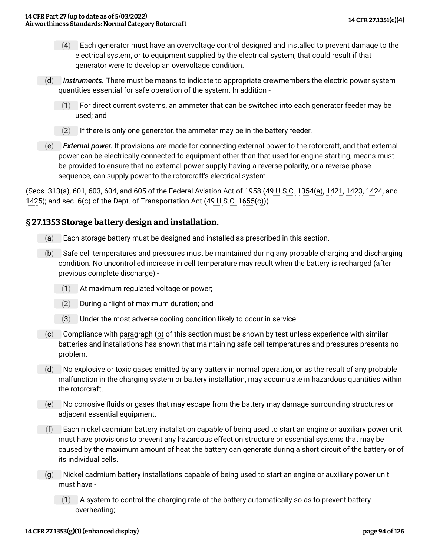- (4) Each generator must have an overvoltage control designed and installed to prevent damage to the electrical system, or to equipment supplied by the electrical system, that could result if that generator were to develop an overvoltage condition.
- (d) *Instruments.* There must be means to indicate to appropriate crewmembers the electric power system quantities essential for safe operation of the system. In addition -
	- $(1)$  For direct current systems, an ammeter that can be switched into each generator feeder may be used; and
	- $(2)$  If there is only one generator, the ammeter may be in the battery feeder.
- (e) *External power.* If provisions are made for connecting external power to the rotorcraft, and that external power can be electrically connected to equipment other than that used for engine starting, means must be provided to ensure that no external power supply having a reverse polarity, or a reverse phase sequence, can supply power to the rotorcraft's electrical system.

(Secs. 313(a), 601, 603, 604, and 605 of the Federal Aviation Act of 1958 [\(49 U.S.C. 1354\(a\),](https://www.govinfo.gov/link/uscode/49/1354) [1421](https://www.govinfo.gov/link/uscode/49/1421), [1423](https://www.govinfo.gov/link/uscode/49/1423), [1424,](https://www.govinfo.gov/link/uscode/49/1424) and [1425](https://www.govinfo.gov/link/uscode/49/1425)); and sec. 6(c) of the Dept. of Transportation Act [\(49 U.S.C. 1655\(c\)\)](https://www.govinfo.gov/link/uscode/49/1655))

# **§ 27.1353 Storage battery design and installation.**

- (a) Each storage battery must be designed and installed as prescribed in this section.
- <span id="page-93-0"></span>(b) Safe cell temperatures and pressures must be maintained during any probable charging and discharging condition. No uncontrolled increase in cell temperature may result when the battery is recharged (after previous complete discharge) -
	- (1) At maximum regulated voltage or power;
	- (2) During a flight of maximum duration; and
	- (3) Under the most adverse cooling condition likely to occur in service.
- $(c)$  Compliance with [paragraph \(b\)](#page-93-0) of this section must be shown by test unless experience with similar batteries and installations has shown that maintaining safe cell temperatures and pressures presents no problem.
- (d) No explosive or toxic gases emitted by any battery in normal operation, or as the result of any probable malfunction in the charging system or battery installation, may accumulate in hazardous quantities within the rotorcraft.
- (e) No corrosive fluids or gases that may escape from the battery may damage surrounding structures or adjacent essential equipment.
- (f) Each nickel cadmium battery installation capable of being used to start an engine or auxiliary power unit must have provisions to prevent any hazardous effect on structure or essential systems that may be caused by the maximum amount of heat the battery can generate during a short circuit of the battery or of its individual cells.
- (g) Nickel cadmium battery installations capable of being used to start an engine or auxiliary power unit must have -
	- $(1)$  A system to control the charging rate of the battery automatically so as to prevent battery overheating;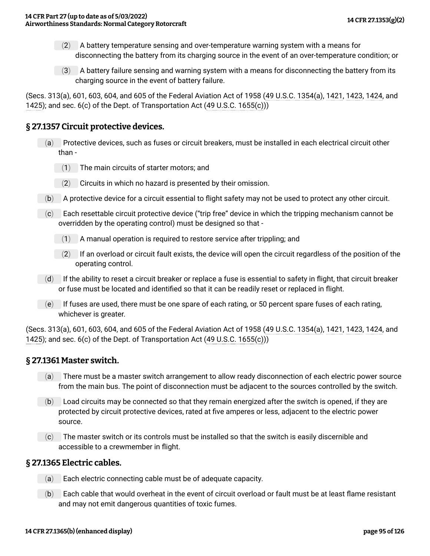- (2) A battery temperature sensing and over-temperature warning system with a means for disconnecting the battery from its charging source in the event of an over-temperature condition; or
- $(3)$  A battery failure sensing and warning system with a means for disconnecting the battery from its charging source in the event of battery failure.

(Secs. 313(a), 601, 603, 604, and 605 of the Federal Aviation Act of 1958 [\(49 U.S.C. 1354\(a\),](https://www.govinfo.gov/link/uscode/49/1354) [1421](https://www.govinfo.gov/link/uscode/49/1421), [1423](https://www.govinfo.gov/link/uscode/49/1423), [1424,](https://www.govinfo.gov/link/uscode/49/1424) and [1425](https://www.govinfo.gov/link/uscode/49/1425)); and sec. 6(c) of the Dept. of Transportation Act [\(49 U.S.C. 1655\(c\)\)](https://www.govinfo.gov/link/uscode/49/1655))

## **§ 27.1357 Circuit protective devices.**

- (a) Protective devices, such as fuses or circuit breakers, must be installed in each electrical circuit other than -
	- (1) The main circuits of starter motors; and
	- $(2)$  Circuits in which no hazard is presented by their omission.
- (b) A protective device for a circuit essential to flight safety may not be used to protect any other circuit.
- (c) Each resettable circuit protective device ("trip free" device in which the tripping mechanism cannot be overridden by the operating control) must be designed so that -
	- $(1)$  A manual operation is required to restore service after trippling; and
	- (2) If an overload or circuit fault exists, the device will open the circuit regardless of the position of the operating control.
- (d) If the ability to reset a circuit breaker or replace a fuse is essential to safety in flight, that circuit breaker or fuse must be located and identified so that it can be readily reset or replaced in flight.
- (e) If fuses are used, there must be one spare of each rating, or 50 percent spare fuses of each rating, whichever is greater.

(Secs. 313(a), 601, 603, 604, and 605 of the Federal Aviation Act of 1958 [\(49 U.S.C. 1354\(a\),](https://www.govinfo.gov/link/uscode/49/1354) [1421](https://www.govinfo.gov/link/uscode/49/1421), [1423](https://www.govinfo.gov/link/uscode/49/1423), [1424,](https://www.govinfo.gov/link/uscode/49/1424) and [1425](https://www.govinfo.gov/link/uscode/49/1425)); and sec. 6(c) of the Dept. of Transportation Act [\(49 U.S.C. 1655\(c\)\)](https://www.govinfo.gov/link/uscode/49/1655))

### **§ 27.1361 Master switch.**

- (a) There must be a master switch arrangement to allow ready disconnection of each electric power source from the main bus. The point of disconnection must be adjacent to the sources controlled by the switch.
- (b) Load circuits may be connected so that they remain energized after the switch is opened, if they are protected by circuit protective devices, rated at five amperes or less, adjacent to the electric power source.
- (c) The master switch or its controls must be installed so that the switch is easily discernible and accessible to a crewmember in flight.

#### **§ 27.1365 Electric cables.**

- (a) Each electric connecting cable must be of adequate capacity.
- (b) Each cable that would overheat in the event of circuit overload or fault must be at least flame resistant and may not emit dangerous quantities of toxic fumes.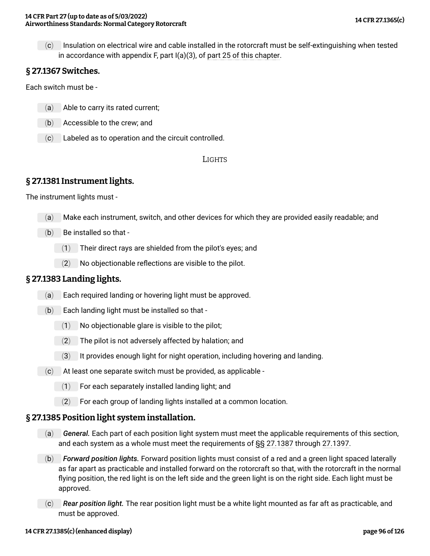(c) Insulation on electrical wire and cable installed in the rotorcraft must be self-extinguishing when tested in accordance with appendix F, part I(a)(3), of [part 25 of this chapter.](https://www.ecfr.gov/current/title-14/part-25/)

### **§ 27.1367 Switches.**

Each switch must be -

- (a) Able to carry its rated current;
- (b) Accessible to the crew; and
- (c) Labeled as to operation and the circuit controlled.

#### LIGHTS

### **§ 27.1381 Instrument lights.**

The instrument lights must -

- (a) Make each instrument, switch, and other devices for which they are provided easily readable; and
- (b) Be installed so that
	- (1) Their direct rays are shielded from the pilot's eyes; and
	- $(2)$  No objectionable reflections are visible to the pilot.

## **§ 27.1383 Landing lights.**

- (a) Each required landing or hovering light must be approved.
- (b) Each landing light must be installed so that
	- $(1)$  No objectionable glare is visible to the pilot;
	- (2) The pilot is not adversely affected by halation; and
	- (3) It provides enough light for night operation, including hovering and landing.
- $(c)$  At least one separate switch must be provided, as applicable -
	- (1) For each separately installed landing light; and
	- (2) For each group of landing lights installed at a common location.

### **§ 27.1385 Position light system installation.**

- (a) *General.* Each part of each position light system must meet the applicable requirements of this section, and each system as a whole must meet the requirements of [§§ 27.1387](#page-96-0) through [27.1397](#page-98-0).
- (b) *Forward position lights.* Forward position lights must consist of a red and a green light spaced laterally as far apart as practicable and installed forward on the rotorcraft so that, with the rotorcraft in the normal flying position, the red light is on the left side and the green light is on the right side. Each light must be approved.
- (c) *Rear position light.* The rear position light must be a white light mounted as far aft as practicable, and must be approved.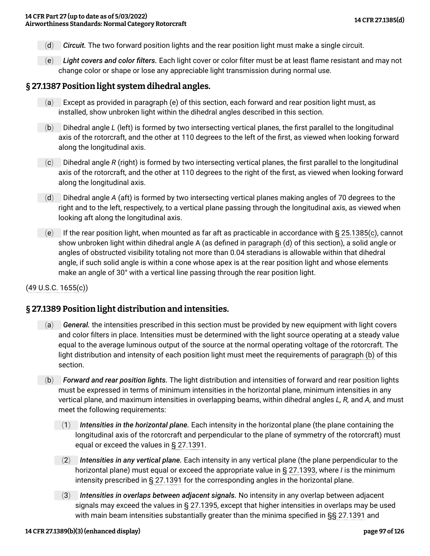- (d) *Circuit.* The two forward position lights and the rear position light must make a single circuit.
- (e) *Light covers and color filters.* Each light cover or color filter must be at least flame resistant and may not change color or shape or lose any appreciable light transmission during normal use.

### <span id="page-96-0"></span>**§ 27.1387 Position light system dihedral angles.**

- (a) Except as provided in [paragraph \(e\)](#page-96-1) of this section, each forward and rear position light must, as installed, show unbroken light within the dihedral angles described in this section.
- (b) Dihedral angle *L* (left) is formed by two intersecting vertical planes, the first parallel to the longitudinal axis of the rotorcraft, and the other at 110 degrees to the left of the first, as viewed when looking forward along the longitudinal axis.
- (c) Dihedral angle *R* (right) is formed by two intersecting vertical planes, the first parallel to the longitudinal axis of the rotorcraft, and the other at 110 degrees to the right of the first, as viewed when looking forward along the longitudinal axis.
- <span id="page-96-2"></span>(d) Dihedral angle *A* (aft) is formed by two intersecting vertical planes making angles of 70 degrees to the right and to the left, respectively, to a vertical plane passing through the longitudinal axis, as viewed when looking aft along the longitudinal axis.
- <span id="page-96-1"></span>(e) If the rear position light, when mounted as far aft as practicable in accordance with  $\S 25.1385(c)$ , cannot show unbroken light within dihedral angle A (as defined in [paragraph \(d\)](#page-96-2) of this section), a solid angle or angles of obstructed visibility totaling not more than 0.04 steradians is allowable within that dihedral angle, if such solid angle is within a cone whose apex is at the rear position light and whose elements make an angle of 30° with a vertical line passing through the rear position light.

[\(49 U.S.C. 1655\(c\)\)](https://www.govinfo.gov/link/uscode/49/1655)

# **§ 27.1389 Position light distribution and intensities.**

- (a) *General.* the intensities prescribed in this section must be provided by new equipment with light covers and color filters in place. Intensities must be determined with the light source operating at a steady value equal to the average luminous output of the source at the normal operating voltage of the rotorcraft. The light distribution and intensity of each position light must meet the requirements of [paragraph \(b\)](#page-96-3) of this section.
- <span id="page-96-4"></span><span id="page-96-3"></span>(b) *Forward and rear position lights.* The light distribution and intensities of forward and rear position lights must be expressed in terms of minimum intensities in the horizontal plane, minimum intensities in any vertical plane, and maximum intensities in overlapping beams, within dihedral angles *L, R,* and *A,* and must meet the following requirements:
	- (1) *Intensities in the horizontal plane.* Each intensity in the horizontal plane (the plane containing the longitudinal axis of the rotorcraft and perpendicular to the plane of symmetry of the rotorcraft) must equal or exceed the values in [§ 27.1391.](#page-97-0)
	- (2) *Intensities in any vertical plane.* Each intensity in any vertical plane (the plane perpendicular to the horizontal plane) must equal or exceed the appropriate value in [§ 27.1393,](#page-97-1) where *I* is the minimum intensity prescribed in [§ 27.1391](#page-97-0) for the corresponding angles in the horizontal plane.
	- (3) *Intensities in overlaps between adjacent signals.* No intensity in any overlap between adjacent signals may exceed the values in [§ 27.1395,](#page-97-2) except that higher intensities in overlaps may be used with main beam intensities substantially greater than the minima specified in [§§ 27.1391](#page-97-0) and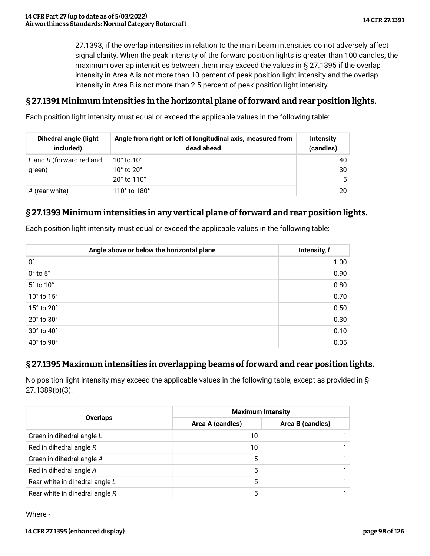[27.1393](#page-97-1), if the overlap intensities in relation to the main beam intensities do not adversely affect signal clarity. When the peak intensity of the forward position lights is greater than 100 candles, the maximum overlap intensities between them may exceed the values in [§ 27.1395](#page-97-2) if the overlap intensity in Area A is not more than 10 percent of peak position light intensity and the overlap intensity in Area B is not more than 2.5 percent of peak position light intensity.

## <span id="page-97-0"></span>**§ 27.1391 Minimum intensities in the horizontal plane of forward and rear position lights.**

Each position light intensity must equal or exceed the applicable values in the following table:

| Dihedral angle (light<br>included) | Angle from right or left of longitudinal axis, measured from<br>dead ahead | <b>Intensity</b><br>(candles) |
|------------------------------------|----------------------------------------------------------------------------|-------------------------------|
| L and $R$ (forward red and         | 10 $^{\circ}$ to 10 $^{\circ}$                                             | 40                            |
| green)                             | 10 $^{\circ}$ to 20 $^{\circ}$                                             | 30                            |
|                                    | $20^\circ$ to $110^\circ$                                                  | 5                             |
| A (rear white)                     | 110 $^{\circ}$ to 180 $^{\circ}$                                           | 20                            |

# <span id="page-97-1"></span>**§ 27.1393 Minimum intensities in any vertical plane of forward and rear position lights.**

| Angle above or below the horizontal plane | Intensity, I |
|-------------------------------------------|--------------|
| $0^{\circ}$                               | 1.00         |
| $0^\circ$ to $5^\circ$                    | 0.90         |
| 5° to 10°                                 | 0.80         |
| 10° to 15°                                | 0.70         |
| $15^\circ$ to $20^\circ$                  | 0.50         |
| $20^\circ$ to $30^\circ$                  | 0.30         |
| $30^{\circ}$ to $40^{\circ}$              | 0.10         |
| $40^\circ$ to $90^\circ$                  | 0.05         |

Each position light intensity must equal or exceed the applicable values in the following table:

# <span id="page-97-2"></span>**§ 27.1395 Maximum intensities in overlapping beams of forward and rear position lights.**

No position light intensity may exceed the applicable values in the following table, except as provided in [§](#page-96-4) [27.1389\(b\)\(3\)](#page-96-4).

|                                | <b>Maximum Intensity</b> |                  |
|--------------------------------|--------------------------|------------------|
| <b>Overlaps</b>                | Area A (candles)         | Area B (candles) |
| Green in dihedral angle L      | 10                       |                  |
| Red in dihedral angle R        | 10                       |                  |
| Green in dihedral angle A      | 5                        |                  |
| Red in dihedral angle A        | 5                        |                  |
| Rear white in dihedral angle L | 5                        |                  |
| Rear white in dihedral angle R | 5                        |                  |

Where -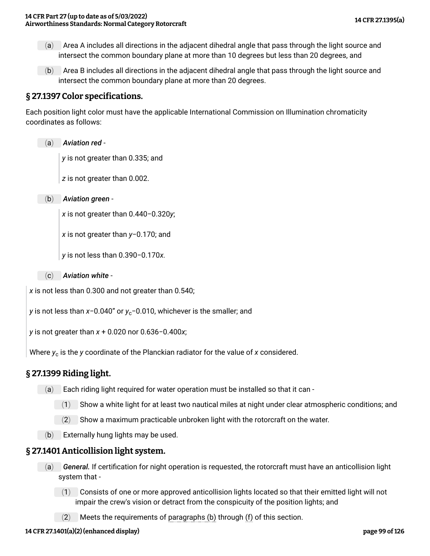- (a) Area A includes all directions in the adjacent dihedral angle that pass through the light source and intersect the common boundary plane at more than 10 degrees but less than 20 degrees, and
- (b) Area B includes all directions in the adjacent dihedral angle that pass through the light source and intersect the common boundary plane at more than 20 degrees.

# <span id="page-98-0"></span>**§ 27.1397 Color specifications.**

Each position light color must have the applicable International Commission on Illumination chromaticity coordinates as follows:

(a) *Aviation red* -

*y* is not greater than 0.335; and

*z* is not greater than 0.002.

(b) *Aviation green* -

*x* is not greater than 0.440−0.320*y*;

*x* is not greater than *y*−0.170; and

*y* is not less than 0.390−0.170*x.*

(c) *Aviation white* -

*x* is not less than 0.300 and not greater than 0.540;

*y* is not less than *x*−0.040" or *y*<sub>c</sub>−0.010, whichever is the smaller; and

*y* is not greater than *x* + 0.020 nor 0.636−0.400*x*;

Where  $y_c$  is the *y* coordinate of the Planckian radiator for the value of *x* considered.

### **§ 27.1399 Riding light.**

- (a) Each riding light required for water operation must be installed so that it can
	- (1) Show a white light for at least two nautical miles at night under clear atmospheric conditions; and
	- (2) Show a maximum practicable unbroken light with the rotorcraft on the water.
- (b) Externally hung lights may be used.

### **§ 27.1401 Anticollision light system.**

- (a) *General.* If certification for night operation is requested, the rotorcraft must have an anticollision light system that -
	- (1) Consists of one or more approved anticollision lights located so that their emitted light will not impair the crew's vision or detract from the conspicuity of the position lights; and
	- $(2)$  Meets the requirements of [paragraphs \(b\)](#page-99-0) through [\(f\)](#page-99-1) of this section.

#### **14 CFR 27.1401(a)(2) (enhanced display) page 99 of 126**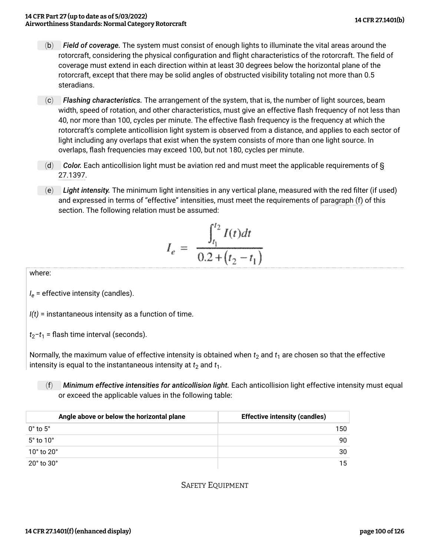- <span id="page-99-0"></span>(b) *Field of coverage.* The system must consist of enough lights to illuminate the vital areas around the rotorcraft, considering the physical configuration and flight characteristics of the rotorcraft. The field of coverage must extend in each direction within at least 30 degrees below the horizontal plane of the rotorcraft, except that there may be solid angles of obstructed visibility totaling not more than 0.5 steradians.
- (c) *Flashing characteristics.* The arrangement of the system, that is, the number of light sources, beam width, speed of rotation, and other characteristics, must give an effective flash frequency of not less than 40, nor more than 100, cycles per minute. The effective flash frequency is the frequency at which the rotorcraft's complete anticollision light system is observed from a distance, and applies to each sector of light including any overlaps that exist when the system consists of more than one light source. In overlaps, flash frequencies may exceed 100, but not 180, cycles per minute.
- (d) *Color.* Each anticollision light must be aviation red and must meet the applicable requirements of [§](#page-98-0) [27.1397](#page-98-0).
- (e) *Light intensity.* The minimum light intensities in any vertical plane, measured with the red filter (if used) and expressed in terms of "effective" intensities, must meet the requirements of [paragraph \(f\)](#page-99-1) of this section. The following relation must be assumed:

$$
I_e = \frac{\int_{t_1}^{t_2} I(t)dt}{0.2 + (t_2 - t_1)}
$$

where:

*I<sup>e</sup>* = effective intensity (candles).

*I(t)* = instantaneous intensity as a function of time.

*t*<sub>2</sub>−*t*<sub>1</sub> = flash time interval (seconds).

Normally, the maximum value of effective intensity is obtained when  $t_2$  and  $t_1$  are chosen so that the effective intensity is equal to the instantaneous intensity at  $t_2$  and  $t_1$ .

<span id="page-99-1"></span>(f) *Minimum effective intensities for anticollision light.* Each anticollision light effective intensity must equal or exceed the applicable values in the following table:

| Angle above or below the horizontal plane | <b>Effective intensity (candles)</b> |
|-------------------------------------------|--------------------------------------|
| $0^{\circ}$ to $5^{\circ}$                | 150                                  |
| $5^{\circ}$ to $10^{\circ}$               | 90                                   |
| 10 $^{\circ}$ to 20 $^{\circ}$            | 30                                   |
| $20^\circ$ to $30^\circ$                  | 15                                   |

SAFETY EQUIPMENT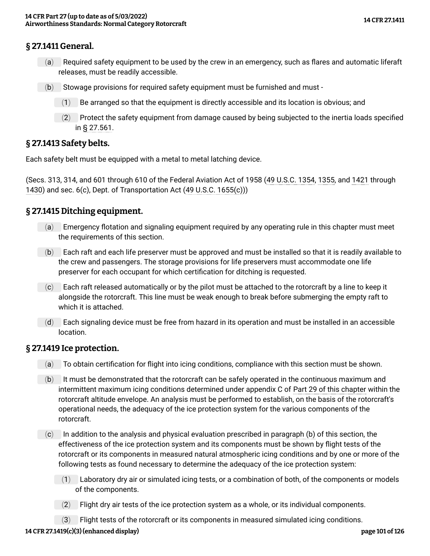## **§ 27.1411 General.**

- (a) Required safety equipment to be used by the crew in an emergency, such as flares and automatic liferaft releases, must be readily accessible.
- (b) Stowage provisions for required safety equipment must be furnished and must
	- $(1)$  Be arranged so that the equipment is directly accessible and its location is obvious; and
	- (2) Protect the safety equipment from damage caused by being subjected to the inertia loads specified in [§ 27.561](#page-33-0).

### **§ 27.1413 Safety belts.**

Each safety belt must be equipped with a metal to metal latching device.

(Secs. 313, 314, and 601 through 610 of the Federal Aviation Act of 1958 ([49 U.S.C. 1354](https://www.govinfo.gov/link/uscode/49/1354), [1355,](https://www.govinfo.gov/link/uscode/49/1355) and [1421](https://www.govinfo.gov/link/uscode/49/1421) through [1430](https://www.govinfo.gov/link/uscode/49/1430)) and sec. 6(c), Dept. of Transportation Act [\(49 U.S.C. 1655\(c\)\)](https://www.govinfo.gov/link/uscode/49/1655))

#### **§ 27.1415 Ditching equipment.**

- (a) Emergency flotation and signaling equipment required by any operating rule in this chapter must meet the requirements of this section.
- (b) Each raft and each life preserver must be approved and must be installed so that it is readily available to the crew and passengers. The storage provisions for life preservers must accommodate one life preserver for each occupant for which certification for ditching is requested.
- (c) Each raft released automatically or by the pilot must be attached to the rotorcraft by a line to keep it alongside the rotorcraft. This line must be weak enough to break before submerging the empty raft to which it is attached.
- (d) Each signaling device must be free from hazard in its operation and must be installed in an accessible location.

#### **§ 27.1419 Ice protection.**

- (a) To obtain certification for flight into icing conditions, compliance with this section must be shown.
- <span id="page-100-0"></span>(b) It must be demonstrated that the rotorcraft can be safely operated in the continuous maximum and intermittent maximum icing conditions determined under appendix C of [Part 29 of this chapter](https://www.ecfr.gov/current/title-14/part-29/) within the rotorcraft altitude envelope. An analysis must be performed to establish, on the basis of the rotorcraft's operational needs, the adequacy of the ice protection system for the various components of the rotorcraft.
- (c) In addition to the analysis and physical evaluation prescribed in [paragraph \(b\)](#page-100-0) of this section, the effectiveness of the ice protection system and its components must be shown by flight tests of the rotorcraft or its components in measured natural atmospheric icing conditions and by one or more of the following tests as found necessary to determine the adequacy of the ice protection system:
	- $(1)$  Laboratory dry air or simulated icing tests, or a combination of both, of the components or models of the components.
	- (2) Flight dry air tests of the ice protection system as a whole, or its individual components.
	- (3) Flight tests of the rotorcraft or its components in measured simulated icing conditions.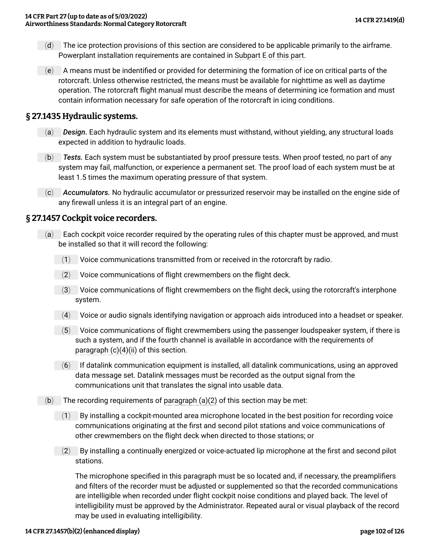- (d) The ice protection provisions of this section are considered to be applicable primarily to the airframe. Powerplant installation requirements are contained in [Subpart E of this part](#page-61-0).
- (e) A means must be indentified or provided for determining the formation of ice on critical parts of the rotorcraft. Unless otherwise restricted, the means must be available for nighttime as well as daytime operation. The rotorcraft flight manual must describe the means of determining ice formation and must contain information necessary for safe operation of the rotorcraft in icing conditions.

### **§ 27.1435 Hydraulic systems.**

- (a) *Design.* Each hydraulic system and its elements must withstand, without yielding, any structural loads expected in addition to hydraulic loads.
- (b) *Tests.* Each system must be substantiated by proof pressure tests. When proof tested, no part of any system may fail, malfunction, or experience a permanent set. The proof load of each system must be at least 1.5 times the maximum operating pressure of that system.
- (c) *Accumulators.* No hydraulic accumulator or pressurized reservoir may be installed on the engine side of any firewall unless it is an integral part of an engine.

### <span id="page-101-1"></span>**§ 27.1457 Cockpit voice recorders.**

- <span id="page-101-0"></span>(a) Each cockpit voice recorder required by the operating rules of this chapter must be approved, and must be installed so that it will record the following:
	- (1) Voice communications transmitted from or received in the rotorcraft by radio.
	- (2) Voice communications of flight crewmembers on the flight deck.
	- (3) Voice communications of flight crewmembers on the flight deck, using the rotorcraft's interphone system.
	- $(4)$  Voice or audio signals identifying navigation or approach aids introduced into a headset or speaker.
	- (5) Voice communications of flight crewmembers using the passenger loudspeaker system, if there is such a system, and if the fourth channel is available in accordance with the requirements of [paragraph \(c\)\(4\)\(ii\)](#page-102-0) of this section.
	- (6) If datalink communication equipment is installed, all datalink communications, using an approved data message set. Datalink messages must be recorded as the output signal from the communications unit that translates the signal into usable data.
- $(b)$  The recording requirements of [paragraph \(a\)\(2\)](#page-101-0) of this section may be met:
	- (1) By installing a cockpit-mounted area microphone located in the best position for recording voice communications originating at the first and second pilot stations and voice communications of other crewmembers on the flight deck when directed to those stations; or
	- (2) By installing a continually energized or voice-actuated lip microphone at the first and second pilot stations.

The microphone specified in this paragraph must be so located and, if necessary, the preamplifiers and filters of the recorder must be adjusted or supplemented so that the recorded communications are intelligible when recorded under flight cockpit noise conditions and played back. The level of intelligibility must be approved by the Administrator. Repeated aural or visual playback of the record may be used in evaluating intelligibility.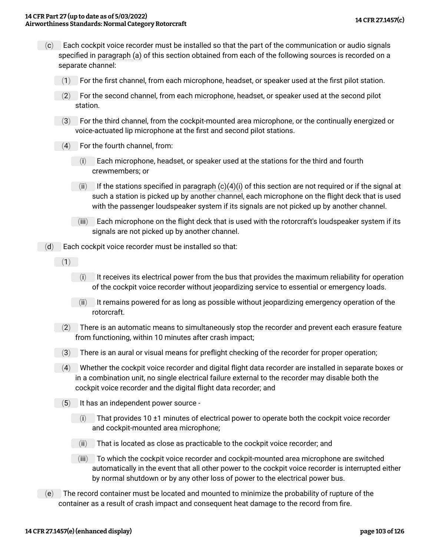- (c) Each cockpit voice recorder must be installed so that the part of the communication or audio signals specified in [paragraph \(a\)](#page-101-1) of this section obtained from each of the following sources is recorded on a separate channel:
	- (1) For the first channel, from each microphone, headset, or speaker used at the first pilot station.
	- (2) For the second channel, from each microphone, headset, or speaker used at the second pilot station.
	- (3) For the third channel, from the cockpit-mounted area microphone, or the continually energized or voice-actuated lip microphone at the first and second pilot stations.
	- (4) For the fourth channel, from:
		- (i) Each microphone, headset, or speaker used at the stations for the third and fourth crewmembers; or
		- (ii) If the stations specified in paragraph  $(c)(4)(i)$  of this section are not required or if the signal at such a station is picked up by another channel, each microphone on the flight deck that is used with the passenger loudspeaker system if its signals are not picked up by another channel.
		- (iii) Each microphone on the flight deck that is used with the rotorcraft's loudspeaker system if its signals are not picked up by another channel.
- <span id="page-102-1"></span><span id="page-102-0"></span>(d) Each cockpit voice recorder must be installed so that:
	- $(1)$ 
		- (i) It receives its electrical power from the bus that provides the maximum reliability for operation of the cockpit voice recorder without jeopardizing service to essential or emergency loads.
		- (ii) It remains powered for as long as possible without jeopardizing emergency operation of the rotorcraft.
	- (2) There is an automatic means to simultaneously stop the recorder and prevent each erasure feature from functioning, within 10 minutes after crash impact;
	- (3) There is an aural or visual means for preflight checking of the recorder for proper operation;
	- $(4)$  Whether the cockpit voice recorder and digital flight data recorder are installed in separate boxes or in a combination unit, no single electrical failure external to the recorder may disable both the cockpit voice recorder and the digital flight data recorder; and
	- (5) It has an independent power source
		- $(i)$  That provides 10  $\pm$ 1 minutes of electrical power to operate both the cockpit voice recorder and cockpit-mounted area microphone;
		- (ii) That is located as close as practicable to the cockpit voice recorder; and
			- (iii) To which the cockpit voice recorder and cockpit-mounted area microphone are switched automatically in the event that all other power to the cockpit voice recorder is interrupted either by normal shutdown or by any other loss of power to the electrical power bus.
- (e) The record container must be located and mounted to minimize the probability of rupture of the container as a result of crash impact and consequent heat damage to the record from fire.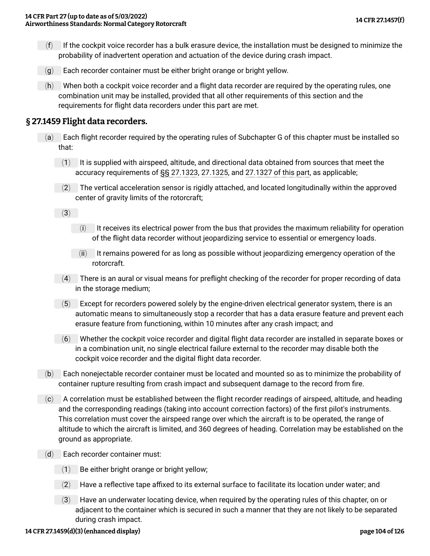- (f) If the cockpit voice recorder has a bulk erasure device, the installation must be designed to minimize the probability of inadvertent operation and actuation of the device during crash impact.
- $(q)$  Each recorder container must be either bright orange or bright yellow.
- (h) When both a cockpit voice recorder and a flight data recorder are required by the operating rules, one combination unit may be installed, provided that all other requirements of this section and the requirements for flight data recorders under this part are met.

#### **§ 27.1459 Flight data recorders.**

- (a) Each flight recorder required by the operating rules of Subchapter G of this chapter must be installed so that:
	- $(1)$  It is supplied with airspeed, altitude, and directional data obtained from sources that meet the accuracy requirements of [§§ 27.1323](https://www.ecfr.gov/current/title-14/part-27/section-27.1323/), [27.1325,](https://www.ecfr.gov/current/title-14/part-27/section-27.1325/) and [27.1327 of this part](https://www.ecfr.gov/current/title-14/part-27/section-27.1327/), as applicable;
	- (2) The vertical acceleration sensor is rigidly attached, and located longitudinally within the approved center of gravity limits of the rotorcraft;

(3)

- (i) It receives its electrical power from the bus that provides the maximum reliability for operation of the flight data recorder without jeopardizing service to essential or emergency loads.
- (ii) It remains powered for as long as possible without jeopardizing emergency operation of the rotorcraft.
- $(4)$  There is an aural or visual means for preflight checking of the recorder for proper recording of data in the storage medium;
- (5) Except for recorders powered solely by the engine-driven electrical generator system, there is an automatic means to simultaneously stop a recorder that has a data erasure feature and prevent each erasure feature from functioning, within 10 minutes after any crash impact; and
- (6) Whether the cockpit voice recorder and digital flight data recorder are installed in separate boxes or in a combination unit, no single electrical failure external to the recorder may disable both the cockpit voice recorder and the digital flight data recorder.
- (b) Each nonejectable recorder container must be located and mounted so as to minimize the probability of container rupture resulting from crash impact and subsequent damage to the record from fire.
- (c) A correlation must be established between the flight recorder readings of airspeed, altitude, and heading and the corresponding readings (taking into account correction factors) of the first pilot's instruments. This correlation must cover the airspeed range over which the aircraft is to be operated, the range of altitude to which the aircraft is limited, and 360 degrees of heading. Correlation may be established on the ground as appropriate.
- (d) Each recorder container must:
	- (1) Be either bright orange or bright yellow;
	- (2) Have a reflective tape affixed to its external surface to facilitate its location under water; and
	- (3) Have an underwater locating device, when required by the operating rules of this chapter, on or adjacent to the container which is secured in such a manner that they are not likely to be separated during crash impact.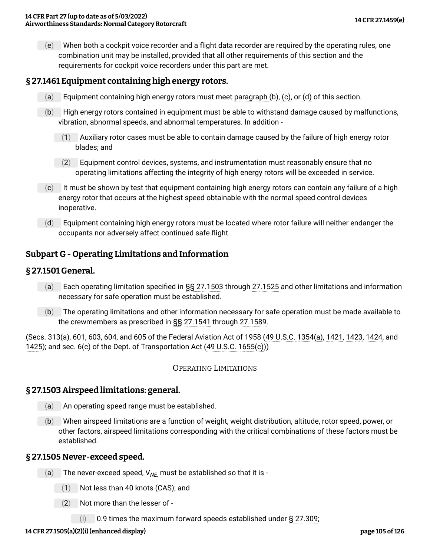(e) When both a cockpit voice recorder and a flight data recorder are required by the operating rules, one combination unit may be installed, provided that all other requirements of this section and the requirements for cockpit voice recorders under this part are met.

### **§ 27.1461 Equipment containing high energy rotors.**

- (a) Equipment containing high energy rotors must meet [paragraph \(b\),](#page-104-0) [\(c\)](#page-104-1), or [\(d\)](#page-104-2) of this section.
- <span id="page-104-0"></span>(b) High energy rotors contained in equipment must be able to withstand damage caused by malfunctions, vibration, abnormal speeds, and abnormal temperatures. In addition -
	- (1) Auxiliary rotor cases must be able to contain damage caused by the failure of high energy rotor blades; and
	- (2) Equipment control devices, systems, and instrumentation must reasonably ensure that no operating limitations affecting the integrity of high energy rotors will be exceeded in service.
- <span id="page-104-1"></span>(c) It must be shown by test that equipment containing high energy rotors can contain any failure of a high energy rotor that occurs at the highest speed obtainable with the normal speed control devices inoperative.
- <span id="page-104-2"></span>(d) Equipment containing high energy rotors must be located where rotor failure will neither endanger the occupants nor adversely affect continued safe flight.

# **Subpart G - Operating Limitations and Information**

### **§ 27.1501 General.**

- (a) Each operating limitation specified in [§§ 27.1503](#page-104-3) through [27.1525](#page-108-0) and other limitations and information necessary for safe operation must be established.
- (b) The operating limitations and other information necessary for safe operation must be made available to the crewmembers as prescribed in [§§ 27.1541](#page-109-0) through [27.1589.](#page-114-0)

(Secs. 313(a), 601, 603, 604, and 605 of the Federal Aviation Act of 1958 [\(49 U.S.C. 1354\(a\),](https://www.govinfo.gov/link/uscode/49/1354) [1421](https://www.govinfo.gov/link/uscode/49/1421), [1423](https://www.govinfo.gov/link/uscode/49/1423), [1424,](https://www.govinfo.gov/link/uscode/49/1424) and [1425](https://www.govinfo.gov/link/uscode/49/1425)); and sec. 6(c) of the Dept. of Transportation Act [\(49 U.S.C. 1655\(c\)\)](https://www.govinfo.gov/link/uscode/49/1655))

#### OPERATING LIMITATIONS

### <span id="page-104-3"></span>**§ 27.1503 Airspeed limitations: general.**

- $(a)$  An operating speed range must be established.
- (b) When airspeed limitations are a function of weight, weight distribution, altitude, rotor speed, power, or other factors, airspeed limitations corresponding with the critical combinations of these factors must be established.

#### <span id="page-104-4"></span>**§ 27.1505 Never-exceed speed.**

- (a) The never-exceed speed,  $V_{NE}$  must be established so that it is -
	- (1) Not less than 40 knots (CAS); and
	- (2) Not more than the lesser of
		- $(i)$  0.9 times the maximum forward speeds established under [§ 27.309;](#page-22-0)

#### **14 CFR 27.1505(a)(2)(i) (enhanced display) page 105 of 126**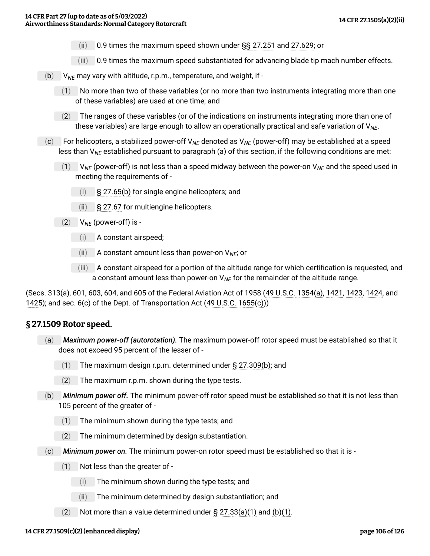- (ii) 0.9 times the maximum speed shown under [§§ 27.251](#page-20-0) and [27.629;](#page-43-0) or
- (iii) 0.9 times the maximum speed substantiated for advancing blade tip mach number effects.
- $(b)$  V<sub>NE</sub> may vary with altitude, r.p.m., temperature, and weight, if -
	- $(1)$  No more than two of these variables (or no more than two instruments integrating more than one of these variables) are used at one time; and
	- (2) The ranges of these variables (or of the indications on instruments integrating more than one of these variables) are large enough to allow an operationally practical and safe variation of V*NE*.
- (c) For helicopters, a stabilized power-off V*NE* denoted as V*NE* (power-off) may be established at a speed less than V<sub>NE</sub> established pursuant to [paragraph \(a\)](#page-104-4) of this section, if the following conditions are met:
	- $V_{N}$  (1) V<sub>NE</sub> (power-off) is not less than a speed midway between the power-on V<sub>NE</sub> and the speed used in meeting the requirements of -
		- (i) [§ 27.65\(b\)](#page-14-0) for single engine helicopters; and
		- (ii) [§ 27.67](#page-46-0) for multiengine helicopters.
	- (2) V*NE* (power-off) is
		- (i) A constant airspeed;
		- $(i)$  A constant amount less than power-on  $V_{NE}$ ; or
			- (iii) A constant airspeed for a portion of the altitude range for which certification is requested, and a constant amount less than power-on V<sub>NE</sub> for the remainder of the altitude range.

(Secs. 313(a), 601, 603, 604, and 605 of the Federal Aviation Act of 1958 [\(49 U.S.C. 1354\(a\),](https://www.govinfo.gov/link/uscode/49/1354) [1421](https://www.govinfo.gov/link/uscode/49/1421), [1423](https://www.govinfo.gov/link/uscode/49/1423), [1424,](https://www.govinfo.gov/link/uscode/49/1424) and [1425](https://www.govinfo.gov/link/uscode/49/1425)); and sec. 6(c) of the Dept. of Transportation Act [\(49 U.S.C. 1655\(c\)\)](https://www.govinfo.gov/link/uscode/49/1655))

#### **§ 27.1509 Rotor speed.**

- (a) *Maximum power-off (autorotation).* The maximum power-off rotor speed must be established so that it does not exceed 95 percent of the lesser of -
	- $(1)$  The maximum design r.p.m. determined under [§ 27.309\(b\)](#page-22-1); and
	- $(2)$  The maximum r.p.m. shown during the type tests.
- (b) *Minimum power off.* The minimum power-off rotor speed must be established so that it is not less than 105 percent of the greater of -
	- (1) The minimum shown during the type tests; and
	- $(2)$  The minimum determined by design substantiation.
- <span id="page-105-0"></span>(c) *Minimum power on.* The minimum power-on rotor speed must be established so that it is -
	- (1) Not less than the greater of
		- (i) The minimum shown during the type tests; and
		- (ii) The minimum determined by design substantiation; and
	- (2) Not more than a value determined under  $\S 27.33(a)(1)$  and  $(b)(1)$ .

#### **14 CFR 27.1509(c)(2) (enhanced display) page 106 of 126**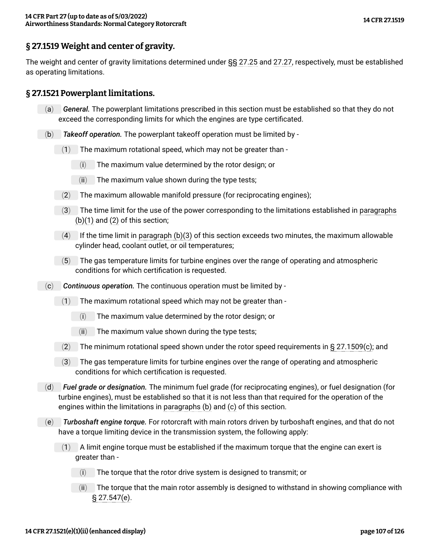# **§ 27.1519 Weight and center of gravity.**

The weight and center of gravity limitations determined under [§§ 27.25](#page-20-0) and [27.27,](#page-10-0) respectively, must be established as operating limitations.

### **§ 27.1521 Powerplant limitations.**

- (a) *General.* The powerplant limitations prescribed in this section must be established so that they do not exceed the corresponding limits for which the engines are type certificated.
- <span id="page-106-4"></span><span id="page-106-3"></span><span id="page-106-2"></span><span id="page-106-1"></span>(b) *Takeoff operation.* The powerplant takeoff operation must be limited by -
	- $(1)$  The maximum rotational speed, which may not be greater than -
		- (i) The maximum value determined by the rotor design; or
		- (ii) The maximum value shown during the type tests;
	- $(2)$  The maximum allowable manifold pressure (for reciprocating engines);
	- (3) The time limit for the use of the power corresponding to the limitations established in [paragraphs](#page-106-1) [\(b\)\(1\)](#page-106-1) and [\(2\)](#page-106-2) of this section;
	- $(4)$  If the time limit in [paragraph \(b\)\(3\)](#page-106-3) of this section exceeds two minutes, the maximum allowable cylinder head, coolant outlet, or oil temperatures;
	- (5) The gas temperature limits for turbine engines over the range of operating and atmospheric conditions for which certification is requested.
- <span id="page-106-5"></span>(c) *Continuous operation.* The continuous operation must be limited by -
	- $(1)$  The maximum rotational speed which may not be greater than -
		- (i) The maximum value determined by the rotor design; or
		- (ii) The maximum value shown during the type tests;
	- (2) The minimum rotational speed shown under the rotor speed requirements in  $\S 27.1509(c)$ ; and
	- (3) The gas temperature limits for turbine engines over the range of operating and atmospheric conditions for which certification is requested.
- (d) *Fuel grade or designation.* The minimum fuel grade (for reciprocating engines), or fuel designation (for turbine engines), must be established so that it is not less than that required for the operation of the engines within the limitations in [paragraphs \(b\)](#page-106-4) and [\(c\)](#page-106-5) of this section.
- <span id="page-106-8"></span><span id="page-106-7"></span><span id="page-106-6"></span><span id="page-106-0"></span>(e) *Turboshaft engine torque.* For rotorcraft with main rotors driven by turboshaft engines, and that do not have a torque limiting device in the transmission system, the following apply:
	- $(1)$  A limit engine torque must be established if the maximum torque that the engine can exert is greater than -
		- (i) The torque that the rotor drive system is designed to transmit; or
			- (ii) The torque that the main rotor assembly is designed to withstand in showing compliance with [§ 27.547\(e\)](#page-32-0).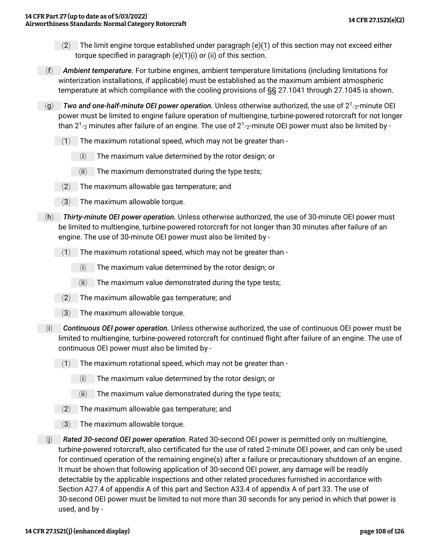- (2) The limit engine torque established under [paragraph \(e\)\(1\)](#page-106-6) of this section may not exceed either torque specified in [paragraph \(e\)\(1\)\(i\)](#page-106-7) or [\(ii\)](#page-106-8) of this section.
- (f) *Ambient temperature.* For turbine engines, ambient temperature limitations (including limitations for winterization installations, if applicable) must be established as the maximum ambient atmospheric temperature at which compliance with the cooling provisions of [§§ 27.1041](#page-77-3) through [27.1045](#page-78-6) is shown.
	- (g) Two and one-half-minute OEI power operation. Unless otherwise authorized, the use of 2<sup>1</sup>/<sub>2</sub>-minute OEI power must be limited to engine failure operation of multiengine, turbine-powered rotorcraft for not longer than 2 $^1\prime$ 2 minutes after failure of an engine. The use of 2 $^1\prime$ 2-minute OEI power must also be limited by -
		- $(1)$  The maximum rotational speed, which may not be greater than -
			- (i) The maximum value determined by the rotor design; or
			- $(i)$  The maximum demonstrated during the type tests;
		- (2) The maximum allowable gas temperature; and
		- (3) The maximum allowable torque.
- (h) *Thirty-minute OEI power operation.* Unless otherwise authorized, the use of 30-minute OEI power must be limited to multiengine, turbine-powered rotorcraft for not longer than 30 minutes after failure of an engine. The use of 30-minute OEI power must also be limited by -
	- $(1)$  The maximum rotational speed, which may not be greater than -
		- (i) The maximum value determined by the rotor design; or
		- (ii) The maximum value demonstrated during the type tests;
	- (2) The maximum allowable gas temperature; and
	- (3) The maximum allowable torque.
	- (i) *Continuous OEI power operation.* Unless otherwise authorized, the use of continuous OEI power must be limited to multiengine, turbine-powered rotorcraft for continued flight after failure of an engine. The use of continuous OEI power must also be limited by -
		- $(1)$  The maximum rotational speed, which may not be greater than -
			- (i) The maximum value determined by the rotor design; or
			- (ii) The maximum value demonstrated during the type tests;
		- (2) The maximum allowable gas temperature; and
		- (3) The maximum allowable torque.
- (j) *Rated 30-second OEI power operation.* Rated 30-second OEI power is permitted only on multiengine, turbine-powered rotorcraft, also certificated for the use of rated 2-minute OEI power, and can only be used for continued operation of the remaining engine(s) after a failure or precautionary shutdown of an engine. It must be shown that following application of 30-second OEI power, any damage will be readily detectable by the applicable inspections and other related procedures furnished in accordance with Section A27.4 of [appendix A of this part](#page-114-1) and Section A33.4 of appendix A of part 33. The use of 30-second OEI power must be limited to not more than 30 seconds for any period in which that power is used, and by -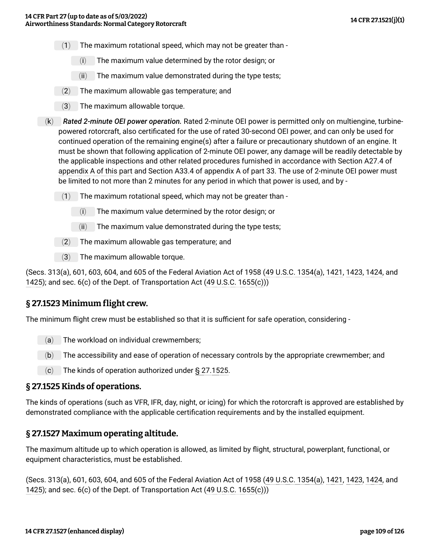- (1) The maximum rotational speed, which may not be greater than
	- (i) The maximum value determined by the rotor design; or
	- (ii) The maximum value demonstrated during the type tests;
- (2) The maximum allowable gas temperature; and
- (3) The maximum allowable torque.
- (k) *Rated 2-minute OEI power operation.* Rated 2-minute OEI power is permitted only on multiengine, turbinepowered rotorcraft, also certificated for the use of rated 30-second OEI power, and can only be used for continued operation of the remaining engine(s) after a failure or precautionary shutdown of an engine. It must be shown that following application of 2-minute OEI power, any damage will be readily detectable by the applicable inspections and other related procedures furnished in accordance with Section A27.4 of [appendix A of this part](#page-114-0) and Section A33.4 of appendix A of part 33. The use of 2-minute OEI power must be limited to not more than 2 minutes for any period in which that power is used, and by -
	- $(1)$  The maximum rotational speed, which may not be greater than -
		- (i) The maximum value determined by the rotor design; or
		- (ii) The maximum value demonstrated during the type tests;
	- (2) The maximum allowable gas temperature; and
	- (3) The maximum allowable torque.

(Secs. 313(a), 601, 603, 604, and 605 of the Federal Aviation Act of 1958 [\(49 U.S.C. 1354\(a\),](https://www.govinfo.gov/link/uscode/49/1354) [1421](https://www.govinfo.gov/link/uscode/49/1421), [1423](https://www.govinfo.gov/link/uscode/49/1423), [1424,](https://www.govinfo.gov/link/uscode/49/1424) and [1425](https://www.govinfo.gov/link/uscode/49/1425)); and sec. 6(c) of the Dept. of Transportation Act [\(49 U.S.C. 1655\(c\)\)](https://www.govinfo.gov/link/uscode/49/1655))

# <span id="page-108-1"></span>**§ 27.1523 Minimum flight crew.**

The minimum flight crew must be established so that it is sufficient for safe operation, considering -

- (a) The workload on individual crewmembers;
- (b) The accessibility and ease of operation of necessary controls by the appropriate crewmember; and
- $(c)$  The kinds of operation authorized under [§ 27.1525](#page-108-0).

## <span id="page-108-0"></span>**§ 27.1525 Kinds of operations.**

The kinds of operations (such as VFR, IFR, day, night, or icing) for which the rotorcraft is approved are established by demonstrated compliance with the applicable certification requirements and by the installed equipment.

# **§ 27.1527 Maximum operating altitude.**

The maximum altitude up to which operation is allowed, as limited by flight, structural, powerplant, functional, or equipment characteristics, must be established.

<span id="page-108-2"></span>(Secs. 313(a), 601, 603, 604, and 605 of the Federal Aviation Act of 1958 [\(49 U.S.C. 1354\(a\),](https://www.govinfo.gov/link/uscode/49/1354) [1421](https://www.govinfo.gov/link/uscode/49/1421), [1423](https://www.govinfo.gov/link/uscode/49/1423), [1424,](https://www.govinfo.gov/link/uscode/49/1424) and [1425](https://www.govinfo.gov/link/uscode/49/1425)); and sec. 6(c) of the Dept. of Transportation Act [\(49 U.S.C. 1655\(c\)\)](https://www.govinfo.gov/link/uscode/49/1655))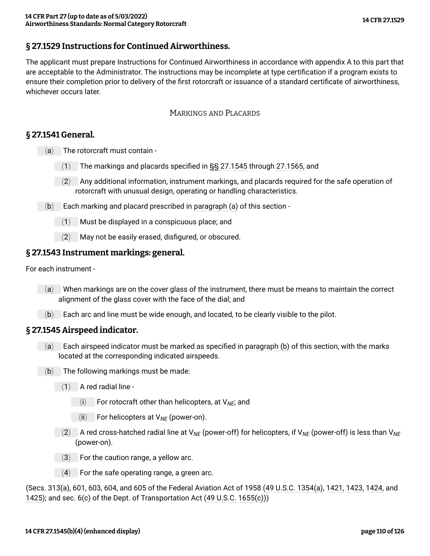# **§ 27.1529 Instructions for Continued Airworthiness.**

The applicant must prepare Instructions for Continued Airworthiness in accordance with appendix A to this part that are acceptable to the Administrator. The instructions may be incomplete at type certification if a program exists to ensure their completion prior to delivery of the first rotorcraft or issuance of a standard certificate of airworthiness, whichever occurs later.

## MARKINGS AND PLACARDS

# <span id="page-109-1"></span>**§ 27.1541 General.**

- (a) The rotorcraft must contain
	- (1) The markings and placards specified in [§§ 27.1545](#page-109-0) through [27.1565,](#page-112-0) and
	- (2) Any additional information, instrument markings, and placards required for the safe operation of rotorcraft with unusual design, operating or handling characteristics.
- (b) Each marking and placard prescribed in [paragraph \(a\)](#page-109-1) of this section
	- (1) Must be displayed in a conspicuous place; and
	- $(2)$  May not be easily erased, disfigured, or obscured.

## **§ 27.1543 Instrument markings: general.**

For each instrument -

- (a) When markings are on the cover glass of the instrument, there must be means to maintain the correct alignment of the glass cover with the face of the dial; and
- (b) Each arc and line must be wide enough, and located, to be clearly visible to the pilot.

## <span id="page-109-0"></span>**§ 27.1545 Airspeed indicator.**

- (a) Each airspeed indicator must be marked as specified in [paragraph \(b\)](#page-109-2) of this section, with the marks located at the corresponding indicated airspeeds.
- <span id="page-109-2"></span>(b) The following markings must be made:
	- $(1)$  A red radial line -
		- $(i)$  For rotocraft other than helicopters, at  $V_{NE}$ ; and
		- (ii) For helicopters at V<sub>NE</sub> (power-on).
	- (2) A red cross-hatched radial line at  $V_{NE}$  (power-off) for helicopters, if  $V_{NE}$  (power-off) is less than  $V_{NE}$ (power-on).
	- (3) For the caution range, a yellow arc.
	- (4) For the safe operating range, a green arc.

(Secs. 313(a), 601, 603, 604, and 605 of the Federal Aviation Act of 1958 [\(49 U.S.C. 1354\(a\),](https://www.govinfo.gov/link/uscode/49/1354) [1421](https://www.govinfo.gov/link/uscode/49/1421), [1423](https://www.govinfo.gov/link/uscode/49/1423), [1424,](https://www.govinfo.gov/link/uscode/49/1424) and [1425](https://www.govinfo.gov/link/uscode/49/1425)); and sec. 6(c) of the Dept. of Transportation Act [\(49 U.S.C. 1655\(c\)\)](https://www.govinfo.gov/link/uscode/49/1655))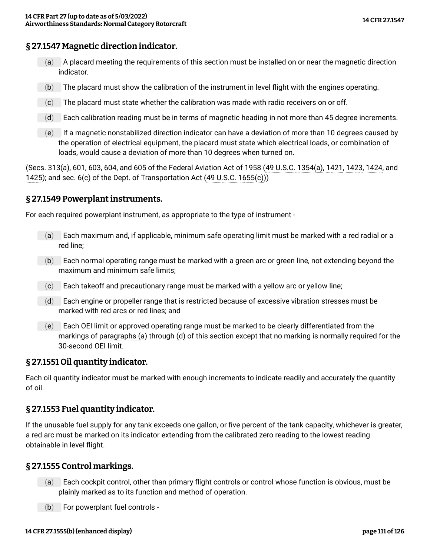# **§ 27.1547 Magnetic direction indicator.**

- (a) A placard meeting the requirements of this section must be installed on or near the magnetic direction indicator.
- (b) The placard must show the calibration of the instrument in level flight with the engines operating.
- (c) The placard must state whether the calibration was made with radio receivers on or off.
- (d) Each calibration reading must be in terms of magnetic heading in not more than 45 degree increments.
- (e) If a magnetic nonstabilized direction indicator can have a deviation of more than 10 degrees caused by the operation of electrical equipment, the placard must state which electrical loads, or combination of loads, would cause a deviation of more than 10 degrees when turned on.

(Secs. 313(a), 601, 603, 604, and 605 of the Federal Aviation Act of 1958 [\(49 U.S.C. 1354\(a\),](https://www.govinfo.gov/link/uscode/49/1354) [1421](https://www.govinfo.gov/link/uscode/49/1421), [1423](https://www.govinfo.gov/link/uscode/49/1423), [1424,](https://www.govinfo.gov/link/uscode/49/1424) and [1425](https://www.govinfo.gov/link/uscode/49/1425)); and sec. 6(c) of the Dept. of Transportation Act [\(49 U.S.C. 1655\(c\)\)](https://www.govinfo.gov/link/uscode/49/1655))

## <span id="page-110-2"></span>**§ 27.1549 Powerplant instruments.**

<span id="page-110-0"></span>For each required powerplant instrument, as appropriate to the type of instrument -

- (a) Each maximum and, if applicable, minimum safe operating limit must be marked with a red radial or a red line;
- (b) Each normal operating range must be marked with a green arc or green line, not extending beyond the maximum and minimum safe limits;
- (c) Each takeoff and precautionary range must be marked with a yellow arc or yellow line;
- <span id="page-110-1"></span>(d) Each engine or propeller range that is restricted because of excessive vibration stresses must be marked with red arcs or red lines; and
- (e) Each OEI limit or approved operating range must be marked to be clearly differentiated from the markings of [paragraphs \(a\)](#page-110-0) through [\(d\)](#page-110-1) of this section except that no marking is normally required for the 30-second OEI limit.

## **§ 27.1551 Oil quantity indicator.**

Each oil quantity indicator must be marked with enough increments to indicate readily and accurately the quantity of oil.

# <span id="page-110-3"></span>**§ 27.1553 Fuel quantity indicator.**

If the unusable fuel supply for any tank exceeds one gallon, or five percent of the tank capacity, whichever is greater, a red arc must be marked on its indicator extending from the calibrated zero reading to the lowest reading obtainable in level flight.

## **§ 27.1555 Control markings.**

- (a) Each cockpit control, other than primary flight controls or control whose function is obvious, must be plainly marked as to its function and method of operation.
- (b) For powerplant fuel controls -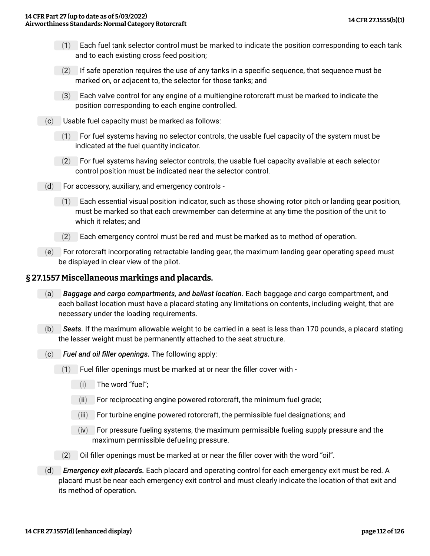- $(1)$  Each fuel tank selector control must be marked to indicate the position corresponding to each tank and to each existing cross feed position;
- $(2)$  If safe operation requires the use of any tanks in a specific sequence, that sequence must be marked on, or adjacent to, the selector for those tanks; and
- (3) Each valve control for any engine of a multiengine rotorcraft must be marked to indicate the position corresponding to each engine controlled.
- $(c)$  Usable fuel capacity must be marked as follows:
	- $(1)$  For fuel systems having no selector controls, the usable fuel capacity of the system must be indicated at the fuel quantity indicator.
	- (2) For fuel systems having selector controls, the usable fuel capacity available at each selector control position must be indicated near the selector control.
- (d) For accessory, auxiliary, and emergency controls
	- $(1)$  Each essential visual position indicator, such as those showing rotor pitch or landing gear position, must be marked so that each crewmember can determine at any time the position of the unit to which it relates; and
	- (2) Each emergency control must be red and must be marked as to method of operation.
- (e) For rotorcraft incorporating retractable landing gear, the maximum landing gear operating speed must be displayed in clear view of the pilot.

# **§ 27.1557 Miscellaneous markings and placards.**

- (a) *Baggage and cargo compartments, and ballast location.* Each baggage and cargo compartment, and each ballast location must have a placard stating any limitations on contents, including weight, that are necessary under the loading requirements.
- (b) *Seats.* If the maximum allowable weight to be carried in a seat is less than 170 pounds, a placard stating the lesser weight must be permanently attached to the seat structure.
- (c) *Fuel and oil filler openings.* The following apply:
	- (1) Fuel filler openings must be marked at or near the filler cover with
		- (i) The word "fuel";
		- (ii) For reciprocating engine powered rotorcraft, the minimum fuel grade;
		- (iii) For turbine engine powered rotorcraft, the permissible fuel designations; and
		- (iv) For pressure fueling systems, the maximum permissible fueling supply pressure and the maximum permissible defueling pressure.
	- (2) Oil filler openings must be marked at or near the filler cover with the word "oil".
- (d) *Emergency exit placards.* Each placard and operating control for each emergency exit must be red. A placard must be near each emergency exit control and must clearly indicate the location of that exit and its method of operation.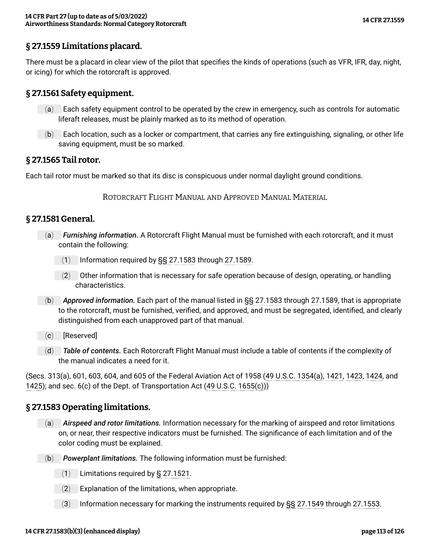# **§ 27.1559 Limitations placard.**

There must be a placard in clear view of the pilot that specifies the kinds of operations (such as VFR, IFR, day, night, or icing) for which the rotorcraft is approved.

### **§ 27.1561 Safety equipment.**

- (a) Each safety equipment control to be operated by the crew in emergency, such as controls for automatic liferaft releases, must be plainly marked as to its method of operation.
- (b) Each location, such as a locker or compartment, that carries any fire extinguishing, signaling, or other life saving equipment, must be so marked.

#### <span id="page-112-0"></span>**§ 27.1565 Tail rotor.**

Each tail rotor must be marked so that its disc is conspicuous under normal daylight ground conditions.

ROTORCRAFT FLIGHT MANUAL AND APPROVED MANUAL MATERIAL

### **§ 27.1581 General.**

- (a) *Furnishing information.* A Rotorcraft Flight Manual must be furnished with each rotorcraft, and it must contain the following:
	- $(1)$  Information required by  $\S$ § 27.1583 through [27.1589](#page-114-1).
	- $(2)$  Other information that is necessary for safe operation because of design, operating, or handling characteristics.
- (b) *Approved information.* Each part of the manual listed in [§§ 27.1583](#page-112-1) through [27.1589](#page-114-1), that is appropriate to the rotorcraft, must be furnished, verified, and approved, and must be segregated, identified, and clearly distinguished from each unapproved part of that manual.
- (c) [Reserved]
- (d) *Table of contents.* Each Rotorcraft Flight Manual must include a table of contents if the complexity of the manual indicates a need for it.

(Secs. 313(a), 601, 603, 604, and 605 of the Federal Aviation Act of 1958 [\(49 U.S.C. 1354\(a\),](https://www.govinfo.gov/link/uscode/49/1354) [1421](https://www.govinfo.gov/link/uscode/49/1421), [1423](https://www.govinfo.gov/link/uscode/49/1423), [1424,](https://www.govinfo.gov/link/uscode/49/1424) and [1425](https://www.govinfo.gov/link/uscode/49/1425)); and sec. 6(c) of the Dept. of Transportation Act [\(49 U.S.C. 1655\(c\)\)](https://www.govinfo.gov/link/uscode/49/1655))

#### <span id="page-112-1"></span>**§ 27.1583 Operating limitations.**

- (a) *Airspeed and rotor limitations.* Information necessary for the marking of airspeed and rotor limitations on, or near, their respective indicators must be furnished. The significance of each limitation and of the color coding must be explained.
- (b) *Powerplant limitations.* The following information must be furnished:
	- $(1)$  Limitations required by [§ 27.1521](#page-106-0).
	- $(2)$  Explanation of the limitations, when appropriate.
	- (3) Information necessary for marking the instruments required by [§§ 27.1549](#page-110-2) through [27.1553.](#page-110-3)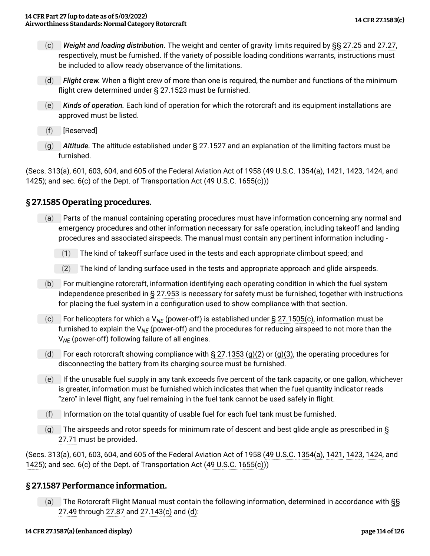- (c) *Weight and loading distribution.* The weight and center of gravity limits required by [§§ 27.25](#page-20-0) and [27.27,](#page-10-0) respectively, must be furnished. If the variety of possible loading conditions warrants, instructions must be included to allow ready observance of the limitations.
- (d) *Flight crew.* When a flight crew of more than one is required, the number and functions of the minimum flight crew determined under [§ 27.1523](#page-108-1) must be furnished.
- (e) *Kinds of operation.* Each kind of operation for which the rotorcraft and its equipment installations are approved must be listed.
- (f) [Reserved]
- (g) *Altitude.* The altitude established under § 27.1527 and an explanation of the limiting factors must be furnished.

(Secs. 313(a), 601, 603, 604, and 605 of the Federal Aviation Act of 1958 [\(49 U.S.C. 1354\(a\),](https://www.govinfo.gov/link/uscode/49/1354) [1421](https://www.govinfo.gov/link/uscode/49/1421), [1423](https://www.govinfo.gov/link/uscode/49/1423), [1424,](https://www.govinfo.gov/link/uscode/49/1424) and [1425](https://www.govinfo.gov/link/uscode/49/1425)); and sec. 6(c) of the Dept. of Transportation Act [\(49 U.S.C. 1655\(c\)\)](https://www.govinfo.gov/link/uscode/49/1655))

# **§ 27.1585 Operating procedures.**

- (a) Parts of the manual containing operating procedures must have information concerning any normal and emergency procedures and other information necessary for safe operation, including takeoff and landing procedures and associated airspeeds. The manual must contain any pertinent information including -
	- (1) The kind of takeoff surface used in the tests and each appropriate climbout speed; and
	- (2) The kind of landing surface used in the tests and appropriate approach and glide airspeeds.
- (b) For multiengine rotorcraft, information identifying each operating condition in which the fuel system independence prescribed in [§ 27.953](#page-69-0) is necessary for safety must be furnished, together with instructions for placing the fuel system in a configuration used to show compliance with that section.
- (c) For helicopters for which a  $V_{NE}$  (power-off) is established under [§ 27.1505\(c\),](#page-105-0) information must be furnished to explain the V<sub>NE</sub> (power-off) and the procedures for reducing airspeed to not more than the V*NE* (power-off) following failure of all engines.
- (d) For each rotorcraft showing compliance with [§ 27.1353 \(g\)\(2\)](#page-94-0) or [\(g\)\(3\)](#page-94-1), the operating procedures for disconnecting the battery from its charging source must be furnished.
- (e) If the unusable fuel supply in any tank exceeds five percent of the tank capacity, or one gallon, whichever is greater, information must be furnished which indicates that when the fuel quantity indicator reads "zero" in level flight, any fuel remaining in the fuel tank cannot be used safely in flight.
- (f) Information on the total quantity of usable fuel for each fuel tank must be furnished.
- $(g)$  The airspeeds and rotor speeds for minimum rate of descent and best glide angle as prescribed in [§](#page-14-0) [27.71](#page-14-0) must be provided.

(Secs. 313(a), 601, 603, 604, and 605 of the Federal Aviation Act of 1958 [\(49 U.S.C. 1354\(a\),](https://www.govinfo.gov/link/uscode/49/1354) [1421](https://www.govinfo.gov/link/uscode/49/1421), [1423](https://www.govinfo.gov/link/uscode/49/1423), [1424,](https://www.govinfo.gov/link/uscode/49/1424) and [1425](https://www.govinfo.gov/link/uscode/49/1425)); and sec. 6(c) of the Dept. of Transportation Act [\(49 U.S.C. 1655\(c\)\)](https://www.govinfo.gov/link/uscode/49/1655))

# **§ 27.1587 Performance information.**

(a) The Rotorcraft Flight Manual must contain the following information, determined in accordance with [§§](#page-28-0) [27.49](#page-28-0) through [27.87](#page-61-0) and [27.143\(c\)](#page-17-0) and [\(d\):](#page-17-1)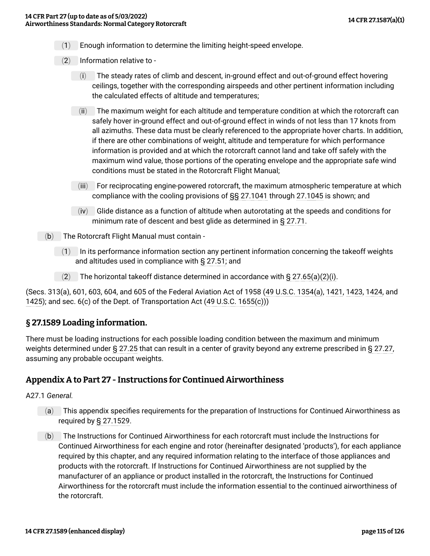- (1) Enough information to determine the limiting height-speed envelope.
- (2) Information relative to
	- (i) The steady rates of climb and descent, in-ground effect and out-of-ground effect hovering ceilings, together with the corresponding airspeeds and other pertinent information including the calculated effects of altitude and temperatures;
		- (ii) The maximum weight for each altitude and temperature condition at which the rotorcraft can safely hover in-ground effect and out-of-ground effect in winds of not less than 17 knots from all azimuths. These data must be clearly referenced to the appropriate hover charts. In addition, if there are other combinations of weight, altitude and temperature for which performance information is provided and at which the rotorcraft cannot land and take off safely with the maximum wind value, those portions of the operating envelope and the appropriate safe wind conditions must be stated in the Rotorcraft Flight Manual;
	- (iii) For reciprocating engine-powered rotorcraft, the maximum atmospheric temperature at which compliance with the cooling provisions of [§§ 27.1041](#page-77-0) through [27.1045](#page-78-0) is shown; and
	- (iv) Glide distance as a function of altitude when autorotating at the speeds and conditions for minimum rate of descent and best glide as determined in [§ 27.71.](#page-14-0)
- (b) The Rotorcraft Flight Manual must contain
	- $(1)$  In its performance information section any pertinent information concerning the takeoff weights and altitudes used in compliance with [§ 27.51;](#page-13-0) and
	- (2) The horizontal takeoff distance determined in accordance with  $\S 27.65(a)(2)(i)$ .

(Secs. 313(a), 601, 603, 604, and 605 of the Federal Aviation Act of 1958 [\(49 U.S.C. 1354\(a\),](https://www.govinfo.gov/link/uscode/49/1354) [1421](https://www.govinfo.gov/link/uscode/49/1421), [1423](https://www.govinfo.gov/link/uscode/49/1423), [1424,](https://www.govinfo.gov/link/uscode/49/1424) and [1425](https://www.govinfo.gov/link/uscode/49/1425)); and sec. 6(c) of the Dept. of Transportation Act [\(49 U.S.C. 1655\(c\)\)](https://www.govinfo.gov/link/uscode/49/1655))

## <span id="page-114-1"></span>**§ 27.1589 Loading information.**

There must be loading instructions for each possible loading condition between the maximum and minimum weights determined under [§ 27.25](#page-20-0) that can result in a center of gravity beyond any extreme prescribed in [§ 27.27,](#page-10-0) assuming any probable occupant weights.

# <span id="page-114-0"></span>**Appendix A to Part 27 - Instructions for Continued Airworthiness**

A27.1 *General.*

- (a) This appendix specifies requirements for the preparation of Instructions for Continued Airworthiness as required by [§ 27.1529.](#page-108-2)
- (b) The Instructions for Continued Airworthiness for each rotorcraft must include the Instructions for Continued Airworthiness for each engine and rotor (hereinafter designated 'products'), for each appliance required by this chapter, and any required information relating to the interface of those appliances and products with the rotorcraft. If Instructions for Continued Airworthiness are not supplied by the manufacturer of an appliance or product installed in the rotorcraft, the Instructions for Continued Airworthiness for the rotorcraft must include the information essential to the continued airworthiness of the rotorcraft.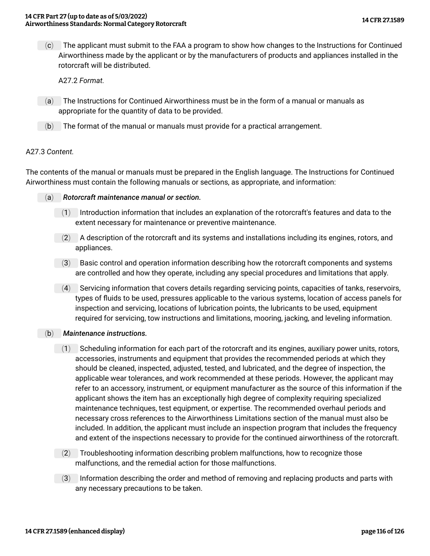(c) The applicant must submit to the FAA a program to show how changes to the Instructions for Continued Airworthiness made by the applicant or by the manufacturers of products and appliances installed in the rotorcraft will be distributed.

A27.2 *Format.*

- (a) The Instructions for Continued Airworthiness must be in the form of a manual or manuals as appropriate for the quantity of data to be provided.
- (b) The format of the manual or manuals must provide for a practical arrangement.

#### A27.3 *Content.*

The contents of the manual or manuals must be prepared in the English language. The Instructions for Continued Airworthiness must contain the following manuals or sections, as appropriate, and information:

- (a) *Rotorcraft maintenance manual or section.*
	- $(1)$  Introduction information that includes an explanation of the rotorcraft's features and data to the extent necessary for maintenance or preventive maintenance.
	- $\sim$  (2)  $\sim$  A description of the rotorcraft and its systems and installations including its engines, rotors, and appliances.
	- (3) Basic control and operation information describing how the rotorcraft components and systems are controlled and how they operate, including any special procedures and limitations that apply.
	- (4) Servicing information that covers details regarding servicing points, capacities of tanks, reservoirs, types of fluids to be used, pressures applicable to the various systems, location of access panels for inspection and servicing, locations of lubrication points, the lubricants to be used, equipment required for servicing, tow instructions and limitations, mooring, jacking, and leveling information.
	- (b) *Maintenance instructions.*
		- $(1)$  Scheduling information for each part of the rotorcraft and its engines, auxiliary power units, rotors, accessories, instruments and equipment that provides the recommended periods at which they should be cleaned, inspected, adjusted, tested, and lubricated, and the degree of inspection, the applicable wear tolerances, and work recommended at these periods. However, the applicant may refer to an accessory, instrument, or equipment manufacturer as the source of this information if the applicant shows the item has an exceptionally high degree of complexity requiring specialized maintenance techniques, test equipment, or expertise. The recommended overhaul periods and necessary cross references to the Airworthiness Limitations section of the manual must also be included. In addition, the applicant must include an inspection program that includes the frequency and extent of the inspections necessary to provide for the continued airworthiness of the rotorcraft.
		- (2) Troubleshooting information describing problem malfunctions, how to recognize those malfunctions, and the remedial action for those malfunctions.
		- (3) Information describing the order and method of removing and replacing products and parts with any necessary precautions to be taken.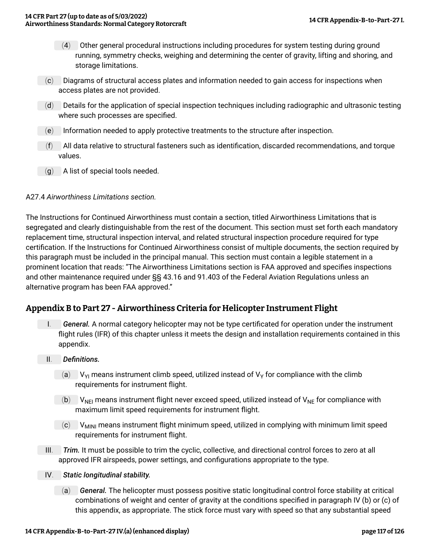- (4) Other general procedural instructions including procedures for system testing during ground running, symmetry checks, weighing and determining the center of gravity, lifting and shoring, and storage limitations.
- (c) Diagrams of structural access plates and information needed to gain access for inspections when access plates are not provided.
- (d) Details for the application of special inspection techniques including radiographic and ultrasonic testing where such processes are specified.
- (e) Information needed to apply protective treatments to the structure after inspection.
- (f) All data relative to structural fasteners such as identification, discarded recommendations, and torque values.
- $(q)$  A list of special tools needed.

## A27.4 *Airworthiness Limitations section.*

The Instructions for Continued Airworthiness must contain a section, titled Airworthiness Limitations that is segregated and clearly distinguishable from the rest of the document. This section must set forth each mandatory replacement time, structural inspection interval, and related structural inspection procedure required for type certification. If the Instructions for Continued Airworthiness consist of multiple documents, the section required by this paragraph must be included in the principal manual. This section must contain a legible statement in a prominent location that reads: "The Airworthiness Limitations section is FAA approved and specifies inspections and other maintenance required under §§ 43.16 and 91.403 of the Federal Aviation Regulations unless an alternative program has been FAA approved."

# **Appendix B to Part 27 - Airworthiness Criteria for Helicopter Instrument Flight**

- I. *General.* A normal category helicopter may not be type certificated for operation under the instrument flight rules (IFR) of this chapter unless it meets the design and installation requirements contained in this appendix.
- II. *Definitions.*
	- (a)  $V_{\gamma}$  means instrument climb speed, utilized instead of  $V_{\gamma}$  for compliance with the climb requirements for instrument flight.
	- $(b)$  V<sub>NEI</sub> means instrument flight never exceed speed, utilized instead of V<sub>NE</sub> for compliance with maximum limit speed requirements for instrument flight.
	- $(c)$  V<sub>MINI</sub> means instrument flight minimum speed, utilized in complying with minimum limit speed requirements for instrument flight.
- III. *Trim.* It must be possible to trim the cyclic, collective, and directional control forces to zero at all approved IFR airspeeds, power settings, and configurations appropriate to the type.
- IV. *Static longitudinal stability.*
	- (a) *General.* The helicopter must possess positive static longitudinal control force stability at critical combinations of weight and center of gravity at the conditions specified in paragraph IV (b) or (c) of this appendix, as appropriate. The stick force must vary with speed so that any substantial speed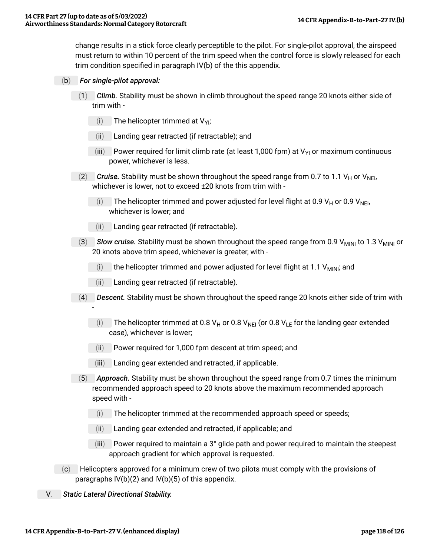change results in a stick force clearly perceptible to the pilot. For single-pilot approval, the airspeed must return to within 10 percent of the trim speed when the control force is slowly released for each trim condition specified in paragraph IV(b) of the this appendix.

- (b) *For single-pilot approval:*
	- (1) *Climb.* Stability must be shown in climb throughout the speed range 20 knots either side of trim with -
		- (i) The helicopter trimmed at  $V_{Y1}$ ;
		- (ii) Landing gear retracted (if retractable); and
		- (iii) Power required for limit climb rate (at least 1,000 fpm) at  $V_{\text{YI}}$  or maximum continuous power, whichever is less.
	- $\sim$  (2) *Cruise*. Stability must be shown throughout the speed range from 0.7 to 1.1 V<sub>H</sub> or V<sub>NEI</sub>, whichever is lower, not to exceed ±20 knots from trim with -
		- (i) The helicopter trimmed and power adjusted for level flight at 0.9  $V_H$  or 0.9  $V_{NFL}$ whichever is lower; and
		- (ii) Landing gear retracted (if retractable).
	- (3) *Slow cruise*. Stability must be shown throughout the speed range from 0.9 V<sub>MINI</sub> to 1.3 V<sub>MINI</sub> or 20 knots above trim speed, whichever is greater, with -
		- (i) the helicopter trimmed and power adjusted for level flight at 1.1  $V_{MINI}$ ; and
		- (ii) Landing gear retracted (if retractable).
	- (4) *Descent.* Stability must be shown throughout the speed range 20 knots either side of trim with
		- (i) The helicopter trimmed at 0.8  $V_H$  or 0.8  $V_{NEI}$  (or 0.8  $V_{LE}$  for the landing gear extended case), whichever is lower;
		- (ii) Power required for 1,000 fpm descent at trim speed; and
		- (iii) Landing gear extended and retracted, if applicable.
	- (5) *Approach.* Stability must be shown throughout the speed range from 0.7 times the minimum recommended approach speed to 20 knots above the maximum recommended approach speed with -
		- (i) The helicopter trimmed at the recommended approach speed or speeds;
		- (ii) Landing gear extended and retracted, if applicable; and
		- (iii) Power required to maintain a 3° glide path and power required to maintain the steepest approach gradient for which approval is requested.
- (c) Helicopters approved for a minimum crew of two pilots must comply with the provisions of paragraphs  $IV(b)(2)$  and  $IV(b)(5)$  of this appendix.
- V. *Static Lateral Directional Stability.*

-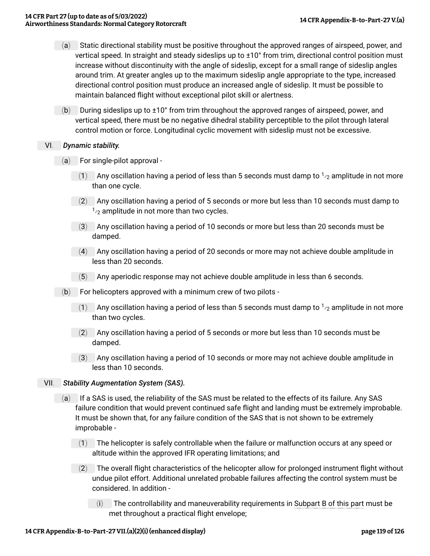- (a) Static directional stability must be positive throughout the approved ranges of airspeed, power, and vertical speed. In straight and steady sideslips up to ±10° from trim, directional control position must increase without discontinuity with the angle of sideslip, except for a small range of sideslip angles around trim. At greater angles up to the maximum sideslip angle appropriate to the type, increased directional control position must produce an increased angle of sideslip. It must be possible to maintain balanced flight without exceptional pilot skill or alertness.
- (b) During sideslips up to  $\pm 10^{\circ}$  from trim throughout the approved ranges of airspeed, power, and vertical speed, there must be no negative dihedral stability perceptible to the pilot through lateral control motion or force. Longitudinal cyclic movement with sideslip must not be excessive.

### VI. *Dynamic stability.*

- (a) For single-pilot approval
	- (1) Any oscillation having a period of less than 5 seconds must damp to  $1/2$  amplitude in not more than one cycle.
	- (2) Any oscillation having a period of 5 seconds or more but less than 10 seconds must damp to  $1/2$  amplitude in not more than two cycles.
	- (3) Any oscillation having a period of 10 seconds or more but less than 20 seconds must be damped.
	- (4) Any oscillation having a period of 20 seconds or more may not achieve double amplitude in less than 20 seconds.
	- (5) Any aperiodic response may not achieve double amplitude in less than 6 seconds.
- (b) For helicopters approved with a minimum crew of two pilots
	- (1) Any oscillation having a period of less than 5 seconds must damp to  $1/2$  amplitude in not more than two cycles.
	- (2) Any oscillation having a period of 5 seconds or more but less than 10 seconds must be damped.
	- (3) Any oscillation having a period of 10 seconds or more may not achieve double amplitude in less than 10 seconds.

#### VII. *Stability Augmentation System (SAS).*

- (a) If a SAS is used, the reliability of the SAS must be related to the effects of its failure. Any SAS failure condition that would prevent continued safe flight and landing must be extremely improbable. It must be shown that, for any failure condition of the SAS that is not shown to be extremely improbable -
	- $(1)$  The helicopter is safely controllable when the failure or malfunction occurs at any speed or altitude within the approved IFR operating limitations; and
	- (2) The overall flight characteristics of the helicopter allow for prolonged instrument flight without undue pilot effort. Additional unrelated probable failures affecting the control system must be considered. In addition -
		- (i) The controllability and maneuverability requirements in [Subpart B of this part](#page-9-0) must be met throughout a practical flight envelope;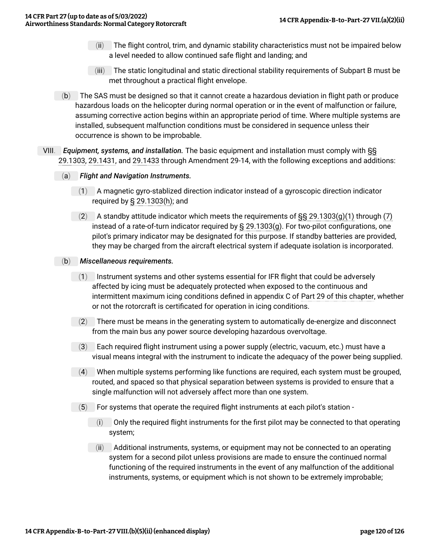- (ii) The flight control, trim, and dynamic stability characteristics must not be impaired below a level needed to allow continued safe flight and landing; and
- (iii) The static longitudinal and static directional stability requirements of Subpart B must be met throughout a practical flight envelope.
- (b) The SAS must be designed so that it cannot create a hazardous deviation in flight path or produce hazardous loads on the helicopter during normal operation or in the event of malfunction or failure, assuming corrective action begins within an appropriate period of time. Where multiple systems are installed, subsequent malfunction conditions must be considered in sequence unless their occurrence is shown to be improbable.
- VIII. *Equipment, systems, and installation.* The basic equipment and installation must comply with [§§](https://www.ecfr.gov/current/title-14/section-29.1303/) [29.1303](https://www.ecfr.gov/current/title-14/section-29.1303/), [29.1431](https://www.ecfr.gov/current/title-14/section-29.1431/), and [29.1433](https://www.ecfr.gov/current/title-14/section-29.1433/) through Amendment 29-14, with the following exceptions and additions:
	- (a) *Flight and Navigation Instruments.*
		- (1) A magnetic gyro-stablized direction indicator instead of a gyroscopic direction indicator required by [§ 29.1303\(h\);](https://www.ecfr.gov/current/title-14/section-29.1303/?#p-29.1303(h)) and
		- $(2)$  A standby attitude indicator which meets the requirements of [§§ 29.1303\(g\)\(1\)](https://www.ecfr.gov/current/title-14/section-29.1303/?#p-29.1303(g)(1)) through [\(7\)](https://www.ecfr.gov/current/title-14/section-29.1303/?#p-29.1303(g)(7)) instead of a rate-of-turn indicator required by [§ 29.1303\(g\)](https://www.ecfr.gov/current/title-14/section-29.1303/?#p-29.1303(g)). For two-pilot configurations, one pilot's primary indicator may be designated for this purpose. If standby batteries are provided, they may be charged from the aircraft electrical system if adequate isolation is incorporated.
	- (b) *Miscellaneous requirements.*
		- (1) Instrument systems and other systems essential for IFR flight that could be adversely affected by icing must be adequately protected when exposed to the continuous and intermittent maximum icing conditions defined in appendix C of [Part 29 of this chapter,](https://www.ecfr.gov/current/title-14/part-29/) whether or not the rotorcraft is certificated for operation in icing conditions.
		- $(2)$  There must be means in the generating system to automatically de-energize and disconnect from the main bus any power source developing hazardous overvoltage.
		- (3) Each required flight instrument using a power supply (electric, vacuum, etc.) must have a visual means integral with the instrument to indicate the adequacy of the power being supplied.
		- $(4)$  When multiple systems performing like functions are required, each system must be grouped, routed, and spaced so that physical separation between systems is provided to ensure that a single malfunction will not adversely affect more than one system.
		- $(5)$  For systems that operate the required flight instruments at each pilot's station -
			- (i) Only the required flight instruments for the first pilot may be connected to that operating system;
			- (ii) Additional instruments, systems, or equipment may not be connected to an operating system for a second pilot unless provisions are made to ensure the continued normal functioning of the required instruments in the event of any malfunction of the additional instruments, systems, or equipment which is not shown to be extremely improbable;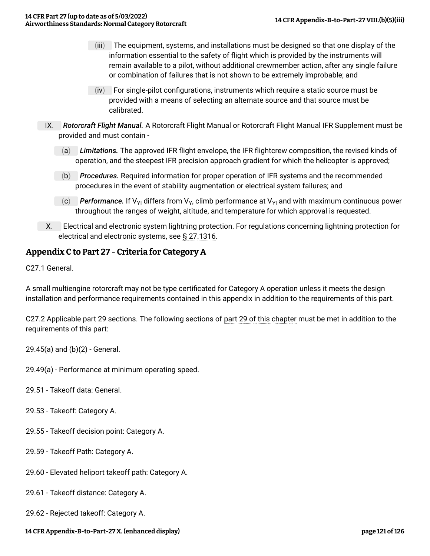- (iii) The equipment, systems, and installations must be designed so that one display of the information essential to the safety of flight which is provided by the instruments will remain available to a pilot, without additional crewmember action, after any single failure or combination of failures that is not shown to be extremely improbable; and
- (iv) For single-pilot configurations, instruments which require a static source must be provided with a means of selecting an alternate source and that source must be calibrated.
- IX. *Rotorcraft Flight Manual.* A Rotorcraft Flight Manual or Rotorcraft Flight Manual IFR Supplement must be provided and must contain -
	- (a) *Limitations.* The approved IFR flight envelope, the IFR flightcrew composition, the revised kinds of operation, and the steepest IFR precision approach gradient for which the helicopter is approved;
	- (b) *Procedures.* Required information for proper operation of IFR systems and the recommended procedures in the event of stability augmentation or electrical system failures; and
	- (c) *Performance.* If  $V_{\gamma}$  differs from  $V_{\gamma}$ , climb performance at  $V_{\gamma}$  and with maximum continuous power throughout the ranges of weight, altitude, and temperature for which approval is requested.
- X. Electrical and electronic system lightning protection. For regulations concerning lightning protection for electrical and electronic systems, see [§ 27.1316](#page-87-0).

# **Appendix C to Part 27 - Criteria for Category A**

C27.1 General.

A small multiengine rotorcraft may not be type certificated for Category A operation unless it meets the design installation and performance requirements contained in this appendix in addition to the requirements of this part.

C27.2 Applicable part 29 sections. The following sections of [part 29 of this chapter](https://www.ecfr.gov/current/title-14/part-29/) must be met in addition to the requirements of this part:

29.45(a) and (b)(2) - General.

29.49(a) - Performance at minimum operating speed.

- 29.51 Takeoff data: General.
- 29.53 Takeoff: Category A.
- 29.55 Takeoff decision point: Category A.
- 29.59 Takeoff Path: Category A.
- 29.60 Elevated heliport takeoff path: Category A.
- 29.61 Takeoff distance: Category A.
- 29.62 Rejected takeoff: Category A.

#### **14 CFR Appendix-B-to-Part-27 X. (enhanced display) page 121 of 126**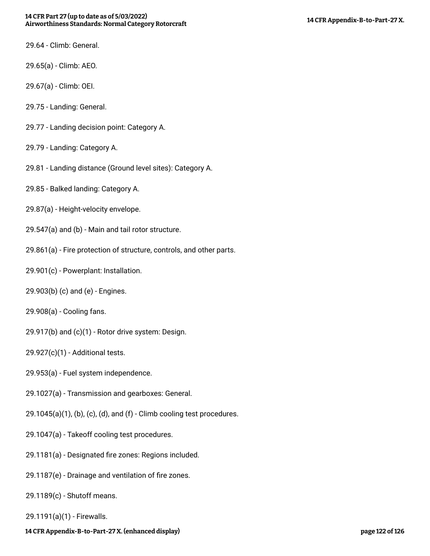- 29.64 Climb: General.
- 29.65(a) Climb: AEO.
- 29.67(a) Climb: OEI.
- 29.75 Landing: General.
- 29.77 Landing decision point: Category A.
- 29.79 Landing: Category A.
- 29.81 Landing distance (Ground level sites): Category A.
- 29.85 Balked landing: Category A.
- 29.87(a) Height-velocity envelope.
- 29.547(a) and (b) Main and tail rotor structure.
- 29.861(a) Fire protection of structure, controls, and other parts.
- 29.901(c) Powerplant: Installation.
- 29.903(b) (c) and (e) Engines.
- 29.908(a) Cooling fans.
- 29.917(b) and (c)(1) Rotor drive system: Design.
- 29.927(c)(1) Additional tests.
- 29.953(a) Fuel system independence.
- 29.1027(a) Transmission and gearboxes: General.
- $29.1045(a)(1)$ , (b), (c), (d), and (f) Climb cooling test procedures.
- 29.1047(a) Takeoff cooling test procedures.
- 29.1181(a) Designated fire zones: Regions included.
- 29.1187(e) Drainage and ventilation of fire zones.
- 29.1189(c) Shutoff means.
- 29.1191(a)(1) Firewalls.
- **14 CFR Appendix-B-to-Part-27 X. (enhanced display) page 122 of 126**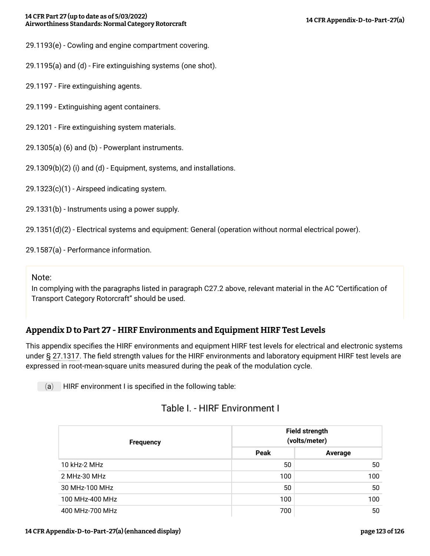29.1193(e) - Cowling and engine compartment covering.

- 29.1195(a) and (d) Fire extinguishing systems (one shot).
- 29.1197 Fire extinguishing agents.
- 29.1199 Extinguishing agent containers.
- 29.1201 Fire extinguishing system materials.
- 29.1305(a) (6) and (b) Powerplant instruments.
- 29.1309(b)(2) (i) and (d) Equipment, systems, and installations.
- 29.1323(c)(1) Airspeed indicating system.
- 29.1331(b) Instruments using a power supply.

29.1351(d)(2) - Electrical systems and equipment: General (operation without normal electrical power).

29.1587(a) - Performance information.

Note:

In complying with the paragraphs listed in paragraph C27.2 above, relevant material in the AC "Certification of Transport Category Rotorcraft" should be used.

## **Appendix D to Part 27 - HIRF Environments and Equipment HIRF Test Levels**

This appendix specifies the HIRF environments and equipment HIRF test levels for electrical and electronic systems under [§ 27.1317](#page-88-0). The field strength values for the HIRF environments and laboratory equipment HIRF test levels are expressed in root-mean-square units measured during the peak of the modulation cycle.

(a) HIRF environment I is specified in the following table:

| <b>Frequency</b> |      | <b>Field strength</b><br>(volts/meter) |  |
|------------------|------|----------------------------------------|--|
|                  | Peak | Average                                |  |
| 10 kHz-2 MHz     | 50   | 50                                     |  |
| 2 MHz-30 MHz     | 100  | 100                                    |  |
| 30 MHz-100 MHz   | 50   | 50                                     |  |
| 100 MHz-400 MHz  | 100  | 100                                    |  |
| 400 MHz-700 MHz  | 700  | 50                                     |  |

# Table I. - HIRF Environment I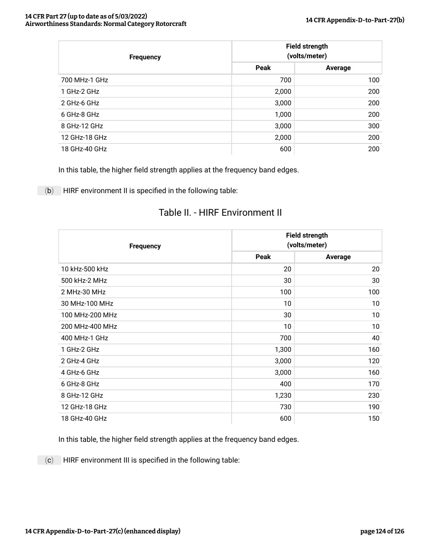| <b>Frequency</b> | <b>Field strength</b><br>(volts/meter) |         |
|------------------|----------------------------------------|---------|
|                  | Peak                                   | Average |
| 700 MHz-1 GHz    | 700                                    | 100     |
| 1 GHz-2 GHz      | 2,000                                  | 200     |
| 2 GHz-6 GHz      | 3,000                                  | 200     |
| 6 GHz-8 GHz      | 1,000                                  | 200     |
| 8 GHz-12 GHz     | 3,000                                  | 300     |
| 12 GHz-18 GHz    | 2,000                                  | 200     |
| 18 GHz-40 GHz    | 600                                    | 200     |

In this table, the higher field strength applies at the frequency band edges.

 $(b)$  HIRF environment II is specified in the following table:

| <b>Frequency</b> | <b>Field strength</b><br>(volts/meter) |         |
|------------------|----------------------------------------|---------|
|                  | Peak                                   | Average |
| 10 kHz-500 kHz   | 20                                     | 20      |
| 500 kHz-2 MHz    | 30                                     | 30      |
| 2 MHz-30 MHz     | 100                                    | 100     |
| 30 MHz-100 MHz   | 10                                     | 10      |
| 100 MHz-200 MHz  | 30                                     | 10      |
| 200 MHz-400 MHz  | 10                                     | 10      |
| 400 MHz-1 GHz    | 700                                    | 40      |
| 1 GHz-2 GHz      | 1,300                                  | 160     |
| 2 GHz-4 GHz      | 3,000                                  | 120     |
| 4 GHz-6 GHz      | 3,000                                  | 160     |
| 6 GHz-8 GHz      | 400                                    | 170     |
| 8 GHz-12 GHz     | 1,230                                  | 230     |
| 12 GHz-18 GHz    | 730                                    | 190     |
| 18 GHz-40 GHz    | 600                                    | 150     |

# Table II. - HIRF Environment II

In this table, the higher field strength applies at the frequency band edges.

 $(c)$  HIRF environment III is specified in the following table: